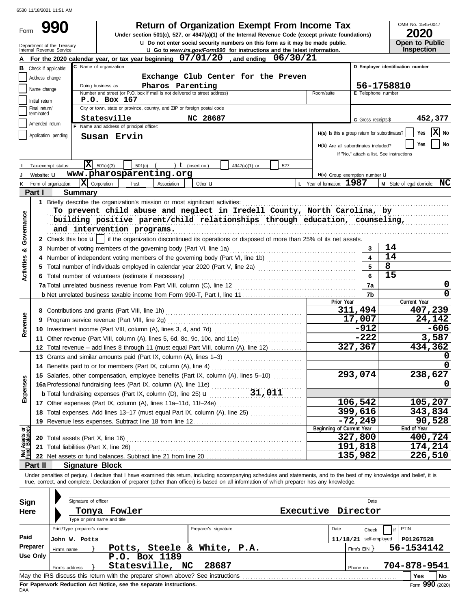Form 990

 $\bf{u}$  Do not enter social security numbers on this form as it may be made public. **990 2020 2010 2020 2020 2020 2020 2020 2020 2020 2020 2020 2020 2020 2020 2020 2020 2020 2020 2020 2020 2020 2020 2020 2020 2020 2020 2020 2020 2020 2020 2020** 

OMB No. 1545-0047

| . |  |                       |  |  |  |  |  |  |
|---|--|-----------------------|--|--|--|--|--|--|
|   |  | <b>Open to Public</b> |  |  |  |  |  |  |
|   |  | <b>Inspection</b>     |  |  |  |  |  |  |

|                                |                                                                                    | Department of the Treasury<br>Internal Revenue Service |                                                     |                                                                               |             |                      | <b>U</b> Do not enter social security numbers on this form as it may be made public.<br><b>u</b> Go to www.irs.gov/Form990 for instructions and the latest information.    |         |                                               |                      | Open to Public<br><b>Inspection</b>      |
|--------------------------------|------------------------------------------------------------------------------------|--------------------------------------------------------|-----------------------------------------------------|-------------------------------------------------------------------------------|-------------|----------------------|----------------------------------------------------------------------------------------------------------------------------------------------------------------------------|---------|-----------------------------------------------|----------------------|------------------------------------------|
|                                |                                                                                    |                                                        |                                                     |                                                                               |             |                      | For the 2020 calendar year, or tax year beginning 07/01/20, and ending 06/30/21                                                                                            |         |                                               |                      |                                          |
| в                              | C Name of organization<br>D Employer identification number<br>Check if applicable: |                                                        |                                                     |                                                                               |             |                      |                                                                                                                                                                            |         |                                               |                      |                                          |
|                                | Address change                                                                     |                                                        |                                                     | Exchange Club Center for the Preven                                           |             |                      |                                                                                                                                                                            |         |                                               |                      |                                          |
|                                |                                                                                    |                                                        | 56-1758810<br>Doing business as<br>Pharos Parenting |                                                                               |             |                      |                                                                                                                                                                            |         |                                               |                      |                                          |
|                                | Name change                                                                        |                                                        |                                                     | Number and street (or P.O. box if mail is not delivered to street address)    |             |                      |                                                                                                                                                                            |         | Room/suite                                    | E Telephone number   |                                          |
|                                | Initial return                                                                     |                                                        |                                                     | P.O. Box 167                                                                  |             |                      |                                                                                                                                                                            |         |                                               |                      |                                          |
|                                | Final return/<br>terminated                                                        |                                                        |                                                     | City or town, state or province, country, and ZIP or foreign postal code      |             |                      |                                                                                                                                                                            |         |                                               |                      |                                          |
|                                | Amended return                                                                     |                                                        |                                                     | Statesville                                                                   |             | NC 28687             |                                                                                                                                                                            |         |                                               | G Gross receipts \$  | 452,377                                  |
|                                |                                                                                    |                                                        |                                                     | F Name and address of principal officer:                                      |             |                      |                                                                                                                                                                            |         | H(a) Is this a group return for subordinates? |                      | x <br>Yes<br>No                          |
|                                | Application pending                                                                |                                                        |                                                     | Susan Ervin                                                                   |             |                      |                                                                                                                                                                            |         |                                               |                      |                                          |
|                                |                                                                                    |                                                        |                                                     |                                                                               |             |                      |                                                                                                                                                                            |         | H(b) Are all subordinates included?           |                      | No<br><b>Yes</b>                         |
|                                |                                                                                    |                                                        |                                                     |                                                                               |             |                      |                                                                                                                                                                            |         |                                               |                      | If "No," attach a list. See instructions |
|                                | Tax-exempt status:                                                                 |                                                        | $\mathbf{x}$                                        | 501(c)(3)<br>501(c)                                                           |             | ) $t$ (insert no.)   | 527<br>4947(a)(1) or                                                                                                                                                       |         |                                               |                      |                                          |
|                                | Website: U                                                                         |                                                        |                                                     | www.pharosparenting.org                                                       |             |                      |                                                                                                                                                                            |         | H(c) Group exemption number LI                |                      |                                          |
|                                |                                                                                    | Form of organization:                                  | $ \mathbf{X} $ Corporation                          | Trust                                                                         | Association | Other <b>u</b>       |                                                                                                                                                                            |         | L Year of formation: 1987                     |                      | M State of legal domicile: NC            |
|                                | Part I                                                                             |                                                        | Summary                                             |                                                                               |             |                      |                                                                                                                                                                            |         |                                               |                      |                                          |
|                                |                                                                                    |                                                        |                                                     | 1 Briefly describe the organization's mission or most significant activities: |             |                      |                                                                                                                                                                            |         |                                               |                      |                                          |
|                                |                                                                                    |                                                        |                                                     |                                                                               |             |                      | To prevent child abuse and neglect in Iredell County, North Carolina, by                                                                                                   |         |                                               |                      |                                          |
|                                |                                                                                    |                                                        |                                                     |                                                                               |             |                      | building positive parent/child relationships through education, counseling,                                                                                                |         |                                               |                      |                                          |
|                                |                                                                                    |                                                        |                                                     | and intervention programs.                                                    |             |                      |                                                                                                                                                                            |         |                                               |                      |                                          |
| Governance                     |                                                                                    |                                                        |                                                     |                                                                               |             |                      | 2 Check this box $\mathbf{u}$   if the organization discontinued its operations or disposed of more than 25% of its net assets.                                            |         |                                               |                      |                                          |
| ಯ                              | 3.                                                                                 |                                                        |                                                     | Number of voting members of the governing body (Part VI, line 1a)             |             |                      |                                                                                                                                                                            |         |                                               | 3                    | 14                                       |
|                                |                                                                                    |                                                        |                                                     |                                                                               |             |                      | Number of independent voting members of the governing body (Part VI, line 1b) [[[[[[[[[[[[[[[[[[[[[[[[[[[[[[[                                                              |         |                                               | 4                    | 14                                       |
| <b>Activities</b>              |                                                                                    |                                                        |                                                     |                                                                               |             |                      | Total number of individuals employed in calendar year 2020 (Part V, line 2a) [[[[[[[[[[[[[[[[[[[[[[[[[[[[[[[[                                                              |         |                                               | 5                    | 8                                        |
|                                |                                                                                    |                                                        |                                                     | 6 Total number of volunteers (estimate if necessary)                          |             |                      |                                                                                                                                                                            |         |                                               | 6                    | 15                                       |
|                                |                                                                                    |                                                        |                                                     |                                                                               |             |                      |                                                                                                                                                                            |         | 7a                                            | 0                    |                                          |
|                                |                                                                                    |                                                        |                                                     |                                                                               |             |                      |                                                                                                                                                                            |         |                                               | 7b                   | 0                                        |
|                                |                                                                                    |                                                        |                                                     |                                                                               |             |                      |                                                                                                                                                                            |         | Prior Year                                    |                      | Current Year                             |
|                                |                                                                                    |                                                        |                                                     |                                                                               |             |                      |                                                                                                                                                                            | 311,494 | 407,239                                       |                      |                                          |
| Revenue                        | 9                                                                                  |                                                        |                                                     |                                                                               |             |                      |                                                                                                                                                                            |         |                                               | 17,007<br>$-912$     | 24,142<br>$-606$                         |
|                                |                                                                                    |                                                        |                                                     |                                                                               |             |                      |                                                                                                                                                                            |         |                                               | $-222$               |                                          |
|                                |                                                                                    |                                                        |                                                     |                                                                               |             |                      | 11 Other revenue (Part VIII, column (A), lines 5, 6d, 8c, 9c, 10c, and 11e)                                                                                                |         |                                               | 327,367              | 3,587<br>434,362                         |
|                                |                                                                                    |                                                        |                                                     |                                                                               |             |                      | 12 Total revenue - add lines 8 through 11 (must equal Part VIII, column (A), line 12)                                                                                      |         |                                               |                      |                                          |
|                                |                                                                                    |                                                        |                                                     |                                                                               |             |                      | 13 Grants and similar amounts paid (Part IX, column (A), lines 1-3)                                                                                                        |         |                                               |                      | O                                        |
|                                |                                                                                    |                                                        |                                                     | 14 Benefits paid to or for members (Part IX, column (A), line 4)              |             |                      |                                                                                                                                                                            |         |                                               |                      |                                          |
| <b>ISBS</b>                    |                                                                                    |                                                        |                                                     |                                                                               |             |                      | 15 Salaries, other compensation, employee benefits (Part IX, column (A), lines 5-10)                                                                                       |         |                                               | 293,074              | 238,627<br>O                             |
|                                |                                                                                    |                                                        |                                                     | 16a Professional fundraising fees (Part IX, column (A), line 11e)             |             |                      |                                                                                                                                                                            |         |                                               |                      |                                          |
| Exper                          |                                                                                    |                                                        |                                                     |                                                                               |             |                      |                                                                                                                                                                            |         |                                               |                      |                                          |
|                                |                                                                                    |                                                        |                                                     |                                                                               |             |                      |                                                                                                                                                                            |         |                                               | 106,542              | 105,207                                  |
|                                |                                                                                    |                                                        |                                                     |                                                                               |             |                      | 18 Total expenses. Add lines 13-17 (must equal Part IX, column (A), line 25) [                                                                                             |         |                                               | 399,616<br>$-72,249$ | 343,834                                  |
|                                |                                                                                    |                                                        |                                                     | 19 Revenue less expenses. Subtract line 18 from line 12                       |             |                      |                                                                                                                                                                            |         | Beginning of Current Year                     |                      | 90,528<br>End of Year                    |
| Net Assets or<br>Fund Balances |                                                                                    |                                                        |                                                     |                                                                               |             |                      |                                                                                                                                                                            |         |                                               | 327,800              | 400,724                                  |
|                                |                                                                                    |                                                        |                                                     | 21 Total liabilities (Part X, line 26)                                        |             |                      |                                                                                                                                                                            |         |                                               | 191,818              | 174,214                                  |
|                                |                                                                                    |                                                        |                                                     | 22 Net assets or fund balances. Subtract line 21 from line 20                 |             |                      |                                                                                                                                                                            |         |                                               | 135,982              | 226,510                                  |
|                                | Part II                                                                            |                                                        | <b>Signature Block</b>                              |                                                                               |             |                      |                                                                                                                                                                            |         |                                               |                      |                                          |
|                                |                                                                                    |                                                        |                                                     |                                                                               |             |                      | Under penalties of perjury, I declare that I have examined this return, including accompanying schedules and statements, and to the best of my knowledge and belief, it is |         |                                               |                      |                                          |
|                                |                                                                                    |                                                        |                                                     |                                                                               |             |                      | true, correct, and complete. Declaration of preparer (other than officer) is based on all information of which preparer has any knowledge.                                 |         |                                               |                      |                                          |
|                                |                                                                                    |                                                        |                                                     |                                                                               |             |                      |                                                                                                                                                                            |         |                                               |                      |                                          |
| Sign                           |                                                                                    |                                                        | Signature of officer                                |                                                                               |             |                      |                                                                                                                                                                            |         |                                               | Date                 |                                          |
| Here                           |                                                                                    |                                                        |                                                     | Tonya Fowler                                                                  |             |                      |                                                                                                                                                                            |         | Executive Director                            |                      |                                          |
|                                |                                                                                    |                                                        | Type or print name and title                        |                                                                               |             |                      |                                                                                                                                                                            |         |                                               |                      |                                          |
|                                |                                                                                    |                                                        | Print/Type preparer's name                          |                                                                               |             | Preparer's signature |                                                                                                                                                                            |         | Date                                          | Check                | PTIN                                     |
| Paid                           |                                                                                    | John W. Potts                                          |                                                     |                                                                               |             |                      |                                                                                                                                                                            |         | 11/18/21                                      | self-employed        | P01267528                                |
|                                | Preparer                                                                           | Firm's name                                            |                                                     | Potts, Steele & White, P.A.                                                   |             |                      |                                                                                                                                                                            |         |                                               | Firm's $EIN$ }       | 56-1534142                               |
|                                | <b>Use Only</b>                                                                    |                                                        |                                                     | P.O. Box 1189                                                                 |             |                      |                                                                                                                                                                            |         |                                               |                      |                                          |
|                                |                                                                                    | Firm's address                                         |                                                     | Statesville, NC                                                               |             | 28687                |                                                                                                                                                                            |         |                                               | Phone no.            | 704-878-9541                             |
|                                |                                                                                    |                                                        |                                                     |                                                                               |             |                      | May the IRS discuss this return with the preparer shown above? See instructions                                                                                            |         |                                               |                      | Yes<br>No                                |

| Sign       | Signature of officer         |                                                                                 |                             |           | Date                      |                    |
|------------|------------------------------|---------------------------------------------------------------------------------|-----------------------------|-----------|---------------------------|--------------------|
| Here       |                              | Tonya Fowler                                                                    |                             | Executive | Director                  |                    |
|            | Type or print name and title |                                                                                 |                             |           |                           |                    |
|            | Print/Type preparer's name   |                                                                                 | Preparer's signature        | Date      | Check                     | PTIN               |
| Paid       | John W. Potts                |                                                                                 |                             |           | 11/18/21<br>self-employed | P01267528          |
| Preparer   | Firm's name                  |                                                                                 | Potts, Steele & White, P.A. |           | Firm's $EIN$ $\}$         | 56-1534142         |
| Use Only   |                              | P.O. Box 1189                                                                   |                             |           |                           |                    |
|            | Firm's address               | Statesville, NC                                                                 | 28687                       |           | Phone no.                 | 704-878-9541       |
|            |                              | May the IRS discuss this return with the preparer shown above? See instructions |                             |           |                           | l No<br><b>Yes</b> |
| <b>DAA</b> |                              | For Paperwork Reduction Act Notice, see the separate instructions.              |                             |           |                           | Form 990 (2020)    |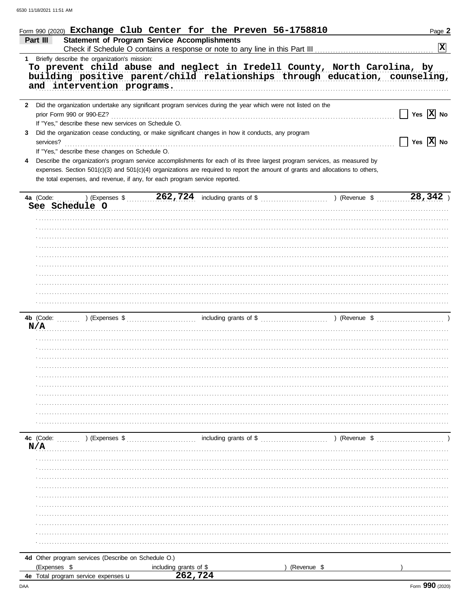6530 11/18/2021 11:51 AM

|   | Form 990 (2020) Exchange Club Center for the Preven 56-1758810                                                                                                                                                                                                                                                                              | Page 2                           |
|---|---------------------------------------------------------------------------------------------------------------------------------------------------------------------------------------------------------------------------------------------------------------------------------------------------------------------------------------------|----------------------------------|
|   | <b>Statement of Program Service Accomplishments</b><br>Part III                                                                                                                                                                                                                                                                             |                                  |
|   |                                                                                                                                                                                                                                                                                                                                             | $ \mathbf{x} $                   |
|   | 1 Briefly describe the organization's mission:<br>To prevent child abuse and neglect in Iredell County, North Carolina, by<br>building positive parent/child relationships through education, counseling,<br>and intervention programs.                                                                                                     |                                  |
|   | 2 Did the organization undertake any significant program services during the year which were not listed on the<br>prior Form 990 or 990-EZ?<br>If "Yes," describe these new services on Schedule O.                                                                                                                                         | Yes $ \mathbf{X} $ No            |
| 3 | Did the organization cease conducting, or make significant changes in how it conducts, any program<br>services?<br>If "Yes," describe these changes on Schedule O.                                                                                                                                                                          | $\Box$ Yes $\boxed{\text{X}}$ No |
| 4 | Describe the organization's program service accomplishments for each of its three largest program services, as measured by<br>expenses. Section 501(c)(3) and 501(c)(4) organizations are required to report the amount of grants and allocations to others,<br>the total expenses, and revenue, if any, for each program service reported. |                                  |
|   | ) (Expenses \$ 262,724 including grants of \$ $($ 1924) (Revenue \$ $($ 1924)<br>4a (Code:<br>See Schedule O                                                                                                                                                                                                                                | 28,342                           |
|   |                                                                                                                                                                                                                                                                                                                                             |                                  |
|   |                                                                                                                                                                                                                                                                                                                                             |                                  |
|   |                                                                                                                                                                                                                                                                                                                                             |                                  |
|   |                                                                                                                                                                                                                                                                                                                                             |                                  |
|   |                                                                                                                                                                                                                                                                                                                                             |                                  |
|   |                                                                                                                                                                                                                                                                                                                                             |                                  |
|   |                                                                                                                                                                                                                                                                                                                                             |                                  |
|   |                                                                                                                                                                                                                                                                                                                                             |                                  |
|   |                                                                                                                                                                                                                                                                                                                                             |                                  |
|   | N/A                                                                                                                                                                                                                                                                                                                                         |                                  |
|   |                                                                                                                                                                                                                                                                                                                                             |                                  |
|   |                                                                                                                                                                                                                                                                                                                                             |                                  |
|   |                                                                                                                                                                                                                                                                                                                                             |                                  |
|   |                                                                                                                                                                                                                                                                                                                                             |                                  |
|   |                                                                                                                                                                                                                                                                                                                                             |                                  |
|   |                                                                                                                                                                                                                                                                                                                                             |                                  |
|   |                                                                                                                                                                                                                                                                                                                                             |                                  |
|   |                                                                                                                                                                                                                                                                                                                                             |                                  |
|   |                                                                                                                                                                                                                                                                                                                                             |                                  |
|   | including grants of \$<br>) (Revenue \$<br>4c (Code:<br>) (Expenses \$<br>N/A                                                                                                                                                                                                                                                               |                                  |
|   |                                                                                                                                                                                                                                                                                                                                             |                                  |
|   |                                                                                                                                                                                                                                                                                                                                             |                                  |
|   |                                                                                                                                                                                                                                                                                                                                             |                                  |
|   |                                                                                                                                                                                                                                                                                                                                             |                                  |
|   |                                                                                                                                                                                                                                                                                                                                             |                                  |
|   |                                                                                                                                                                                                                                                                                                                                             |                                  |
|   |                                                                                                                                                                                                                                                                                                                                             |                                  |
|   |                                                                                                                                                                                                                                                                                                                                             |                                  |
|   |                                                                                                                                                                                                                                                                                                                                             |                                  |
|   | 4d Other program services (Describe on Schedule O.)                                                                                                                                                                                                                                                                                         |                                  |
|   | (Expenses \$<br>(Revenue \$<br>including grants of \$<br>262.724<br>4e Total program service expenses u                                                                                                                                                                                                                                     |                                  |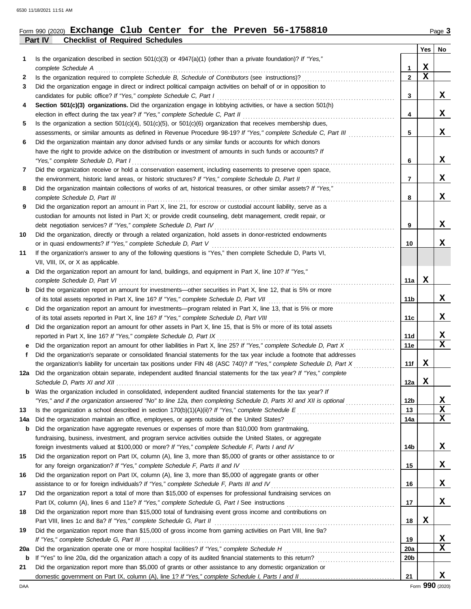### **Part IV Checklist of Required Schedules** Form 990 (2020) Page **3 Exchange Club Center for the Preven 56-1758810**

|             |                                                                                                                                                                                                        |                 |   | Yes   No    |
|-------------|--------------------------------------------------------------------------------------------------------------------------------------------------------------------------------------------------------|-----------------|---|-------------|
| 1           | Is the organization described in section $501(c)(3)$ or $4947(a)(1)$ (other than a private foundation)? If "Yes,"                                                                                      |                 |   |             |
|             | complete Schedule A                                                                                                                                                                                    | 1               | x |             |
| 2           | Is the organization required to complete Schedule B, Schedule of Contributors (see instructions)?                                                                                                      | $\mathbf{2}$    | X |             |
| 3           | Did the organization engage in direct or indirect political campaign activities on behalf of or in opposition to                                                                                       |                 |   |             |
|             | candidates for public office? If "Yes," complete Schedule C, Part I                                                                                                                                    | 3               |   | x           |
| 4           | Section 501(c)(3) organizations. Did the organization engage in lobbying activities, or have a section 501(h)                                                                                          | 4               |   | x           |
| 5           | election in effect during the tax year? If "Yes," complete Schedule C, Part II<br>Is the organization a section $501(c)(4)$ , $501(c)(5)$ , or $501(c)(6)$ organization that receives membership dues, |                 |   |             |
|             | assessments, or similar amounts as defined in Revenue Procedure 98-19? If "Yes," complete Schedule C, Part III                                                                                         | 5               |   | x           |
| 6           | Did the organization maintain any donor advised funds or any similar funds or accounts for which donors                                                                                                |                 |   |             |
|             | have the right to provide advice on the distribution or investment of amounts in such funds or accounts? If                                                                                            |                 |   |             |
|             | "Yes," complete Schedule D, Part I                                                                                                                                                                     | 6               |   | X           |
| 7           | Did the organization receive or hold a conservation easement, including easements to preserve open space,                                                                                              |                 |   |             |
|             | the environment, historic land areas, or historic structures? If "Yes," complete Schedule D, Part II                                                                                                   | 7               |   | x           |
| 8           | Did the organization maintain collections of works of art, historical treasures, or other similar assets? If "Yes,"                                                                                    |                 |   |             |
|             | complete Schedule D, Part III                                                                                                                                                                          | 8               |   | x           |
| 9           | Did the organization report an amount in Part X, line 21, for escrow or custodial account liability, serve as a                                                                                        |                 |   |             |
|             | custodian for amounts not listed in Part X; or provide credit counseling, debt management, credit repair, or                                                                                           |                 |   |             |
|             | debt negotiation services? If "Yes," complete Schedule D, Part IV                                                                                                                                      | 9               |   | x           |
| 10          | Did the organization, directly or through a related organization, hold assets in donor-restricted endowments                                                                                           |                 |   |             |
|             | or in quasi endowments? If "Yes," complete Schedule D, Part V                                                                                                                                          | 10              |   | x           |
| 11          | If the organization's answer to any of the following questions is "Yes," then complete Schedule D, Parts VI,                                                                                           |                 |   |             |
|             | VII, VIII, IX, or X as applicable.                                                                                                                                                                     |                 |   |             |
| a           | Did the organization report an amount for land, buildings, and equipment in Part X, line 10? If "Yes,"                                                                                                 |                 |   |             |
|             | complete Schedule D, Part VI                                                                                                                                                                           | 11a             | X |             |
|             | <b>b</b> Did the organization report an amount for investments—other securities in Part X, line 12, that is 5% or more                                                                                 |                 |   |             |
|             | of its total assets reported in Part X, line 16? If "Yes," complete Schedule D, Part VII                                                                                                               | 11b             |   | X           |
| C           | Did the organization report an amount for investments-program related in Part X, line 13, that is 5% or more                                                                                           |                 |   |             |
|             | of its total assets reported in Part X, line 16? If "Yes," complete Schedule D, Part VIII                                                                                                              | 11c             |   | X           |
| d           | Did the organization report an amount for other assets in Part X, line 15, that is 5% or more of its total assets<br>reported in Part X, line 16? If "Yes," complete Schedule D, Part IX               | 11d             |   | X           |
| е           | Did the organization report an amount for other liabilities in Part X, line 25? If "Yes," complete Schedule D, Part X                                                                                  | 11e             |   | $\mathbf x$ |
| f           | Did the organization's separate or consolidated financial statements for the tax year include a footnote that addresses                                                                                |                 |   |             |
|             | the organization's liability for uncertain tax positions under FIN 48 (ASC 740)? If "Yes," complete Schedule D, Part X                                                                                 | 11f             | X |             |
|             | 12a Did the organization obtain separate, independent audited financial statements for the tax year? If "Yes," complete                                                                                |                 |   |             |
|             | Schedule D, Parts XI and XII                                                                                                                                                                           | 12a             | X |             |
|             | Was the organization included in consolidated, independent audited financial statements for the tax year? If                                                                                           |                 |   |             |
|             | "Yes," and if the organization answered "No" to line 12a, then completing Schedule D, Parts XI and XII is optional                                                                                     | 12b             |   | X           |
| 13          |                                                                                                                                                                                                        | 13              |   | X           |
| 14a         | Did the organization maintain an office, employees, or agents outside of the United States?                                                                                                            | 14a             |   | X           |
| $\mathbf b$ | Did the organization have aggregate revenues or expenses of more than \$10,000 from grantmaking,                                                                                                       |                 |   |             |
|             | fundraising, business, investment, and program service activities outside the United States, or aggregate                                                                                              |                 |   |             |
|             | foreign investments valued at \$100,000 or more? If "Yes," complete Schedule F, Parts I and IV                                                                                                         | 14b             |   | X           |
| 15          | Did the organization report on Part IX, column (A), line 3, more than \$5,000 of grants or other assistance to or                                                                                      |                 |   |             |
|             | for any foreign organization? If "Yes," complete Schedule F, Parts II and IV                                                                                                                           | 15              |   | X           |
| 16          | Did the organization report on Part IX, column (A), line 3, more than \$5,000 of aggregate grants or other                                                                                             |                 |   |             |
|             |                                                                                                                                                                                                        | 16              |   | X           |
| 17          | Did the organization report a total of more than \$15,000 of expenses for professional fundraising services on                                                                                         |                 |   |             |
|             |                                                                                                                                                                                                        | 17              |   | X           |
| 18          | Did the organization report more than \$15,000 total of fundraising event gross income and contributions on                                                                                            |                 | X |             |
| 19          | Part VIII, lines 1c and 8a? If "Yes," complete Schedule G, Part II<br>Did the organization report more than \$15,000 of gross income from gaming activities on Part VIII, line 9a?                     | 18              |   |             |
|             |                                                                                                                                                                                                        | 19              |   | X           |
| 20a         | Did the organization operate one or more hospital facilities? If "Yes," complete Schedule H                                                                                                            | <b>20a</b>      |   | X           |
| b           |                                                                                                                                                                                                        | 20 <sub>b</sub> |   |             |
| 21          | Did the organization report more than \$5,000 of grants or other assistance to any domestic organization or                                                                                            |                 |   |             |
|             |                                                                                                                                                                                                        | 21              |   | x           |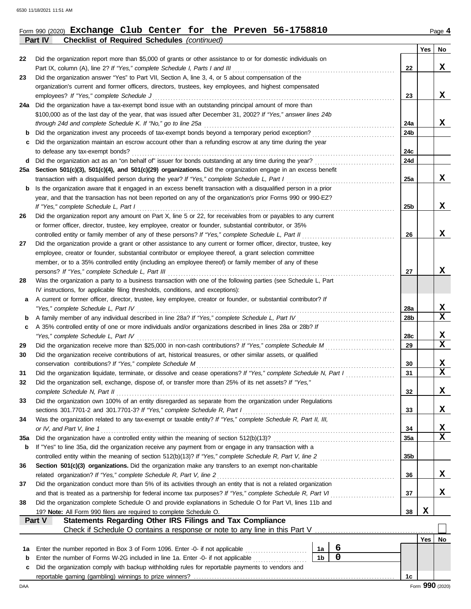### Form 990 (2020) Page **4 Exchange Club Center for the Preven 56-1758810 Part IV Checklist of Required Schedules** *(continued)*

|     |                                                                                                                                                                                                               |                 | Yes     | No                      |  |  |  |  |  |
|-----|---------------------------------------------------------------------------------------------------------------------------------------------------------------------------------------------------------------|-----------------|---------|-------------------------|--|--|--|--|--|
| 22  | Did the organization report more than \$5,000 of grants or other assistance to or for domestic individuals on                                                                                                 |                 |         | x                       |  |  |  |  |  |
|     | Part IX, column (A), line 2? If "Yes," complete Schedule I, Parts I and III                                                                                                                                   |                 |         |                         |  |  |  |  |  |
| 23  | Did the organization answer "Yes" to Part VII, Section A, line 3, 4, or 5 about compensation of the                                                                                                           |                 |         |                         |  |  |  |  |  |
|     | organization's current and former officers, directors, trustees, key employees, and highest compensated                                                                                                       |                 |         |                         |  |  |  |  |  |
|     | employees? If "Yes," complete Schedule J                                                                                                                                                                      | 23              |         | x                       |  |  |  |  |  |
| 24a | Did the organization have a tax-exempt bond issue with an outstanding principal amount of more than                                                                                                           |                 |         |                         |  |  |  |  |  |
|     | \$100,000 as of the last day of the year, that was issued after December 31, 2002? If "Yes," answer lines 24b                                                                                                 | 24a             |         | x                       |  |  |  |  |  |
|     | through 24d and complete Schedule K. If "No," go to line 25a                                                                                                                                                  |                 |         |                         |  |  |  |  |  |
| b   |                                                                                                                                                                                                               | 24b             |         |                         |  |  |  |  |  |
| c   | Did the organization maintain an escrow account other than a refunding escrow at any time during the year                                                                                                     |                 |         |                         |  |  |  |  |  |
|     | to defease any tax-exempt bonds?                                                                                                                                                                              | 24c             |         |                         |  |  |  |  |  |
| d   |                                                                                                                                                                                                               | 24d             |         |                         |  |  |  |  |  |
| 25a | Section 501(c)(3), 501(c)(4), and 501(c)(29) organizations. Did the organization engage in an excess benefit<br>transaction with a disqualified person during the year? If "Yes," complete Schedule L, Part I | 25a             |         | X                       |  |  |  |  |  |
| b   | Is the organization aware that it engaged in an excess benefit transaction with a disqualified person in a prior                                                                                              |                 |         |                         |  |  |  |  |  |
|     | year, and that the transaction has not been reported on any of the organization's prior Forms 990 or 990-EZ?                                                                                                  |                 |         |                         |  |  |  |  |  |
|     | If "Yes," complete Schedule L, Part I                                                                                                                                                                         | 25b             |         | x                       |  |  |  |  |  |
| 26  | Did the organization report any amount on Part X, line 5 or 22, for receivables from or payables to any current                                                                                               |                 |         |                         |  |  |  |  |  |
|     | or former officer, director, trustee, key employee, creator or founder, substantial contributor, or 35%                                                                                                       |                 |         |                         |  |  |  |  |  |
|     | controlled entity or family member of any of these persons? If "Yes," complete Schedule L, Part II                                                                                                            | 26              |         | X                       |  |  |  |  |  |
| 27  | Did the organization provide a grant or other assistance to any current or former officer, director, trustee, key                                                                                             |                 |         |                         |  |  |  |  |  |
|     | employee, creator or founder, substantial contributor or employee thereof, a grant selection committee                                                                                                        |                 |         |                         |  |  |  |  |  |
|     | member, or to a 35% controlled entity (including an employee thereof) or family member of any of these                                                                                                        |                 |         |                         |  |  |  |  |  |
|     | persons? If "Yes," complete Schedule L, Part III                                                                                                                                                              | 27              |         | x                       |  |  |  |  |  |
| 28  | Was the organization a party to a business transaction with one of the following parties (see Schedule L, Part                                                                                                |                 |         |                         |  |  |  |  |  |
|     | IV instructions, for applicable filing thresholds, conditions, and exceptions):                                                                                                                               |                 |         |                         |  |  |  |  |  |
| а   | A current or former officer, director, trustee, key employee, creator or founder, or substantial contributor? If                                                                                              |                 |         |                         |  |  |  |  |  |
|     |                                                                                                                                                                                                               | 28a             |         | $\mathbf x$             |  |  |  |  |  |
| b   |                                                                                                                                                                                                               | 28b             |         | $\overline{\mathbf{x}}$ |  |  |  |  |  |
| c   | A 35% controlled entity of one or more individuals and/or organizations described in lines 28a or 28b? If                                                                                                     |                 |         |                         |  |  |  |  |  |
|     |                                                                                                                                                                                                               | 28c             |         | х                       |  |  |  |  |  |
| 29  |                                                                                                                                                                                                               | 29              |         | $\mathbf x$             |  |  |  |  |  |
| 30  | Did the organization receive contributions of art, historical treasures, or other similar assets, or qualified                                                                                                |                 |         |                         |  |  |  |  |  |
|     | conservation contributions? If "Yes," complete Schedule M                                                                                                                                                     | 30              |         | X                       |  |  |  |  |  |
| 31  | Did the organization liquidate, terminate, or dissolve and cease operations? If "Yes," complete Schedule N, Part I                                                                                            | 31              |         | $\mathbf x$             |  |  |  |  |  |
| 32  | Did the organization sell, exchange, dispose of, or transfer more than 25% of its net assets? If "Yes,"                                                                                                       |                 |         |                         |  |  |  |  |  |
|     | complete Schedule N, Part II                                                                                                                                                                                  | 32              |         | X,                      |  |  |  |  |  |
| 33  | Did the organization own 100% of an entity disregarded as separate from the organization under Regulations                                                                                                    |                 |         |                         |  |  |  |  |  |
|     | sections 301.7701-2 and 301.7701-3? If "Yes," complete Schedule R, Part I                                                                                                                                     | 33              |         | X                       |  |  |  |  |  |
| 34  | Was the organization related to any tax-exempt or taxable entity? If "Yes," complete Schedule R, Part II, III,                                                                                                |                 |         |                         |  |  |  |  |  |
|     | or IV, and Part V, line 1                                                                                                                                                                                     | 34              |         | X                       |  |  |  |  |  |
| 35a |                                                                                                                                                                                                               | 35a             |         | $\mathbf x$             |  |  |  |  |  |
| b   | If "Yes" to line 35a, did the organization receive any payment from or engage in any transaction with a                                                                                                       |                 |         |                         |  |  |  |  |  |
|     |                                                                                                                                                                                                               | 35 <sub>b</sub> |         |                         |  |  |  |  |  |
| 36  | Section 501(c)(3) organizations. Did the organization make any transfers to an exempt non-charitable                                                                                                          |                 |         |                         |  |  |  |  |  |
|     | related organization? If "Yes," complete Schedule R, Part V, line 2                                                                                                                                           | 36              |         | X                       |  |  |  |  |  |
| 37  | Did the organization conduct more than 5% of its activities through an entity that is not a related organization                                                                                              |                 |         |                         |  |  |  |  |  |
|     | and that is treated as a partnership for federal income tax purposes? If "Yes," complete Schedule R, Part VI.                                                                                                 | 37              |         | X                       |  |  |  |  |  |
| 38  | Did the organization complete Schedule O and provide explanations in Schedule O for Part VI, lines 11b and                                                                                                    |                 |         |                         |  |  |  |  |  |
|     | 19? Note: All Form 990 filers are required to complete Schedule O.                                                                                                                                            | 38              | X       |                         |  |  |  |  |  |
|     | Statements Regarding Other IRS Filings and Tax Compliance<br>Part V                                                                                                                                           |                 |         |                         |  |  |  |  |  |
|     |                                                                                                                                                                                                               |                 |         |                         |  |  |  |  |  |
|     | 6                                                                                                                                                                                                             |                 | Yes $ $ | No                      |  |  |  |  |  |
| 1a  | Enter the number reported in Box 3 of Form 1096. Enter -0- if not applicable [<br>1a<br>$\mathbf 0$<br>1 <sub>b</sub><br>Enter the number of Forms W-2G included in line 1a. Enter -0- if not applicable      |                 |         |                         |  |  |  |  |  |
| b   | Did the organization comply with backup withholding rules for reportable payments to vendors and                                                                                                              |                 |         |                         |  |  |  |  |  |
| c   |                                                                                                                                                                                                               | 1c              |         |                         |  |  |  |  |  |
|     |                                                                                                                                                                                                               |                 |         |                         |  |  |  |  |  |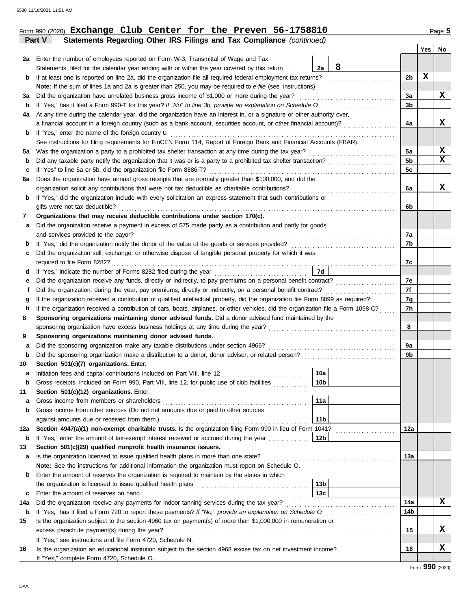|    |                                                                                                                         |                | Yes | No |
|----|-------------------------------------------------------------------------------------------------------------------------|----------------|-----|----|
| 2a | Enter the number of employees reported on Form W-3, Transmittal of Wage and Tax                                         |                |     |    |
|    | 8<br>Statements, filed for the calendar year ending with or within the year covered by this return<br>2a                |                |     |    |
| b  | If at least one is reported on line 2a, did the organization file all required federal employment tax returns?          | 2 <sub>b</sub> | x   |    |
|    | <b>Note:</b> If the sum of lines 1a and 2a is greater than 250, you may be required to e-file (see instructions)        |                |     |    |
| За | Did the organization have unrelated business gross income of \$1,000 or more during the year?                           | 3a             |     | x  |
| b  | If "Yes," has it filed a Form 990-T for this year? If "No" to line 3b, provide an explanation on Schedule O             | 3b             |     |    |
| 4a | At any time during the calendar year, did the organization have an interest in, or a signature or other authority over, |                |     |    |
|    | a financial account in a foreign country (such as a bank account, securities account, or other financial account)?      | 4a             |     | х  |
| b  | If "Yes," enter the name of the foreign country <b>u</b>                                                                |                |     |    |
|    | See instructions for filing requirements for FinCEN Form 114, Report of Foreign Bank and Financial Accounts (FBAR).     |                |     |    |
| 5a | Was the organization a party to a prohibited tax shelter transaction at any time during the tax year?                   | 5a             |     | x  |
| b  |                                                                                                                         | 5 <sub>b</sub> |     | X  |
| c  | If "Yes" to line 5a or 5b, did the organization file Form 8886-T?                                                       | 5с             |     |    |
| 6a | Does the organization have annual gross receipts that are normally greater than \$100,000, and did the                  |                |     |    |
|    | organization solicit any contributions that were not tax deductible as charitable contributions?                        | 6a             |     | х  |
|    | If "Yes," did the organization include with every solicitation an express statement that such contributions or          |                |     |    |
|    | gifts were not tax deductible?                                                                                          | 6b             |     |    |
|    | Organizations that may receive deductible contributions under section 170(c).                                           |                |     |    |

|    | Organizations that may receive deductible contributions under section 170(c).                                                      |     |    |  |  |  |
|----|------------------------------------------------------------------------------------------------------------------------------------|-----|----|--|--|--|
| a  | Did the organization receive a payment in excess of \$75 made partly as a contribution and partly for goods                        |     |    |  |  |  |
|    | and services provided to the payor?                                                                                                |     | 7a |  |  |  |
| b  | If "Yes," did the organization notify the donor of the value of the goods or services provided?                                    |     | 7b |  |  |  |
|    | Did the organization sell, exchange, or otherwise dispose of tangible personal property for which it was                           |     |    |  |  |  |
|    |                                                                                                                                    |     | 7c |  |  |  |
| d  |                                                                                                                                    | 7d  |    |  |  |  |
| е  | Did the organization receive any funds, directly or indirectly, to pay premiums on a personal benefit contract?                    |     |    |  |  |  |
|    | Did the organization, during the year, pay premiums, directly or indirectly, on a personal benefit contract?                       |     |    |  |  |  |
| a  | If the organization received a contribution of qualified intellectual property, did the organization file Form 8899 as required?   |     |    |  |  |  |
| h. | If the organization received a contribution of cars, boats, airplanes, or other vehicles, did the organization file a Form 1098-C? |     | 7h |  |  |  |
| 8  | Sponsoring organizations maintaining donor advised funds. Did a donor advised fund maintained by the                               |     |    |  |  |  |
|    | sponsoring organization have excess business holdings at any time during the year?                                                 |     | 8  |  |  |  |
| 9  | Sponsoring organizations maintaining donor advised funds.                                                                          |     |    |  |  |  |
| а  | Did the sponsoring organization make any taxable distributions under section 4966?                                                 |     | 9a |  |  |  |
| b  | Did the sponsoring organization make a distribution to a donor, donor advisor, or related person?                                  |     | 9b |  |  |  |
| 10 | Section 501(c)(7) organizations. Enter:                                                                                            |     |    |  |  |  |
| a  |                                                                                                                                    | 10a |    |  |  |  |
| b  | Gross receipts, included on Form 990, Part VIII, line 12, for public use of club facilities                                        | 10b |    |  |  |  |

| 11  | Section 501(c)(12) organizations. Enter:                                                                        |                 |  |     |  |  |
|-----|-----------------------------------------------------------------------------------------------------------------|-----------------|--|-----|--|--|
| a   |                                                                                                                 | 11a             |  |     |  |  |
| b   | Gross income from other sources (Do not net amounts due or paid to other sources                                |                 |  |     |  |  |
|     | against amounts due or received from them.)                                                                     | 11b             |  |     |  |  |
| 12a | Section 4947(a)(1) non-exempt charitable trusts. Is the organization filing Form 990 in lieu of Form 1041?      |                 |  | 12a |  |  |
| b   | If "Yes," enter the amount of tax-exempt interest received or accrued during the year <i>[[[[[[[[[[]]</i>       | 12 <sub>b</sub> |  |     |  |  |
| 13  | Section 501(c)(29) qualified nonprofit health insurance issuers.                                                |                 |  |     |  |  |
| a   | Is the organization licensed to issue qualified health plans in more than one state?                            |                 |  |     |  |  |
|     | <b>Note:</b> See the instructions for additional information the organization must report on Schedule O.        |                 |  |     |  |  |
| b   | Enter the amount of reserves the organization is required to maintain by the states in which                    |                 |  |     |  |  |
|     |                                                                                                                 | 13 <sub>b</sub> |  |     |  |  |
| c   |                                                                                                                 | 13 <sub>c</sub> |  |     |  |  |
| 14a |                                                                                                                 |                 |  | 14a |  |  |
| b   | If "Yes," has it filed a Form 720 to report these payments? If "No," provide an explanation on Schedule O       |                 |  | 14b |  |  |
| 15  | Is the organization subject to the section 4960 tax on payment(s) of more than \$1,000,000 in remuneration or   |                 |  |     |  |  |
|     | excess parachute payment(s) during the year?                                                                    |                 |  | 15  |  |  |
|     | If "Yes," see instructions and file Form 4720, Schedule N.                                                      |                 |  |     |  |  |
| 16  | Is the organization an educational institution subject to the section 4968 excise tax on net investment income? |                 |  | 16  |  |  |
|     | If "Yes," complete Form 4720, Schedule O.                                                                       |                 |  |     |  |  |

**X**

**X**

**X**

|  | Form 990 (2020) Exchange Club Center for the Preven 56-1758810                                                  |  |  |  |  |  |
|--|-----------------------------------------------------------------------------------------------------------------|--|--|--|--|--|
|  | the contract of the contract of the contract of the contract of the contract of the contract of the contract of |  |  |  |  |  |

**b** Gross receipts, included on Form 990, Part VIII, line 12, for public use of club facilities .............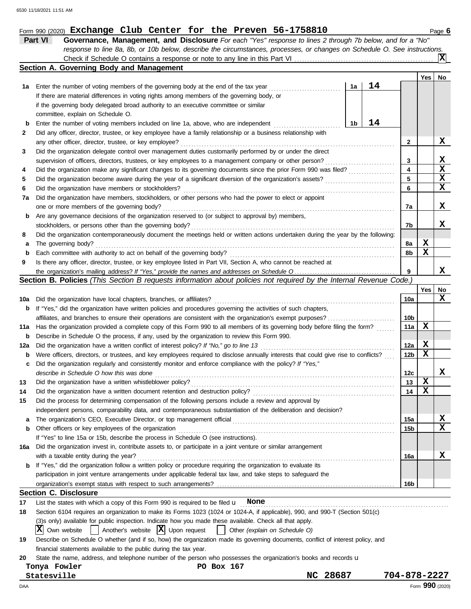|  |  | $D_{\Omega}$ |
|--|--|--------------|

|                | Form 990 (2020) Exchange Club Center for the Preven $56-1758810$ |  |  | Page 6                                                                                                                    |
|----------------|------------------------------------------------------------------|--|--|---------------------------------------------------------------------------------------------------------------------------|
| <b>Part VI</b> |                                                                  |  |  | Governance, Management, and Disclosure For each "Yes" response to lines 2 through 7b below, and for a "No"                |
|                |                                                                  |  |  | response to line 8a, 8b, or 10b below, describe the circumstances, processes, or changes on Schedule O. See instructions. |
|                |                                                                  |  |  | $\boxed{\mathbf{X}}$                                                                                                      |

|              | <b>Section A. Governing Body and Management</b>                                                                                     |    |    |                 |             |             |
|--------------|-------------------------------------------------------------------------------------------------------------------------------------|----|----|-----------------|-------------|-------------|
|              |                                                                                                                                     |    |    |                 | Yes         | No          |
| 1а           | Enter the number of voting members of the governing body at the end of the tax year                                                 | 1a | 14 |                 |             |             |
|              | If there are material differences in voting rights among members of the governing body, or                                          |    |    |                 |             |             |
|              | if the governing body delegated broad authority to an executive committee or similar                                                |    |    |                 |             |             |
|              | committee, explain on Schedule O.                                                                                                   |    |    |                 |             |             |
| b            | Enter the number of voting members included on line 1a, above, who are independent                                                  | 1b | 14 |                 |             |             |
| $\mathbf{2}$ | Did any officer, director, trustee, or key employee have a family relationship or a business relationship with                      |    |    |                 |             |             |
|              | any other officer, director, trustee, or key employee?                                                                              |    |    | $\mathbf{2}$    |             | X           |
| 3            | Did the organization delegate control over management duties customarily performed by or under the direct                           |    |    |                 |             |             |
|              | supervision of officers, directors, trustees, or key employees to a management company or other person?                             |    |    | 3               |             | X           |
| 4            | Did the organization make any significant changes to its governing documents since the prior Form 990 was filed?                    |    |    | 4               |             | $\mathbf x$ |
| 5            | Did the organization become aware during the year of a significant diversion of the organization's assets?                          |    |    | 5               |             | X           |
| 6            | Did the organization have members or stockholders?                                                                                  |    |    | 6               |             | X           |
| 7a           | Did the organization have members, stockholders, or other persons who had the power to elect or appoint                             |    |    |                 |             |             |
|              | one or more members of the governing body?                                                                                          |    |    | 7a              |             | X           |
| b            | Are any governance decisions of the organization reserved to (or subject to approval by) members,                                   |    |    |                 |             |             |
|              | stockholders, or persons other than the governing body?                                                                             |    |    | 7b              |             | x           |
| 8            | Did the organization contemporaneously document the meetings held or written actions undertaken during the year by the following:   |    |    |                 |             |             |
| а            | The governing body?                                                                                                                 |    |    | 8a              | х           |             |
| b            | Each committee with authority to act on behalf of the governing body?                                                               |    |    | 8b              | $\mathbf x$ |             |
| 9            | Is there any officer, director, trustee, or key employee listed in Part VII, Section A, who cannot be reached at                    |    |    |                 |             |             |
|              |                                                                                                                                     |    |    | 9               |             | X           |
|              | Section B. Policies (This Section B requests information about policies not required by the Internal Revenue Code.)                 |    |    |                 |             |             |
|              |                                                                                                                                     |    |    |                 | Yes         | No          |
| 10a          | Did the organization have local chapters, branches, or affiliates?                                                                  |    |    | 10a             |             | x           |
| b            | If "Yes," did the organization have written policies and procedures governing the activities of such chapters,                      |    |    |                 |             |             |
|              | affiliates, and branches to ensure their operations are consistent with the organization's exempt purposes?                         |    |    | 10b             |             |             |
| 11a          | Has the organization provided a complete copy of this Form 990 to all members of its governing body before filing the form?         |    |    | 11a             | X           |             |
| b            | Describe in Schedule O the process, if any, used by the organization to review this Form 990.                                       |    |    |                 |             |             |
| 12a          | Did the organization have a written conflict of interest policy? If "No," go to line 13                                             |    |    | 12a             | X           |             |
| b            | Were officers, directors, or trustees, and key employees required to disclose annually interests that could give rise to conflicts? |    |    | 12b             | X           |             |
| c            | Did the organization regularly and consistently monitor and enforce compliance with the policy? If "Yes,"                           |    |    |                 |             |             |
|              | describe in Schedule O how this was done                                                                                            |    |    | 12c             |             | x           |
| 13           | Did the organization have a written whistleblower policy?                                                                           |    |    | 13              | X           |             |
| 14           | Did the organization have a written document retention and destruction policy?                                                      |    |    | 14              | X           |             |
| 15           | Did the process for determining compensation of the following persons include a review and approval by                              |    |    |                 |             |             |
|              | independent persons, comparability data, and contemporaneous substantiation of the deliberation and decision?                       |    |    |                 |             |             |
| a            | The organization's CEO, Executive Director, or top management official                                                              |    |    | 15a             |             | X           |
| b            | Other officers or key employees of the organization                                                                                 |    |    | 15 <sub>b</sub> |             | x           |
|              | If "Yes" to line 15a or 15b, describe the process in Schedule O (see instructions).                                                 |    |    |                 |             |             |
| 16a          | Did the organization invest in, contribute assets to, or participate in a joint venture or similar arrangement                      |    |    |                 |             |             |
|              | with a taxable entity during the year?                                                                                              |    |    | 16a             |             | X           |
|              | <b>b</b> If "Yes," did the organization follow a written policy or procedure requiring the organization to evaluate its             |    |    |                 |             |             |
|              | participation in joint venture arrangements under applicable federal tax law, and take steps to safeguard the                       |    |    |                 |             |             |
|              | organization's exempt status with respect to such arrangements?                                                                     |    |    | 16b             |             |             |
|              | <b>Section C. Disclosure</b>                                                                                                        |    |    |                 |             |             |
| 17           | List the states with which a copy of this Form 990 is required to be filed $\mathbf u$ None                                         |    |    |                 |             |             |
| 18           | Section 6104 requires an organization to make its Forms 1023 (1024 or 1024-A, if applicable), 990, and 990-T (Section 501(c)        |    |    |                 |             |             |
|              | (3)s only) available for public inspection. Indicate how you made these available. Check all that apply.                            |    |    |                 |             |             |
|              | $ \mathbf{X} $ Upon request<br>IХ<br>Own website<br>Another's website<br>Other (explain on Schedule O)                              |    |    |                 |             |             |

| Describe on Schedule O whether (and if so, how) the organization made its governing documents, conflict of interest policy, and |
|---------------------------------------------------------------------------------------------------------------------------------|
| financial statements available to the public during the tax year.                                                               |

**20** State the name, address, and telephone number of the person who possesses the organization's books and records  $\bf u$ 

### **Tonya Fowler PO Box 167**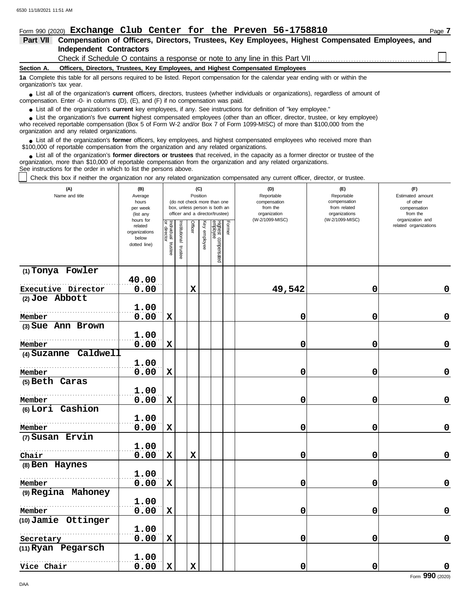|                          | Form 990 (2020) Exchange Club Center for the Preven 56-1758810                                                                                                                                                                      | Page 7 |  |  |  |  |  |  |  |  |
|--------------------------|-------------------------------------------------------------------------------------------------------------------------------------------------------------------------------------------------------------------------------------|--------|--|--|--|--|--|--|--|--|
| Part VII                 | Compensation of Officers, Directors, Trustees, Key Employees, Highest Compensated Employees, and                                                                                                                                    |        |  |  |  |  |  |  |  |  |
|                          | <b>Independent Contractors</b>                                                                                                                                                                                                      |        |  |  |  |  |  |  |  |  |
|                          | Check if Schedule O contains a response or note to any line in this Part VII <b>Conservation</b> Check if Schedule O contains a response or note to any line in this Part VII                                                       |        |  |  |  |  |  |  |  |  |
| Section A.               | Officers, Directors, Trustees, Key Employees, and Highest Compensated Employees                                                                                                                                                     |        |  |  |  |  |  |  |  |  |
| organization's tax year. | 1a Complete this table for all persons required to be listed. Report compensation for the calendar year ending with or within the                                                                                                   |        |  |  |  |  |  |  |  |  |
|                          | • List all of the organization's current officers, directors, trustees (whether individuals or organizations), regardless of amount of<br>compensation. Enter -0- in columns $(D)$ , $(E)$ , and $(F)$ if no compensation was paid. |        |  |  |  |  |  |  |  |  |
|                          | • List all of the organization's current key employees, if any. See instructions for definition of "key employee."                                                                                                                  |        |  |  |  |  |  |  |  |  |
|                          | • List the organization's five current highest compensated employees (other than an officer, director, trustee, or key employee)                                                                                                    |        |  |  |  |  |  |  |  |  |

who received reportable compensation (Box 5 of Form W-2 and/or Box 7 of Form 1099-MISC) of more than \$100,000 from the organization and any related organizations. **•**

■ List all of the organization's **former** officers, key employees, and highest compensated employees who received more than<br>00,000 of reportable compensation from the organization and any related organizations \$100,000 of reportable compensation from the organization and any related organizations.

List all of the organization's **former directors or trustees** that received, in the capacity as a former director or trustee of the organization, more than \$10,000 of reportable compensation from the organization and any related organizations. **•**

See instructions for the order in which to list the persons above.

Check this box if neither the organization nor any related organization compensated any current officer, director, or trustee.

| (A)<br>Name and title | (B)<br>Average<br>hours<br>per week<br>(list any               | (C)<br>Position<br>(do not check more than one<br>box, unless person is both an<br>officer and a director/trustee) |                         |             |                 |                                 |        | (D)<br>Reportable<br>compensation<br>from the<br>organization | (E)<br>Reportable<br>compensation<br>from related<br>organizations | (F)<br>Estimated amount<br>of other<br>compensation<br>from the |  |
|-----------------------|----------------------------------------------------------------|--------------------------------------------------------------------------------------------------------------------|-------------------------|-------------|-----------------|---------------------------------|--------|---------------------------------------------------------------|--------------------------------------------------------------------|-----------------------------------------------------------------|--|
|                       | hours for<br>related<br>organizations<br>below<br>dotted line) | Individual trustee<br>or director                                                                                  | nstitutional<br>trustee | Officer     | Key<br>employee | Highest compensated<br>employee | Former | (W-2/1099-MISC)                                               | (W-2/1099-MISC)                                                    | organization and<br>related organizations                       |  |
| (1) Tonya Fowler      | 40.00                                                          |                                                                                                                    |                         |             |                 |                                 |        |                                                               |                                                                    |                                                                 |  |
| Executive Director    | 0.00                                                           |                                                                                                                    |                         | $\mathbf x$ |                 |                                 |        | 49,542                                                        | 0                                                                  | 0                                                               |  |
| $(2)$ Joe Abbott      |                                                                |                                                                                                                    |                         |             |                 |                                 |        |                                                               |                                                                    |                                                                 |  |
|                       | 1.00                                                           |                                                                                                                    |                         |             |                 |                                 |        |                                                               |                                                                    |                                                                 |  |
| Member                | 0.00                                                           | $\mathbf x$                                                                                                        |                         |             |                 |                                 |        | 0                                                             | 0                                                                  | 0                                                               |  |
| (3) Sue Ann Brown     |                                                                |                                                                                                                    |                         |             |                 |                                 |        |                                                               |                                                                    |                                                                 |  |
|                       | 1.00                                                           |                                                                                                                    |                         |             |                 |                                 |        |                                                               |                                                                    |                                                                 |  |
| Member                | 0.00                                                           | $\mathbf x$                                                                                                        |                         |             |                 |                                 |        | 0                                                             | 0                                                                  | $\pmb{0}$                                                       |  |
| (4) Suzanne Caldwel:  |                                                                |                                                                                                                    |                         |             |                 |                                 |        |                                                               |                                                                    |                                                                 |  |
|                       | 1.00                                                           |                                                                                                                    |                         |             |                 |                                 |        |                                                               |                                                                    |                                                                 |  |
| Member                | 0.00                                                           | $\mathbf x$                                                                                                        |                         |             |                 |                                 |        | 0                                                             | 0                                                                  | $\mathbf 0$                                                     |  |
| (5) Beth Caras        |                                                                |                                                                                                                    |                         |             |                 |                                 |        |                                                               |                                                                    |                                                                 |  |
|                       | 1.00                                                           |                                                                                                                    |                         |             |                 |                                 |        |                                                               |                                                                    |                                                                 |  |
| Member                | 0.00                                                           | $\mathbf x$                                                                                                        |                         |             |                 |                                 |        | 0                                                             | 0                                                                  | 0                                                               |  |
| (6) Lori Cashion      |                                                                |                                                                                                                    |                         |             |                 |                                 |        |                                                               |                                                                    |                                                                 |  |
| Member                | 1.00<br>0.00                                                   | $\mathbf x$                                                                                                        |                         |             |                 |                                 |        | 0                                                             | 0                                                                  | 0                                                               |  |
| (7) Susan Ervin       |                                                                |                                                                                                                    |                         |             |                 |                                 |        |                                                               |                                                                    |                                                                 |  |
|                       | 1.00                                                           |                                                                                                                    |                         |             |                 |                                 |        |                                                               |                                                                    |                                                                 |  |
| Chair                 | 0.00                                                           | $\mathbf x$                                                                                                        |                         | $\mathbf x$ |                 |                                 |        | 0                                                             | 0                                                                  | $\mathbf 0$                                                     |  |
| (8) Ben Haynes        |                                                                |                                                                                                                    |                         |             |                 |                                 |        |                                                               |                                                                    |                                                                 |  |
|                       | 1.00                                                           |                                                                                                                    |                         |             |                 |                                 |        |                                                               |                                                                    |                                                                 |  |
| Member                | 0.00                                                           | $\mathbf x$                                                                                                        |                         |             |                 |                                 |        | 0                                                             | 0                                                                  | $\pmb{0}$                                                       |  |
| (9) Regina Mahoney    |                                                                |                                                                                                                    |                         |             |                 |                                 |        |                                                               |                                                                    |                                                                 |  |
|                       | 1.00                                                           |                                                                                                                    |                         |             |                 |                                 |        |                                                               |                                                                    |                                                                 |  |
| Member                | 0.00                                                           | X                                                                                                                  |                         |             |                 |                                 |        | 0                                                             | 0                                                                  | 0                                                               |  |
| (10) Jamie Ottinger   |                                                                |                                                                                                                    |                         |             |                 |                                 |        |                                                               |                                                                    |                                                                 |  |
|                       | 1.00                                                           |                                                                                                                    |                         |             |                 |                                 |        |                                                               |                                                                    |                                                                 |  |
| Secretary             | 0.00                                                           | $\mathbf x$                                                                                                        |                         |             |                 |                                 |        | 0                                                             | 0                                                                  | $\mathbf 0$                                                     |  |
| (11) Ryan Pegarsch    |                                                                |                                                                                                                    |                         |             |                 |                                 |        |                                                               |                                                                    |                                                                 |  |
| Vice Chair            | 1.00<br>0.00                                                   | $\mathbf x$                                                                                                        |                         | $\mathbf x$ |                 |                                 |        | 0                                                             | 0                                                                  | $\mathbf 0$                                                     |  |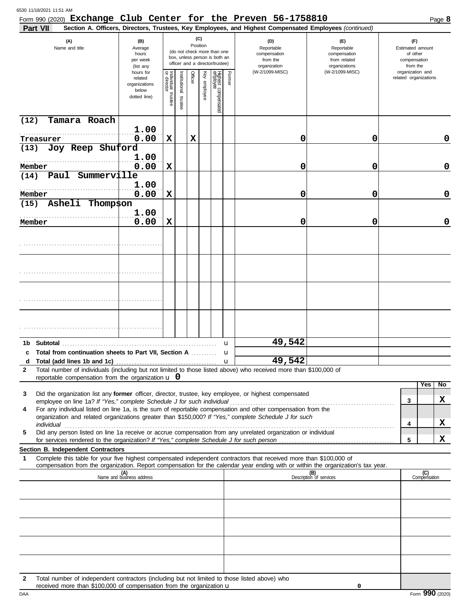| 6530 11/18/2021 11:51 AM |  |
|--------------------------|--|
|                          |  |

| Form 990 (2020) Exchange Club Center for the Preven 56-1758810<br>Part VII                                                                                                                                                                                  |                                                                |                                      |                                                                                                                    |         |              |                                 |              | Section A. Officers, Directors, Trustees, Key Employees, and Highest Compensated Employees (continued) |                                                                    |   |                                                                 | Page 8 |
|-------------------------------------------------------------------------------------------------------------------------------------------------------------------------------------------------------------------------------------------------------------|----------------------------------------------------------------|--------------------------------------|--------------------------------------------------------------------------------------------------------------------|---------|--------------|---------------------------------|--------------|--------------------------------------------------------------------------------------------------------|--------------------------------------------------------------------|---|-----------------------------------------------------------------|--------|
| (A)<br>Name and title                                                                                                                                                                                                                                       | (B)<br>Average<br>hours<br>per week<br>(list any               |                                      | (C)<br>Position<br>(do not check more than one<br>box, unless person is both an<br>officer and a director/trustee) |         |              |                                 |              | (D)<br>Reportable<br>compensation<br>from the<br>organization                                          | (F)<br>Reportable<br>compensation<br>from related<br>organizations |   | (F)<br>Estimated amount<br>of other<br>compensation<br>from the |        |
|                                                                                                                                                                                                                                                             | hours for<br>related<br>organizations<br>below<br>dotted line) | Individual<br>or director<br>trustee | nstitutional<br>trustee                                                                                            | Officer | Key employee | Highest compensated<br>employee | Former       | (W-2/1099-MISC)                                                                                        | (W-2/1099-MISC)                                                    |   | organization and<br>related organizations                       |        |
| Tamara Roach<br>(12)                                                                                                                                                                                                                                        | 1.00                                                           |                                      |                                                                                                                    |         |              |                                 |              |                                                                                                        |                                                                    |   |                                                                 |        |
| Treasurer<br>Joy Reep Shuford<br>(13)                                                                                                                                                                                                                       | 0.00                                                           | X                                    |                                                                                                                    | X       |              |                                 |              | 0                                                                                                      | 0                                                                  |   |                                                                 | 0      |
|                                                                                                                                                                                                                                                             | 1.00                                                           |                                      |                                                                                                                    |         |              |                                 |              |                                                                                                        |                                                                    |   |                                                                 |        |
| Member                                                                                                                                                                                                                                                      | 0.00                                                           | X                                    |                                                                                                                    |         |              |                                 |              | 0                                                                                                      | 0                                                                  |   |                                                                 | 0      |
| Summerville<br>Paul<br>(14)                                                                                                                                                                                                                                 | 1.00                                                           |                                      |                                                                                                                    |         |              |                                 |              |                                                                                                        |                                                                    |   |                                                                 |        |
| Member                                                                                                                                                                                                                                                      | 0.00                                                           | $\mathbf x$                          |                                                                                                                    |         |              |                                 |              | 0                                                                                                      | 0                                                                  |   |                                                                 | 0      |
| Asheli Thompson<br>(15)                                                                                                                                                                                                                                     | 1.00                                                           |                                      |                                                                                                                    |         |              |                                 |              |                                                                                                        |                                                                    |   |                                                                 |        |
| Member                                                                                                                                                                                                                                                      | 0.00                                                           | $\mathbf x$                          |                                                                                                                    |         |              |                                 |              | 0                                                                                                      | 0                                                                  |   |                                                                 | 0      |
|                                                                                                                                                                                                                                                             |                                                                |                                      |                                                                                                                    |         |              |                                 |              |                                                                                                        |                                                                    |   |                                                                 |        |
|                                                                                                                                                                                                                                                             |                                                                |                                      |                                                                                                                    |         |              |                                 |              |                                                                                                        |                                                                    |   |                                                                 |        |
|                                                                                                                                                                                                                                                             |                                                                |                                      |                                                                                                                    |         |              |                                 |              |                                                                                                        |                                                                    |   |                                                                 |        |
|                                                                                                                                                                                                                                                             |                                                                |                                      |                                                                                                                    |         |              |                                 |              |                                                                                                        |                                                                    |   |                                                                 |        |
|                                                                                                                                                                                                                                                             |                                                                |                                      |                                                                                                                    |         |              |                                 |              |                                                                                                        |                                                                    |   |                                                                 |        |
| Subtotal<br>1b.<br>Total from continuation sheets to Part VII, Section A<br>c                                                                                                                                                                               |                                                                |                                      |                                                                                                                    |         |              |                                 | u<br>u       | 49,542                                                                                                 |                                                                    |   |                                                                 |        |
| d                                                                                                                                                                                                                                                           |                                                                |                                      |                                                                                                                    |         |              |                                 | $\mathbf{u}$ | 49,542                                                                                                 |                                                                    |   |                                                                 |        |
| Total number of individuals (including but not limited to those listed above) who received more than \$100,000 of<br>$\mathbf{2}$<br>reportable compensation from the organization $\bf{u}$ 0                                                               |                                                                |                                      |                                                                                                                    |         |              |                                 |              |                                                                                                        |                                                                    |   |                                                                 |        |
| Did the organization list any former officer, director, trustee, key employee, or highest compensated<br>3                                                                                                                                                  |                                                                |                                      |                                                                                                                    |         |              |                                 |              |                                                                                                        |                                                                    |   | Yes                                                             | No     |
| employee on line 1a? If "Yes," complete Schedule J for such individual<br>For any individual listed on line 1a, is the sum of reportable compensation and other compensation from the<br>4                                                                  |                                                                |                                      |                                                                                                                    |         |              |                                 |              |                                                                                                        |                                                                    | 3 |                                                                 | X      |
| organization and related organizations greater than \$150,000? If "Yes," complete Schedule J for such<br>individual                                                                                                                                         |                                                                |                                      |                                                                                                                    |         |              |                                 |              |                                                                                                        |                                                                    | 4 |                                                                 | X      |
| Did any person listed on line 1a receive or accrue compensation from any unrelated organization or individual<br>5                                                                                                                                          |                                                                |                                      |                                                                                                                    |         |              |                                 |              |                                                                                                        |                                                                    | 5 |                                                                 | X      |
| Section B. Independent Contractors                                                                                                                                                                                                                          |                                                                |                                      |                                                                                                                    |         |              |                                 |              |                                                                                                        |                                                                    |   |                                                                 |        |
| Complete this table for your five highest compensated independent contractors that received more than \$100,000 of<br>1<br>compensation from the organization. Report compensation for the calendar year ending with or within the organization's tax year. |                                                                |                                      |                                                                                                                    |         |              |                                 |              |                                                                                                        |                                                                    |   |                                                                 |        |
|                                                                                                                                                                                                                                                             | (A)<br>Name and business address                               |                                      |                                                                                                                    |         |              |                                 |              |                                                                                                        | (B)<br>Description of services                                     |   | (C)<br>Compensation                                             |        |
|                                                                                                                                                                                                                                                             |                                                                |                                      |                                                                                                                    |         |              |                                 |              |                                                                                                        |                                                                    |   |                                                                 |        |
|                                                                                                                                                                                                                                                             |                                                                |                                      |                                                                                                                    |         |              |                                 |              |                                                                                                        |                                                                    |   |                                                                 |        |
|                                                                                                                                                                                                                                                             |                                                                |                                      |                                                                                                                    |         |              |                                 |              |                                                                                                        |                                                                    |   |                                                                 |        |
|                                                                                                                                                                                                                                                             |                                                                |                                      |                                                                                                                    |         |              |                                 |              |                                                                                                        |                                                                    |   |                                                                 |        |
|                                                                                                                                                                                                                                                             |                                                                |                                      |                                                                                                                    |         |              |                                 |              |                                                                                                        |                                                                    |   |                                                                 |        |
| Total number of independent contractors (including but not limited to those listed above) who<br>2<br>received more than \$100,000 of compensation from the organization u                                                                                  |                                                                |                                      |                                                                                                                    |         |              |                                 |              |                                                                                                        | 0                                                                  |   |                                                                 |        |

received more than \$100,000 of compensation from the organization **u** example that the state of the state of the top and the state of the state of the state of the state of the state of the state of the state of the state received more than \$100,000 of compensation from the organization  $\mathbf u$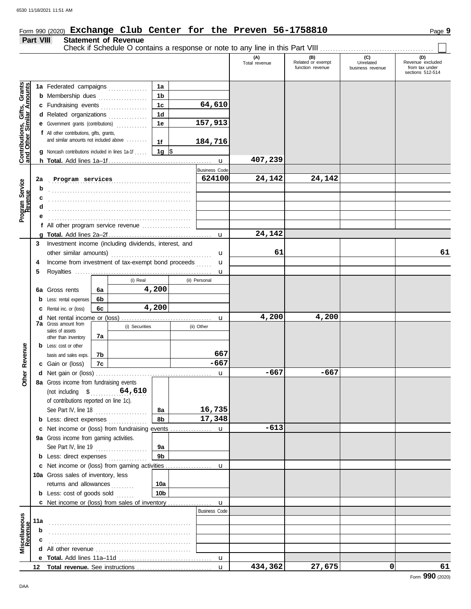### Form 990 (2020) Page **9 Exchange Club Center for the Preven 56-1758810**

### **Part VIII Statement of Revenue**

Check if Schedule O contains a response or note to any line in this Part VIII . . . . . . . . . . . . . . . . . . . . . . . . . . . . . . . . . . . . . . . . . . . .

|                                                           |                                                         |                                                                                           |    |                |                 |  |                      | (A)<br>Total revenue | (B)<br>Related or exempt<br>function revenue | (C)<br>Unrelated<br>business revenue | (D)<br>Revenue excluded<br>from tax under<br>sections 512-514 |
|-----------------------------------------------------------|---------------------------------------------------------|-------------------------------------------------------------------------------------------|----|----------------|-----------------|--|----------------------|----------------------|----------------------------------------------|--------------------------------------|---------------------------------------------------------------|
|                                                           |                                                         | 1a Federated campaigns                                                                    |    |                | 1a              |  |                      |                      |                                              |                                      |                                                               |
|                                                           |                                                         | <b>b</b> Membership dues                                                                  |    | .              | 1b              |  |                      |                      |                                              |                                      |                                                               |
|                                                           |                                                         | c Fundraising events                                                                      |    | .              | 1c              |  | 64,610               |                      |                                              |                                      |                                                               |
|                                                           |                                                         | d Related organizations                                                                   |    | .              | 1d              |  |                      |                      |                                              |                                      |                                                               |
|                                                           |                                                         | <b>e</b> Government grants (contributions)                                                |    |                | 1e              |  | 157,913              |                      |                                              |                                      |                                                               |
|                                                           |                                                         | <b>f</b> All other contributions, gifts, grants,                                          |    |                |                 |  |                      |                      |                                              |                                      |                                                               |
|                                                           |                                                         | and similar amounts not included above                                                    |    |                | 1f              |  | 184,716              |                      |                                              |                                      |                                                               |
| Contributions, Gifts, Grants<br>and Other Similar Amounts |                                                         | <b>g</b> Noncash contributions included in lines 1a-1f                                    |    |                | 1g $\sqrt{5}$   |  |                      |                      |                                              |                                      |                                                               |
|                                                           |                                                         |                                                                                           |    |                |                 |  | $\mathbf{u}$         | 407,239              |                                              |                                      |                                                               |
|                                                           |                                                         |                                                                                           |    |                |                 |  | <b>Business Code</b> |                      |                                              |                                      |                                                               |
|                                                           | 2a                                                      | Program services                                                                          |    |                |                 |  | 624100               | 24,142               | 24,142                                       |                                      |                                                               |
|                                                           | b                                                       |                                                                                           |    |                |                 |  |                      |                      |                                              |                                      |                                                               |
| Program Service                                           | с                                                       |                                                                                           |    |                |                 |  |                      |                      |                                              |                                      |                                                               |
|                                                           | d                                                       |                                                                                           |    |                |                 |  |                      |                      |                                              |                                      |                                                               |
|                                                           |                                                         |                                                                                           |    |                |                 |  |                      |                      |                                              |                                      |                                                               |
|                                                           |                                                         | f All other program service revenue                                                       |    |                |                 |  |                      |                      |                                              |                                      |                                                               |
|                                                           |                                                         |                                                                                           |    |                |                 |  | $\mathbf u$          | 24,142               |                                              |                                      |                                                               |
|                                                           | 3                                                       | Investment income (including dividends, interest, and                                     |    |                |                 |  |                      |                      |                                              |                                      |                                                               |
|                                                           |                                                         | other similar amounts)                                                                    |    |                |                 |  | u                    | 61                   |                                              |                                      | 61                                                            |
|                                                           | Income from investment of tax-exempt bond proceeds<br>4 |                                                                                           |    |                |                 |  | u                    |                      |                                              |                                      |                                                               |
|                                                           | 5                                                       |                                                                                           |    |                |                 |  | u                    |                      |                                              |                                      |                                                               |
|                                                           |                                                         |                                                                                           |    | (i) Real       |                 |  | (ii) Personal        |                      |                                              |                                      |                                                               |
|                                                           | 6а                                                      | Gross rents                                                                               | 6a |                | 4,200           |  |                      |                      |                                              |                                      |                                                               |
|                                                           |                                                         | Less: rental expenses                                                                     | 6b |                |                 |  |                      |                      |                                              |                                      |                                                               |
|                                                           |                                                         |                                                                                           | 6c |                | 4,200           |  |                      |                      |                                              |                                      |                                                               |
|                                                           | d                                                       | Rental inc. or (loss)<br>Net rental income or (loss)                                      |    |                |                 |  |                      | 4,200                | 4,200                                        |                                      |                                                               |
|                                                           |                                                         | <b>7a</b> Gross amount from                                                               |    | (i) Securities |                 |  | u<br>(ii) Other      |                      |                                              |                                      |                                                               |
|                                                           |                                                         | sales of assets<br>7a<br>other than inventory                                             |    |                |                 |  |                      |                      |                                              |                                      |                                                               |
|                                                           | b                                                       | Less: cost or other                                                                       |    |                |                 |  |                      |                      |                                              |                                      |                                                               |
| Revenue                                                   |                                                         | basis and sales exps.                                                                     | 7b |                |                 |  | 667                  |                      |                                              |                                      |                                                               |
|                                                           |                                                         | c Gain or (loss)                                                                          | 7c |                |                 |  | $-667$               |                      |                                              |                                      |                                                               |
|                                                           |                                                         |                                                                                           |    |                |                 |  | u                    | -667                 | -667                                         |                                      |                                                               |
| Other                                                     |                                                         | 8a Gross income from fundraising events                                                   |    |                |                 |  |                      |                      |                                              |                                      |                                                               |
|                                                           |                                                         |                                                                                           |    |                |                 |  |                      |                      |                                              |                                      |                                                               |
|                                                           |                                                         | of contributions reported on line 1c).                                                    |    |                |                 |  |                      |                      |                                              |                                      |                                                               |
|                                                           |                                                         | See Part IV, line 18                                                                      |    |                | 8а              |  | 16,735               |                      |                                              |                                      |                                                               |
|                                                           |                                                         | <b>b</b> Less: direct expenses <i>minimum</i>                                             |    |                | 8b              |  | 17,348               |                      |                                              |                                      |                                                               |
|                                                           | с                                                       | Net income or (loss) from fundraising events                                              |    |                |                 |  | u                    | $-613$               |                                              |                                      |                                                               |
|                                                           |                                                         | 9a Gross income from gaming activities.                                                   |    |                |                 |  |                      |                      |                                              |                                      |                                                               |
|                                                           |                                                         | See Part IV, line 19                                                                      |    |                | 9а              |  |                      |                      |                                              |                                      |                                                               |
|                                                           |                                                         | <b>b</b> Less: direct expenses                                                            |    |                | 9 <sub>b</sub>  |  |                      |                      |                                              |                                      |                                                               |
|                                                           |                                                         | c Net income or (loss) from gaming activities                                             |    |                |                 |  | u                    |                      |                                              |                                      |                                                               |
|                                                           |                                                         | 10a Gross sales of inventory, less                                                        |    |                |                 |  |                      |                      |                                              |                                      |                                                               |
|                                                           |                                                         | returns and allowances                                                                    |    |                | 10a             |  |                      |                      |                                              |                                      |                                                               |
|                                                           |                                                         | <b>b</b> Less: cost of goods sold                                                         |    |                | 10 <sub>b</sub> |  |                      |                      |                                              |                                      |                                                               |
|                                                           |                                                         | <b>c</b> Net income or (loss) from sales of inventory                                     |    |                |                 |  | $\mathbf{u}$         |                      |                                              |                                      |                                                               |
|                                                           |                                                         |                                                                                           |    |                |                 |  | <b>Business Code</b> |                      |                                              |                                      |                                                               |
|                                                           | 11a                                                     |                                                                                           |    |                |                 |  |                      |                      |                                              |                                      |                                                               |
| Miscellaneous<br>Revenue                                  | b                                                       |                                                                                           |    |                |                 |  |                      |                      |                                              |                                      |                                                               |
|                                                           |                                                         |                                                                                           |    |                |                 |  |                      |                      |                                              |                                      |                                                               |
|                                                           |                                                         | <b>d</b> All other revenue $\ldots$ $\ldots$ $\ldots$ $\ldots$ $\ldots$ $\ldots$ $\ldots$ |    |                |                 |  |                      |                      |                                              |                                      |                                                               |
|                                                           |                                                         |                                                                                           |    |                |                 |  | $\mathbf{u}$         |                      |                                              |                                      |                                                               |
|                                                           | 12                                                      |                                                                                           |    |                |                 |  | $\mathbf{u}$         | 434,362              | 27,675                                       | 0                                    | 61                                                            |

⅂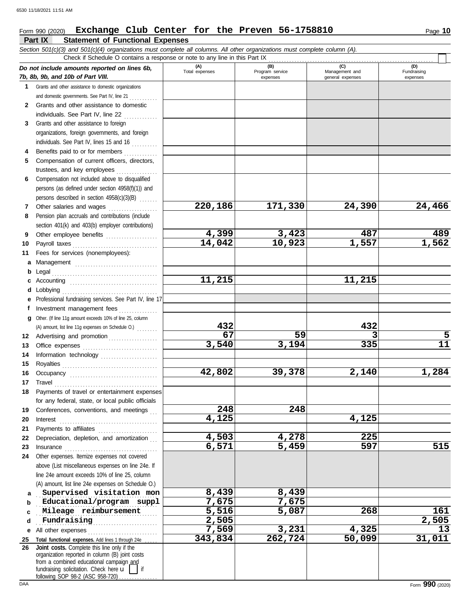### **Part IX Statement of Functional Expenses** Form 990 (2020) Page **10 Exchange Club Center for the Preven 56-1758810**

|          | Section 501(c)(3) and 501(c)(4) organizations must complete all columns. All other organizations must complete column (A). |                       |                        |                  |              |
|----------|----------------------------------------------------------------------------------------------------------------------------|-----------------------|------------------------|------------------|--------------|
|          | Check if Schedule O contains a response or note to any line in this Part IX                                                |                       |                        | (C)              | (D)          |
|          | Do not include amounts reported on lines 6b,                                                                               | (A)<br>Total expenses | (B)<br>Program service | Management and   | Fundraising  |
|          | 7b, 8b, 9b, and 10b of Part VIII.                                                                                          |                       | expenses               | general expenses | expenses     |
| 1        | Grants and other assistance to domestic organizations                                                                      |                       |                        |                  |              |
|          | and domestic governments. See Part IV, line 21                                                                             |                       |                        |                  |              |
| 2        | Grants and other assistance to domestic                                                                                    |                       |                        |                  |              |
|          | individuals. See Part IV, line 22                                                                                          |                       |                        |                  |              |
| 3        | Grants and other assistance to foreign                                                                                     |                       |                        |                  |              |
|          | organizations, foreign governments, and foreign<br>individuals. See Part IV, lines 15 and 16                               |                       |                        |                  |              |
| 4        | Benefits paid to or for members                                                                                            |                       |                        |                  |              |
| 5        | Compensation of current officers, directors,                                                                               |                       |                        |                  |              |
|          | trustees, and key employees                                                                                                |                       |                        |                  |              |
| 6        | Compensation not included above to disqualified                                                                            |                       |                        |                  |              |
|          | persons (as defined under section 4958(f)(1)) and                                                                          |                       |                        |                  |              |
|          | persons described in section 4958(c)(3)(B)                                                                                 |                       |                        |                  |              |
| 7        | Other salaries and wages                                                                                                   | $\overline{220,186}$  | 171,330                | 24,390           | 24,466       |
| 8        | Pension plan accruals and contributions (include                                                                           |                       |                        |                  |              |
|          | section 401(k) and 403(b) employer contributions)                                                                          |                       |                        |                  |              |
| 9        | Other employee benefits                                                                                                    | 4,399                 | 3,423                  | 487              | 489          |
| 10       | Payroll taxes                                                                                                              | 14,042                | 10,923                 | 1,557            | 1,562        |
| 11       | Fees for services (nonemployees):                                                                                          |                       |                        |                  |              |
| a        |                                                                                                                            |                       |                        |                  |              |
| b        |                                                                                                                            |                       |                        |                  |              |
|          |                                                                                                                            | 11,215                |                        | 11,215           |              |
| d        | Lobbying                                                                                                                   |                       |                        |                  |              |
| е        | Professional fundraising services. See Part IV, line 17                                                                    |                       |                        |                  |              |
| f        | Investment management fees                                                                                                 |                       |                        |                  |              |
| g        | Other. (If line 11g amount exceeds 10% of line 25, column                                                                  |                       |                        |                  |              |
|          | (A) amount, list line 11g expenses on Schedule O.)                                                                         | 432                   |                        | 432              |              |
| 12       | Advertising and promotion                                                                                                  | 67                    | 59                     |                  | 5            |
| 13       |                                                                                                                            | 3,540                 | 3,194                  | 335              | 11           |
| 14       |                                                                                                                            |                       |                        |                  |              |
| 15       |                                                                                                                            |                       |                        |                  |              |
| 16       |                                                                                                                            | 42,802                | 39,378                 | 2,140            | 1,284        |
| 17       | Travel                                                                                                                     |                       |                        |                  |              |
| 18       | Payments of travel or entertainment expenses                                                                               |                       |                        |                  |              |
|          | for any federal, state, or local public officials                                                                          |                       |                        |                  |              |
| 19       | Conferences, conventions, and meetings                                                                                     | 248                   | 248                    |                  |              |
| 20       |                                                                                                                            | 4,125                 |                        | 4,125            |              |
| 21       | Payments to affiliates                                                                                                     |                       |                        |                  |              |
| 22       | Depreciation, depletion, and amortization                                                                                  | 4,503                 | 4,278                  | 225              |              |
| 23       |                                                                                                                            | 6,571                 | 5,459                  | 597              | 515          |
| 24       | Other expenses. Itemize expenses not covered                                                                               |                       |                        |                  |              |
|          | above (List miscellaneous expenses on line 24e. If                                                                         |                       |                        |                  |              |
|          | line 24e amount exceeds 10% of line 25, column                                                                             |                       |                        |                  |              |
|          | (A) amount, list line 24e expenses on Schedule O.)                                                                         |                       |                        |                  |              |
| a        | Supervised visitation mon                                                                                                  | 8,439                 | 8,439                  |                  |              |
| b        | Educational/program suppl                                                                                                  | 7,675                 | 7,675                  |                  |              |
| C        | Mileage reimbursement                                                                                                      | 5,516                 | 5,087                  | 268              | 161          |
| d        | Fundraising                                                                                                                | 2,505                 |                        |                  | 2,505        |
| е        | All other expenses                                                                                                         | 7,569<br>343,834      | 3,231<br>262,724       | 4,325<br>50,099  | 13<br>31,011 |
| 25<br>26 | Total functional expenses. Add lines 1 through 24e<br>Joint costs. Complete this line only if the                          |                       |                        |                  |              |
|          | organization reported in column (B) joint costs                                                                            |                       |                        |                  |              |
|          | from a combined educational campaign and                                                                                   |                       |                        |                  |              |
|          | fundraising solicitation. Check here u<br>if<br>following SOP 98-2 (ASC 958-720)                                           |                       |                        |                  |              |
|          |                                                                                                                            |                       |                        |                  |              |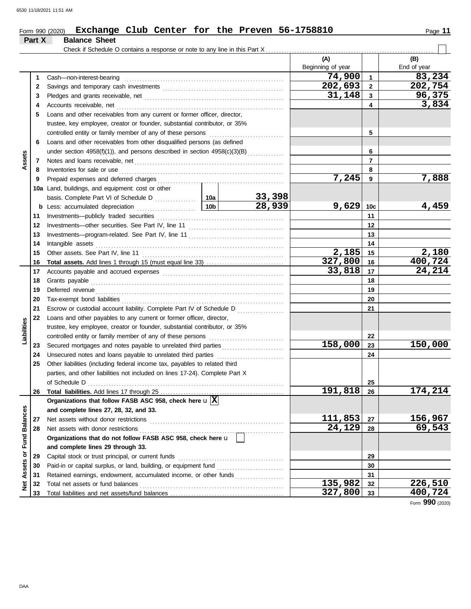### Form 990 (2020) Page **11 Exchange Club Center for the Preven 56-1758810**

|               | Part X | <b>Balance Sheet</b>                                                                                                                                                                                                                |  |        |                   |                |             |
|---------------|--------|-------------------------------------------------------------------------------------------------------------------------------------------------------------------------------------------------------------------------------------|--|--------|-------------------|----------------|-------------|
|               |        | Check if Schedule O contains a response or note to any line in this Part X                                                                                                                                                          |  |        |                   |                |             |
|               |        |                                                                                                                                                                                                                                     |  |        | (A)               |                | (B)         |
|               |        |                                                                                                                                                                                                                                     |  |        | Beginning of year |                | End of year |
|               | 1      | Cash-non-interest-bearing                                                                                                                                                                                                           |  |        | 74,900            | $\mathbf{1}$   | 83,234      |
|               | 2      |                                                                                                                                                                                                                                     |  |        | 202,693           | $\mathbf{2}$   | 202,754     |
|               | 3      |                                                                                                                                                                                                                                     |  |        | 31,148            | $\mathbf{3}$   | 96,375      |
|               | 4      |                                                                                                                                                                                                                                     |  |        |                   | 4              | 3,834       |
|               | 5      | Loans and other receivables from any current or former officer, director,                                                                                                                                                           |  |        |                   |                |             |
|               |        | trustee, key employee, creator or founder, substantial contributor, or 35%                                                                                                                                                          |  |        |                   |                |             |
|               |        |                                                                                                                                                                                                                                     |  |        |                   | 5              |             |
|               | 6      | Loans and other receivables from other disqualified persons (as defined                                                                                                                                                             |  |        |                   |                |             |
|               |        |                                                                                                                                                                                                                                     |  |        |                   | 6              |             |
| Assets        | 7      |                                                                                                                                                                                                                                     |  |        |                   | $\overline{7}$ |             |
|               | 8      | Inventories for sale or use <i>communication</i> and the state of the state of the state of the state of the state of the state of the state of the state of the state of the state of the state of the state of the state of the s |  |        |                   | 8              |             |
|               | 9      |                                                                                                                                                                                                                                     |  |        | 7,245             | 9              | 7,888       |
|               |        | 10a Land, buildings, and equipment: cost or other                                                                                                                                                                                   |  |        |                   |                |             |
|               |        |                                                                                                                                                                                                                                     |  | 33,398 |                   |                |             |
|               |        |                                                                                                                                                                                                                                     |  | 28,939 | 9,629             | 10c            | 4,459       |
|               | 11     |                                                                                                                                                                                                                                     |  |        |                   | 11             |             |
|               | 12     |                                                                                                                                                                                                                                     |  |        |                   | 12             |             |
|               | 13     |                                                                                                                                                                                                                                     |  |        |                   | 13             |             |
|               | 14     | Intangible assets                                                                                                                                                                                                                   |  |        |                   | 14             |             |
|               | 15     |                                                                                                                                                                                                                                     |  |        | 2,185             | 15             | 2,180       |
|               | 16     |                                                                                                                                                                                                                                     |  |        | 327,800           | 16             | 400,724     |
|               | 17     |                                                                                                                                                                                                                                     |  |        | 33,818            | 17             | 24,214      |
|               | 18     |                                                                                                                                                                                                                                     |  |        | 18                |                |             |
|               | 19     | Deferred revenue communications and contain a series of the contact of the contact of the contact of the contact of the contact of the contact of the contact of the contact of the contact of the contact of the contact of t      |  |        |                   | 19             |             |
|               | 20     |                                                                                                                                                                                                                                     |  |        |                   | 20             |             |
|               | 21     | Escrow or custodial account liability. Complete Part IV of Schedule D                                                                                                                                                               |  |        |                   | 21             |             |
|               | 22     | Loans and other payables to any current or former officer, director,                                                                                                                                                                |  |        |                   |                |             |
|               |        | trustee, key employee, creator or founder, substantial contributor, or 35%                                                                                                                                                          |  |        |                   |                |             |
| Liabilities   |        |                                                                                                                                                                                                                                     |  |        |                   | 22             |             |
|               | 23     | Secured mortgages and notes payable to unrelated third parties [[[[[[[[[[[[[[[[[[[[[[[[[[[[[]]]]]]]]                                                                                                                                |  |        | 158,000           | 23             | 150,000     |
|               | 24     | Unsecured notes and loans payable to unrelated third parties [[[[[[[[[[[[[[[[[[[[[[[]]]]]]]]]]]                                                                                                                                     |  |        |                   | 24             |             |
|               | 25     | Other liabilities (including federal income tax, payables to related third                                                                                                                                                          |  |        |                   |                |             |
|               |        | parties, and other liabilities not included on lines 17-24). Complete Part X                                                                                                                                                        |  |        |                   |                |             |
|               |        |                                                                                                                                                                                                                                     |  |        |                   | 25             |             |
|               | 26     |                                                                                                                                                                                                                                     |  |        | 191,818           | 26             | 174,214     |
|               |        | Organizations that follow FASB ASC 958, check here $\mathbf{u} \mathbf{X} $                                                                                                                                                         |  |        |                   |                |             |
|               |        | and complete lines 27, 28, 32, and 33.                                                                                                                                                                                              |  |        |                   |                | 156,967     |
| Fund Balances | 27     |                                                                                                                                                                                                                                     |  |        | 111,853<br>24,129 | 27             | 69,543      |
|               | 28     |                                                                                                                                                                                                                                     |  |        |                   | 28             |             |
|               |        | Organizations that do not follow FASB ASC 958, check here u                                                                                                                                                                         |  |        |                   |                |             |
|               |        | and complete lines 29 through 33.                                                                                                                                                                                                   |  |        |                   |                |             |
|               | 29     |                                                                                                                                                                                                                                     |  |        |                   | 29             |             |
| Assets or     | 30     | Paid-in or capital surplus, or land, building, or equipment fund                                                                                                                                                                    |  |        |                   | 30             |             |
|               | 31     | Retained earnings, endowment, accumulated income, or other funds                                                                                                                                                                    |  |        | 135,982           | 31             | 226,510     |
| Net           | 32     |                                                                                                                                                                                                                                     |  |        |                   | 32             |             |
|               | 33     |                                                                                                                                                                                                                                     |  |        | 327,800           | 33             | 400,724     |

Form **990** (2020)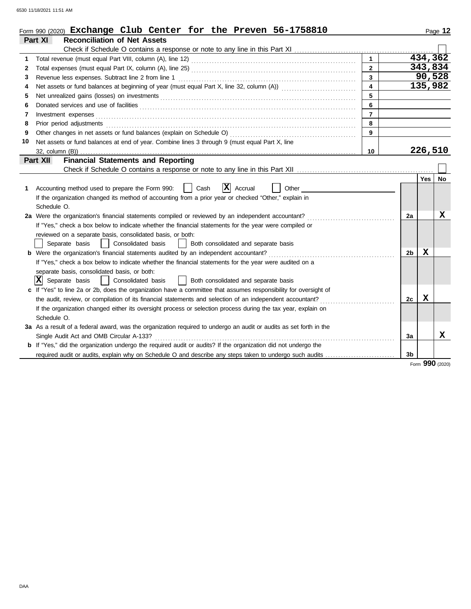|    | Form 990 (2020) Exchange Club Center for the Preven $56-1758810$                                                                                                                                                               |                         |         |          | Page 12 |
|----|--------------------------------------------------------------------------------------------------------------------------------------------------------------------------------------------------------------------------------|-------------------------|---------|----------|---------|
|    | Part XI<br><b>Reconciliation of Net Assets</b>                                                                                                                                                                                 |                         |         |          |         |
|    |                                                                                                                                                                                                                                |                         |         |          |         |
| 1  |                                                                                                                                                                                                                                | $\blacktriangleleft$    |         | 434, 362 |         |
| 2  |                                                                                                                                                                                                                                | $\overline{2}$          |         | 343,834  |         |
| 3  | Revenue less expenses. Subtract line 2 from line 1                                                                                                                                                                             | 3                       |         | 90,528   |         |
|    |                                                                                                                                                                                                                                | $\overline{\mathbf{4}}$ | 135,982 |          |         |
| 5  |                                                                                                                                                                                                                                | 5                       |         |          |         |
| 6  |                                                                                                                                                                                                                                | 6                       |         |          |         |
| 7  | Investment expenses <b>contract and the expenses</b>                                                                                                                                                                           | $\overline{7}$          |         |          |         |
| 8  | Prior period adjustments entertainments and adjustments and account of the contract of the contract of the contract of the contract of the contract of the contract of the contract of the contract of the contract of the con | 8                       |         |          |         |
| 9  |                                                                                                                                                                                                                                | 9                       |         |          |         |
| 10 | Net assets or fund balances at end of year. Combine lines 3 through 9 (must equal Part X, line                                                                                                                                 |                         |         |          |         |
|    | 32, column (B))                                                                                                                                                                                                                | 10                      |         | 226,510  |         |
|    | <b>Financial Statements and Reporting</b><br>Part XII                                                                                                                                                                          |                         |         |          |         |
|    |                                                                                                                                                                                                                                |                         |         |          |         |
|    |                                                                                                                                                                                                                                |                         |         | Yes      | No      |
| 1. | $ \mathbf{X} $ Accrual<br>Cash<br>Accounting method used to prepare the Form 990:<br>Other<br>$\mathbf{1}$                                                                                                                     |                         |         |          |         |
|    | If the organization changed its method of accounting from a prior year or checked "Other," explain in                                                                                                                          |                         |         |          |         |
|    | Schedule O.                                                                                                                                                                                                                    |                         |         |          |         |
|    | 2a Were the organization's financial statements compiled or reviewed by an independent accountant?                                                                                                                             |                         | 2a      |          | x       |
|    | If "Yes," check a box below to indicate whether the financial statements for the year were compiled or                                                                                                                         |                         |         |          |         |
|    | reviewed on a separate basis, consolidated basis, or both:                                                                                                                                                                     |                         |         |          |         |
|    | Consolidated basis<br>Separate basis<br>Both consolidated and separate basis                                                                                                                                                   |                         |         |          |         |
|    | <b>b</b> Were the organization's financial statements audited by an independent accountant?                                                                                                                                    |                         | 2b      | X        |         |
|    | If "Yes," check a box below to indicate whether the financial statements for the year were audited on a                                                                                                                        |                         |         |          |         |
|    | separate basis, consolidated basis, or both:                                                                                                                                                                                   |                         |         |          |         |
|    | $ \mathbf{X} $ Separate basis<br>Consolidated basis<br>Both consolidated and separate basis                                                                                                                                    |                         |         |          |         |
|    | c If "Yes" to line 2a or 2b, does the organization have a committee that assumes responsibility for oversight of                                                                                                               |                         |         |          |         |
|    | the audit, review, or compilation of its financial statements and selection of an independent accountant?                                                                                                                      |                         | 2c      | x        |         |
|    | If the organization changed either its oversight process or selection process during the tax year, explain on                                                                                                                  |                         |         |          |         |
|    | Schedule O.                                                                                                                                                                                                                    |                         |         |          |         |
|    | 3a As a result of a federal award, was the organization required to undergo an audit or audits as set forth in the                                                                                                             |                         |         |          |         |
|    | Single Audit Act and OMB Circular A-133?                                                                                                                                                                                       |                         | 3a      |          | x       |
|    | <b>b</b> If "Yes," did the organization undergo the required audit or audits? If the organization did not undergo the                                                                                                          |                         |         |          |         |
|    | required audit or audits, explain why on Schedule O and describe any steps taken to undergo such audits                                                                                                                        |                         | 3b      |          |         |
|    |                                                                                                                                                                                                                                |                         |         | $\sim$   |         |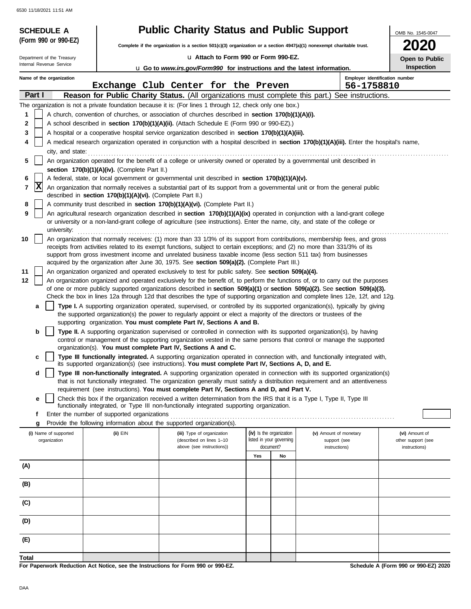6530 11/18/2021 11:51 AM

| <b>SCHEDULE A</b>                     |                                                                                                                                                                                                                                                  | <b>Public Charity Status and Public Support</b>                                                                                                                                                                                                           |                                                      |                                        | OMB No. 1545-0047                    |  |  |  |  |  |
|---------------------------------------|--------------------------------------------------------------------------------------------------------------------------------------------------------------------------------------------------------------------------------------------------|-----------------------------------------------------------------------------------------------------------------------------------------------------------------------------------------------------------------------------------------------------------|------------------------------------------------------|----------------------------------------|--------------------------------------|--|--|--|--|--|
| (Form 990 or 990-EZ)                  |                                                                                                                                                                                                                                                  | Complete if the organization is a section 501(c)(3) organization or a section 4947(a)(1) nonexempt charitable trust.                                                                                                                                      |                                                      |                                        | <b>2020</b>                          |  |  |  |  |  |
| Department of the Treasury            |                                                                                                                                                                                                                                                  | La Attach to Form 990 or Form 990-EZ.                                                                                                                                                                                                                     |                                                      |                                        | Open to Public                       |  |  |  |  |  |
| Internal Revenue Service              |                                                                                                                                                                                                                                                  | <b>u</b> Go to www.irs.gov/Form990 for instructions and the latest information.                                                                                                                                                                           |                                                      |                                        | <b>Inspection</b>                    |  |  |  |  |  |
| Name of the organization              |                                                                                                                                                                                                                                                  |                                                                                                                                                                                                                                                           |                                                      |                                        | Employer identification number       |  |  |  |  |  |
|                                       |                                                                                                                                                                                                                                                  | Exchange Club Center for the Preven                                                                                                                                                                                                                       |                                                      | 56-1758810                             |                                      |  |  |  |  |  |
| Part I                                |                                                                                                                                                                                                                                                  | Reason for Public Charity Status. (All organizations must complete this part.) See instructions.                                                                                                                                                          |                                                      |                                        |                                      |  |  |  |  |  |
| 1                                     |                                                                                                                                                                                                                                                  | The organization is not a private foundation because it is: (For lines 1 through 12, check only one box.)                                                                                                                                                 |                                                      |                                        |                                      |  |  |  |  |  |
| 2                                     |                                                                                                                                                                                                                                                  | A church, convention of churches, or association of churches described in section 170(b)(1)(A)(i).<br>A school described in section 170(b)(1)(A)(ii). (Attach Schedule E (Form 990 or 990-EZ).)                                                           |                                                      |                                        |                                      |  |  |  |  |  |
| 3                                     |                                                                                                                                                                                                                                                  | A hospital or a cooperative hospital service organization described in section 170(b)(1)(A)(iii).                                                                                                                                                         |                                                      |                                        |                                      |  |  |  |  |  |
|                                       |                                                                                                                                                                                                                                                  |                                                                                                                                                                                                                                                           |                                                      |                                        |                                      |  |  |  |  |  |
|                                       | A medical research organization operated in conjunction with a hospital described in section 170(b)(1)(A)(iii). Enter the hospital's name,<br>city, and state:                                                                                   |                                                                                                                                                                                                                                                           |                                                      |                                        |                                      |  |  |  |  |  |
| 5                                     |                                                                                                                                                                                                                                                  | An organization operated for the benefit of a college or university owned or operated by a governmental unit described in                                                                                                                                 |                                                      |                                        |                                      |  |  |  |  |  |
|                                       | section 170(b)(1)(A)(iv). (Complete Part II.)                                                                                                                                                                                                    | A federal, state, or local government or governmental unit described in section 170(b)(1)(A)(v).                                                                                                                                                          |                                                      |                                        |                                      |  |  |  |  |  |
| 6<br>$ {\bf x} $<br>7                 |                                                                                                                                                                                                                                                  | An organization that normally receives a substantial part of its support from a governmental unit or from the general public                                                                                                                              |                                                      |                                        |                                      |  |  |  |  |  |
|                                       | described in section 170(b)(1)(A)(vi). (Complete Part II.)                                                                                                                                                                                       |                                                                                                                                                                                                                                                           |                                                      |                                        |                                      |  |  |  |  |  |
| 8<br>9                                |                                                                                                                                                                                                                                                  | A community trust described in section 170(b)(1)(A)(vi). (Complete Part II.)<br>An agricultural research organization described in section 170(b)(1)(A)(ix) operated in conjunction with a land-grant college                                             |                                                      |                                        |                                      |  |  |  |  |  |
| university:                           |                                                                                                                                                                                                                                                  | or university or a non-land-grant college of agriculture (see instructions). Enter the name, city, and state of the college or                                                                                                                            |                                                      |                                        |                                      |  |  |  |  |  |
| 10                                    |                                                                                                                                                                                                                                                  | An organization that normally receives: (1) more than 33 1/3% of its support from contributions, membership fees, and gross                                                                                                                               |                                                      |                                        |                                      |  |  |  |  |  |
|                                       | receipts from activities related to its exempt functions, subject to certain exceptions; and (2) no more than 331/3% of its<br>support from gross investment income and unrelated business taxable income (less section 511 tax) from businesses |                                                                                                                                                                                                                                                           |                                                      |                                        |                                      |  |  |  |  |  |
|                                       | acquired by the organization after June 30, 1975. See section 509(a)(2). (Complete Part III.)                                                                                                                                                    |                                                                                                                                                                                                                                                           |                                                      |                                        |                                      |  |  |  |  |  |
| 11<br>12                              |                                                                                                                                                                                                                                                  | An organization organized and operated exclusively to test for public safety. See section 509(a)(4).<br>An organization organized and operated exclusively for the benefit of, to perform the functions of, or to carry out the purposes                  |                                                      |                                        |                                      |  |  |  |  |  |
|                                       |                                                                                                                                                                                                                                                  | of one or more publicly supported organizations described in section 509(a)(1) or section 509(a)(2). See section 509(a)(3).                                                                                                                               |                                                      |                                        |                                      |  |  |  |  |  |
|                                       |                                                                                                                                                                                                                                                  | Check the box in lines 12a through 12d that describes the type of supporting organization and complete lines 12e, 12f, and 12g.                                                                                                                           |                                                      |                                        |                                      |  |  |  |  |  |
| a                                     |                                                                                                                                                                                                                                                  | Type I. A supporting organization operated, supervised, or controlled by its supported organization(s), typically by giving<br>the supported organization(s) the power to regularly appoint or elect a majority of the directors or trustees of the       |                                                      |                                        |                                      |  |  |  |  |  |
| b                                     |                                                                                                                                                                                                                                                  | supporting organization. You must complete Part IV, Sections A and B.<br>Type II. A supporting organization supervised or controlled in connection with its supported organization(s), by having                                                          |                                                      |                                        |                                      |  |  |  |  |  |
|                                       |                                                                                                                                                                                                                                                  | control or management of the supporting organization vested in the same persons that control or manage the supported<br>organization(s). You must complete Part IV, Sections A and C.                                                                     |                                                      |                                        |                                      |  |  |  |  |  |
| c                                     |                                                                                                                                                                                                                                                  | Type III functionally integrated. A supporting organization operated in connection with, and functionally integrated with,                                                                                                                                |                                                      |                                        |                                      |  |  |  |  |  |
|                                       |                                                                                                                                                                                                                                                  | its supported organization(s) (see instructions). You must complete Part IV, Sections A, D, and E.                                                                                                                                                        |                                                      |                                        |                                      |  |  |  |  |  |
| d                                     |                                                                                                                                                                                                                                                  | Type III non-functionally integrated. A supporting organization operated in connection with its supported organization(s)<br>that is not functionally integrated. The organization generally must satisfy a distribution requirement and an attentiveness |                                                      |                                        |                                      |  |  |  |  |  |
|                                       |                                                                                                                                                                                                                                                  | requirement (see instructions). You must complete Part IV, Sections A and D, and Part V.                                                                                                                                                                  |                                                      |                                        |                                      |  |  |  |  |  |
| е                                     |                                                                                                                                                                                                                                                  | Check this box if the organization received a written determination from the IRS that it is a Type I, Type II, Type III<br>functionally integrated, or Type III non-functionally integrated supporting organization.                                      |                                                      |                                        |                                      |  |  |  |  |  |
| f                                     | Enter the number of supported organizations                                                                                                                                                                                                      |                                                                                                                                                                                                                                                           |                                                      |                                        |                                      |  |  |  |  |  |
| g                                     |                                                                                                                                                                                                                                                  | Provide the following information about the supported organization(s).                                                                                                                                                                                    |                                                      |                                        |                                      |  |  |  |  |  |
| (i) Name of supported<br>organization | $(ii)$ $EIN$                                                                                                                                                                                                                                     | (iii) Type of organization<br>(described on lines 1-10                                                                                                                                                                                                    | (iv) Is the organization<br>listed in your governing | (v) Amount of monetary<br>support (see | (vi) Amount of<br>other support (see |  |  |  |  |  |
|                                       |                                                                                                                                                                                                                                                  | above (see instructions))                                                                                                                                                                                                                                 | document?                                            | instructions)                          | instructions)                        |  |  |  |  |  |
|                                       |                                                                                                                                                                                                                                                  |                                                                                                                                                                                                                                                           | Yes<br>No                                            |                                        |                                      |  |  |  |  |  |
| (A)                                   |                                                                                                                                                                                                                                                  |                                                                                                                                                                                                                                                           |                                                      |                                        |                                      |  |  |  |  |  |
| (B)                                   |                                                                                                                                                                                                                                                  |                                                                                                                                                                                                                                                           |                                                      |                                        |                                      |  |  |  |  |  |
| (C)                                   |                                                                                                                                                                                                                                                  |                                                                                                                                                                                                                                                           |                                                      |                                        |                                      |  |  |  |  |  |
| (D)                                   |                                                                                                                                                                                                                                                  |                                                                                                                                                                                                                                                           |                                                      |                                        |                                      |  |  |  |  |  |
| (E)                                   |                                                                                                                                                                                                                                                  |                                                                                                                                                                                                                                                           |                                                      |                                        |                                      |  |  |  |  |  |
| Total                                 |                                                                                                                                                                                                                                                  |                                                                                                                                                                                                                                                           |                                                      |                                        |                                      |  |  |  |  |  |
|                                       |                                                                                                                                                                                                                                                  | For Paperwork Reduction Act Notice, see the Instructions for Form 990 or 990-EZ.                                                                                                                                                                          |                                                      |                                        | Schedule A (Form 990 or 990-EZ) 2020 |  |  |  |  |  |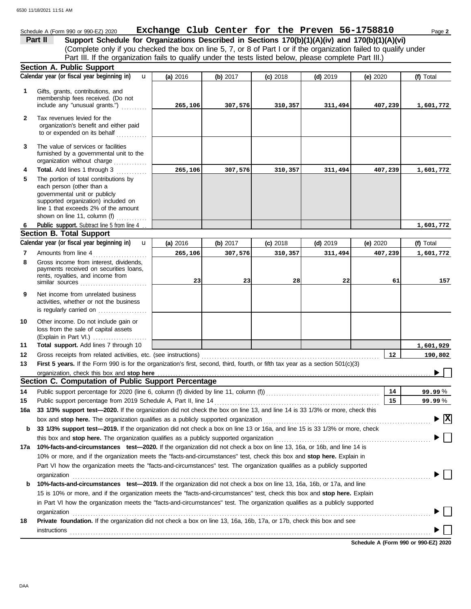### Schedule A (Form 990 or 990-EZ) 2020 Page **2 Exchange Club Center for the Preven 56-1758810**

(Complete only if you checked the box on line 5, 7, or 8 of Part I or if the organization failed to qualify under **Part II** Support Schedule for Organizations Described in Sections 170(b)(1)(A)(iv) and 170(b)(1)(A)(vi) Part III. If the organization fails to qualify under the tests listed below, please complete Part III.)

|              | <b>Section A. Public Support</b>                                                                                                                                                                                   |          |            |            |            |                                      |                         |
|--------------|--------------------------------------------------------------------------------------------------------------------------------------------------------------------------------------------------------------------|----------|------------|------------|------------|--------------------------------------|-------------------------|
|              | Calendar year (or fiscal year beginning in)<br>u                                                                                                                                                                   | (a) 2016 | (b) $2017$ | $(c)$ 2018 | $(d)$ 2019 | (e) 2020                             | (f) Total               |
| 1            | Gifts, grants, contributions, and<br>membership fees received. (Do not<br>include any "unusual grants.")                                                                                                           | 265,106  | 307,576    | 310,357    | 311,494    | 407,239                              | 1,601,772               |
| $\mathbf{2}$ | Tax revenues levied for the<br>organization's benefit and either paid<br>to or expended on its behalf                                                                                                              |          |            |            |            |                                      |                         |
| 3            | The value of services or facilities<br>furnished by a governmental unit to the<br>organization without charge                                                                                                      |          |            |            |            |                                      |                         |
| 4            | Total. Add lines 1 through 3                                                                                                                                                                                       | 265,106  | 307,576    | 310,357    | 311,494    | 407,239                              | 1,601,772               |
| 5            | The portion of total contributions by<br>each person (other than a<br>governmental unit or publicly<br>supported organization) included on<br>line 1 that exceeds 2% of the amount<br>shown on line 11, column (f) |          |            |            |            |                                      |                         |
| 6            | Public support. Subtract line 5 from line 4                                                                                                                                                                        |          |            |            |            |                                      | 1,601,772               |
|              | <b>Section B. Total Support</b>                                                                                                                                                                                    |          |            |            |            |                                      |                         |
|              | Calendar year (or fiscal year beginning in)<br>$\mathbf{u}$                                                                                                                                                        | (a) 2016 | (b) $2017$ | $(c)$ 2018 | $(d)$ 2019 | (e) 2020                             | (f) Total               |
| 7            | Amounts from line 4                                                                                                                                                                                                | 265,106  | 307,576    | 310,357    | 311,494    | 407,239                              | 1,601,772               |
| 8            | Gross income from interest, dividends,<br>payments received on securities loans,<br>rents, royalties, and income from<br>similar sources                                                                           | 23       | 23         | 28         | 22         | 61                                   | 157                     |
| 9            | Net income from unrelated business<br>activities, whether or not the business                                                                                                                                      |          |            |            |            |                                      |                         |
| 10<br>11     | Other income. Do not include gain or<br>loss from the sale of capital assets<br>(Explain in Part VI.)<br>Total support. Add lines 7 through 10                                                                     |          |            |            |            |                                      |                         |
|              |                                                                                                                                                                                                                    |          |            |            |            |                                      | 1,601,929               |
| 12<br>13     | Gross receipts from related activities, etc. (see instructions)<br>First 5 years. If the Form 990 is for the organization's first, second, third, fourth, or fifth tax year as a section 501(c)(3)                 |          |            |            |            | 12                                   | 190,802                 |
|              | organization, check this box and stop here                                                                                                                                                                         |          |            |            |            |                                      |                         |
|              | Section C. Computation of Public Support Percentage                                                                                                                                                                |          |            |            |            |                                      |                         |
| 14           | Public support percentage for 2020 (line 6, column (f) divided by line 11, column (f)) [[[[[[[[[[[[[[[[[[[[[[                                                                                                      |          |            |            |            | 14                                   | 99.99%                  |
| 15           |                                                                                                                                                                                                                    |          |            |            |            | 15                                   | 99.99%                  |
| 16a          | Public support percentage from 2019 Schedule A, Part II, line 14<br>33 1/3% support test-2020. If the organization did not check the box on line 13, and line 14 is 33 1/3% or more, check this                    |          |            |            |            |                                      |                         |
|              | box and stop here. The organization qualifies as a publicly supported organization                                                                                                                                 |          |            |            |            |                                      | $\overline{\mathbf{x}}$ |
| b            | 33 1/3% support test-2019. If the organization did not check a box on line 13 or 16a, and line 15 is 33 1/3% or more, check                                                                                        |          |            |            |            |                                      |                         |
|              | this box and stop here. The organization qualifies as a publicly supported organization                                                                                                                            |          |            |            |            |                                      |                         |
| 17а          | 10%-facts-and-circumstances test-2020. If the organization did not check a box on line 13, 16a, or 16b, and line 14 is                                                                                             |          |            |            |            |                                      |                         |
|              | 10% or more, and if the organization meets the "facts-and-circumstances" test, check this box and stop here. Explain in                                                                                            |          |            |            |            |                                      |                         |
|              | Part VI how the organization meets the "facts-and-circumstances" test. The organization qualifies as a publicly supported                                                                                          |          |            |            |            |                                      |                         |
|              | organization                                                                                                                                                                                                       |          |            |            |            |                                      |                         |
| b            | 10%-facts-and-circumstances test-2019. If the organization did not check a box on line 13, 16a, 16b, or 17a, and line                                                                                              |          |            |            |            |                                      |                         |
|              | 15 is 10% or more, and if the organization meets the "facts-and-circumstances" test, check this box and stop here. Explain                                                                                         |          |            |            |            |                                      |                         |
|              | in Part VI how the organization meets the "facts-and-circumstances" test. The organization qualifies as a publicly supported                                                                                       |          |            |            |            |                                      |                         |
| 18           | organization<br>Private foundation. If the organization did not check a box on line 13, 16a, 16b, 17a, or 17b, check this box and see                                                                              |          |            |            |            |                                      |                         |
|              | instructions                                                                                                                                                                                                       |          |            |            |            |                                      |                         |
|              |                                                                                                                                                                                                                    |          |            |            |            |                                      |                         |
|              |                                                                                                                                                                                                                    |          |            |            |            | Schedule A (Form 990 or 990-EZ) 2020 |                         |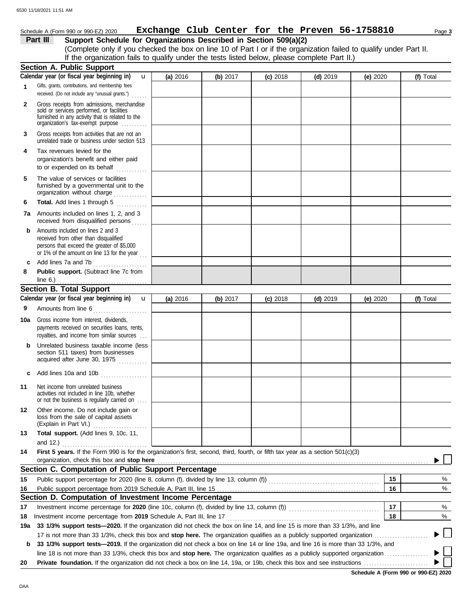## Schedule A (Form 990 or 990-EZ) 2020 Page **3 Exchange Club Center for the Preven 56-1758810**

**Part III Support Schedule for Organizations Described in Section 509(a)(2)** (Complete only if you checked the box on line 10 of Part I or if the organization failed to qualify under Part II. If the organization fails to qualify under the tests listed below, please complete Part II.)

|     | <b>Section A. Public Support</b>                                                                                                                                                  |          |          |            |            |            |                |
|-----|-----------------------------------------------------------------------------------------------------------------------------------------------------------------------------------|----------|----------|------------|------------|------------|----------------|
|     | Calendar year (or fiscal year beginning in)<br>$\mathbf{u}$                                                                                                                       | (a) 2016 | (b) 2017 | $(c)$ 2018 | $(d)$ 2019 | (e) 2020   | (f) Total      |
| 1   | Gifts, grants, contributions, and membership fees<br>received. (Do not include any "unusual grants.")                                                                             |          |          |            |            |            |                |
| 2   | Gross receipts from admissions, merchandise<br>sold or services performed, or facilities<br>furnished in any activity that is related to the<br>organization's tax-exempt purpose |          |          |            |            |            |                |
| 3   | Gross receipts from activities that are not an<br>unrelated trade or business under section 513                                                                                   |          |          |            |            |            |                |
| 4   | Tax revenues levied for the<br>organization's benefit and either paid<br>to or expended on its behalf<br><u>.</u>                                                                 |          |          |            |            |            |                |
| 5   | The value of services or facilities<br>furnished by a governmental unit to the                                                                                                    |          |          |            |            |            |                |
| 6   | Total. Add lines 1 through 5                                                                                                                                                      |          |          |            |            |            |                |
| 7а  | Amounts included on lines 1, 2, and 3<br>received from disqualified persons                                                                                                       |          |          |            |            |            |                |
| b   | Amounts included on lines 2 and 3<br>received from other than disqualified<br>persons that exceed the greater of \$5,000<br>or 1% of the amount on line 13 for the year $\ldots$  |          |          |            |            |            |                |
| c   | Add lines 7a and 7b                                                                                                                                                               |          |          |            |            |            |                |
| 8   | Public support. (Subtract line 7c from<br>line $6.$ )<br>.                                                                                                                        |          |          |            |            |            |                |
|     | <b>Section B. Total Support</b>                                                                                                                                                   |          |          |            |            |            |                |
|     | Calendar year (or fiscal year beginning in)<br>$\mathbf{u}$                                                                                                                       | (a) 2016 | (b) 2017 | $(c)$ 2018 | $(d)$ 2019 | (e) $2020$ | (f) Total      |
| 9   | Amounts from line 6                                                                                                                                                               |          |          |            |            |            |                |
| 10a | Gross income from interest, dividends,<br>payments received on securities loans, rents,<br>royalties, and income from similar sources                                             |          |          |            |            |            |                |
| b   | Unrelated business taxable income (less<br>section 511 taxes) from businesses<br>acquired after June 30, 1975                                                                     |          |          |            |            |            |                |
|     | Add lines 10a and 10b                                                                                                                                                             |          |          |            |            |            |                |
| 11  | Net income from unrelated business<br>activities not included in line 10b, whether<br>or not the business is regularly carried on                                                 |          |          |            |            |            |                |
| 12  | Other income. Do not include gain or<br>loss from the sale of capital assets<br>(Explain in Part VI.)                                                                             |          |          |            |            |            |                |
| 13  | Total support. (Add lines 9, 10c, 11,                                                                                                                                             |          |          |            |            |            |                |
|     | and $12.$ )                                                                                                                                                                       |          |          |            |            |            |                |
| 14  | First 5 years. If the Form 990 is for the organization's first, second, third, fourth, or fifth tax year as a section 501(c)(3)                                                   |          |          |            |            |            |                |
|     | organization, check this box and stop here                                                                                                                                        |          |          |            |            |            |                |
|     | Section C. Computation of Public Support Percentage                                                                                                                               |          |          |            |            | 15         | %              |
| 15  |                                                                                                                                                                                   |          |          |            |            | 16         | %              |
| 16  | Section D. Computation of Investment Income Percentage                                                                                                                            |          |          |            |            |            |                |
| 17  |                                                                                                                                                                                   |          |          |            |            | 17         | %              |
| 18  |                                                                                                                                                                                   |          |          |            |            | 18         | %              |
| 19a | 33 1/3% support tests-2020. If the organization did not check the box on line 14, and line 15 is more than 33 1/3%, and line                                                      |          |          |            |            |            |                |
|     |                                                                                                                                                                                   |          |          |            |            |            | $\mathbb{R}^2$ |
| b   | 33 1/3% support tests-2019. If the organization did not check a box on line 14 or line 19a, and line 16 is more than 33 1/3%, and                                                 |          |          |            |            |            |                |
|     |                                                                                                                                                                                   |          |          |            |            |            |                |
| 20  |                                                                                                                                                                                   |          |          |            |            |            |                |

**Schedule A (Form 990 or 990-EZ) 2020**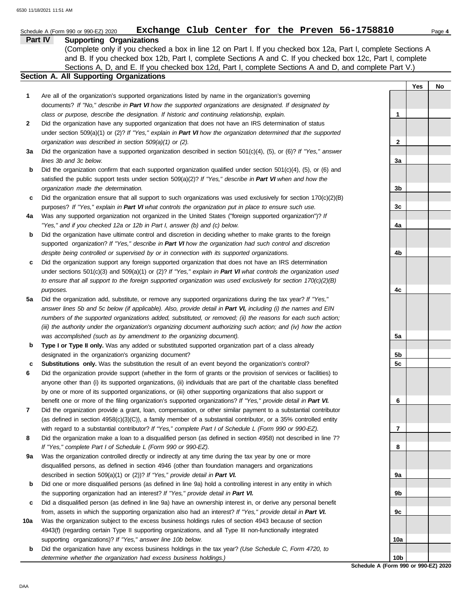# **Part IV Supporting Organizations**

Sections A, D, and E. If you checked box 12d, Part I, complete Sections A and D, and complete Part V.) (Complete only if you checked a box in line 12 on Part I. If you checked box 12a, Part I, complete Sections A and B. If you checked box 12b, Part I, complete Sections A and C. If you checked box 12c, Part I, complete

### **Section A. All Supporting Organizations**

- Are all of the organization's supported organizations listed by name in the organization's governing documents? *If "No," describe in Part VI how the supported organizations are designated. If designated by class or purpose, describe the designation. If historic and continuing relationship, explain.* **1**
- Did the organization have any supported organization that does not have an IRS determination of status under section 509(a)(1) or (2)? *If "Yes," explain in Part VI how the organization determined that the supported organization was described in section 509(a)(1) or (2).* **2**
- **3a** Did the organization have a supported organization described in section 501(c)(4), (5), or (6)? *If "Yes," answer lines 3b and 3c below.*
- **b** Did the organization confirm that each supported organization qualified under section 501(c)(4), (5), or (6) and satisfied the public support tests under section 509(a)(2)? *If "Yes," describe in Part VI when and how the organization made the determination.*
- **c** Did the organization ensure that all support to such organizations was used exclusively for section 170(c)(2)(B) purposes? *If "Yes," explain in Part VI what controls the organization put in place to ensure such use.*
- **4a** Was any supported organization not organized in the United States ("foreign supported organization")? *If "Yes," and if you checked 12a or 12b in Part I, answer (b) and (c) below.*
- **b** Did the organization have ultimate control and discretion in deciding whether to make grants to the foreign supported organization? *If "Yes," describe in Part VI how the organization had such control and discretion despite being controlled or supervised by or in connection with its supported organizations.*
- **c** Did the organization support any foreign supported organization that does not have an IRS determination under sections 501(c)(3) and 509(a)(1) or (2)? *If "Yes," explain in Part VI what controls the organization used to ensure that all support to the foreign supported organization was used exclusively for section 170(c)(2)(B) purposes.*
- **5a** Did the organization add, substitute, or remove any supported organizations during the tax year? *If "Yes," answer lines 5b and 5c below (if applicable). Also, provide detail in Part VI, including (i) the names and EIN numbers of the supported organizations added, substituted, or removed; (ii) the reasons for each such action; (iii) the authority under the organization's organizing document authorizing such action; and (iv) how the action was accomplished (such as by amendment to the organizing document).*
- **b Type I or Type II only.** Was any added or substituted supported organization part of a class already designated in the organization's organizing document?
- **c** Substitutions only. Was the substitution the result of an event beyond the organization's control?
- **6** Did the organization provide support (whether in the form of grants or the provision of services or facilities) to anyone other than (i) its supported organizations, (ii) individuals that are part of the charitable class benefited by one or more of its supported organizations, or (iii) other supporting organizations that also support or benefit one or more of the filing organization's supported organizations? *If "Yes," provide detail in Part VI.*
- **7** Did the organization provide a grant, loan, compensation, or other similar payment to a substantial contributor (as defined in section 4958(c)(3)(C)), a family member of a substantial contributor, or a 35% controlled entity with regard to a substantial contributor? *If "Yes," complete Part I of Schedule L (Form 990 or 990-EZ).*
- **8** Did the organization make a loan to a disqualified person (as defined in section 4958) not described in line 7? *If "Yes," complete Part I of Schedule L (Form 990 or 990-EZ).*
- **9a** Was the organization controlled directly or indirectly at any time during the tax year by one or more disqualified persons, as defined in section 4946 (other than foundation managers and organizations described in section 509(a)(1) or (2))? *If "Yes," provide detail in Part VI.*
- **b** Did one or more disqualified persons (as defined in line 9a) hold a controlling interest in any entity in which the supporting organization had an interest? *If "Yes," provide detail in Part VI.*
- **c** Did a disqualified person (as defined in line 9a) have an ownership interest in, or derive any personal benefit from, assets in which the supporting organization also had an interest? *If "Yes," provide detail in Part VI.*
- **10a** Was the organization subject to the excess business holdings rules of section 4943 because of section 4943(f) (regarding certain Type II supporting organizations, and all Type III non-functionally integrated supporting organizations)? *If "Yes," answer line 10b below.*
	- **b** Did the organization have any excess business holdings in the tax year? *(Use Schedule C, Form 4720, to determine whether the organization had excess business holdings.)*

|                 | Yes | No |
|-----------------|-----|----|
|                 |     |    |
| 1               |     |    |
|                 |     |    |
| $\overline{2}$  |     |    |
|                 |     |    |
| <u>3a</u>       |     |    |
|                 |     |    |
| 3 <sub>b</sub>  |     |    |
| $\frac{3c}{2}$  |     |    |
|                 |     |    |
| <u>4a</u>       |     |    |
|                 |     |    |
| 4b              |     |    |
|                 |     |    |
|                 |     |    |
| 4c              |     |    |
|                 |     |    |
|                 |     |    |
|                 |     |    |
| $\frac{5a}{2}$  |     |    |
| $\frac{5b}{2}$  |     |    |
| <u>5c</u>       |     |    |
|                 |     |    |
|                 |     |    |
| 6               |     |    |
|                 |     |    |
| 7               |     |    |
| 8               |     |    |
|                 |     |    |
|                 |     |    |
| <u>9a</u>       |     |    |
| <u>9b</u>       |     |    |
|                 |     |    |
| <u>9c</u>       |     |    |
|                 |     |    |
| 10a             |     |    |
| 10 <sub>b</sub> |     |    |

**Schedule A (Form 990 or 990-EZ) 2020**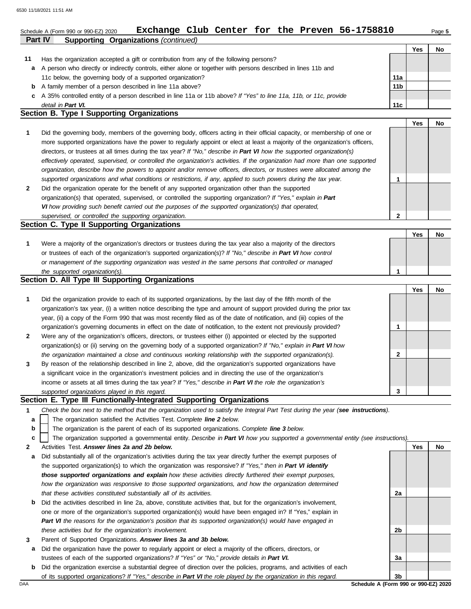#### **Part IV Supporting Organizations** *(continued)* Schedule A (Form 990 or 990-EZ) 2020 Page **5 Exchange Club Center for the Preven 56-1758810 Yes No Section B. Type I Supporting Organizations 11 c** A 35% controlled entity of a person described in line 11a or 11b above? *If "Yes" to line 11a, 11b, or 11c, provide* **b** A family member of a person described in line 11a above? **a** A person who directly or indirectly controls, either alone or together with persons described in lines 11b and Has the organization accepted a gift or contribution from any of the following persons? 11c below, the governing body of a supported organization? *detail in Part VI.* **11a 11b 11c Yes No**

|              |                                                                                                                                                                                                                                                                                                                                                                                        |   | 155 | IVU |
|--------------|----------------------------------------------------------------------------------------------------------------------------------------------------------------------------------------------------------------------------------------------------------------------------------------------------------------------------------------------------------------------------------------|---|-----|-----|
| 1            | Did the governing body, members of the governing body, officers acting in their official capacity, or membership of one or<br>more supported organizations have the power to regularly appoint or elect at least a majority of the organization's officers,<br>directors, or trustees at all times during the tax year? If "No," describe in Part VI how the supported organization(s) |   |     |     |
|              | effectively operated, supervised, or controlled the organization's activities. If the organization had more than one supported<br>organization, describe how the powers to appoint and/or remove officers, directors, or trustees were allocated among the                                                                                                                             |   |     |     |
|              | supported organizations and what conditions or restrictions, if any, applied to such powers during the tax year.                                                                                                                                                                                                                                                                       |   |     |     |
| $\mathbf{2}$ | Did the organization operate for the benefit of any supported organization other than the supported<br>organization(s) that operated, supervised, or controlled the supporting organization? If "Yes," explain in Part<br>VI how providing such benefit carried out the purposes of the supported organization(s) that operated,                                                       |   |     |     |
|              | supervised, or controlled the supporting organization.                                                                                                                                                                                                                                                                                                                                 | ົ |     |     |

### *supervised, or controlled the supporting organization.* **Section C. Type II Supporting Organizations**

|                                                                                                                  |  | <b>N</b> c |
|------------------------------------------------------------------------------------------------------------------|--|------------|
| Were a majority of the organization's directors or trustees during the tax year also a majority of the directors |  |            |
| or trustees of each of the organization's supported organization(s)? If "No," describe in Part VI how control    |  |            |
| or management of the supporting organization was vested in the same persons that controlled or managed           |  |            |
| the supported organization(s).                                                                                   |  |            |

### **Section D. All Type III Supporting Organizations**

|                |                                                                                                                        |   | Yes | No |
|----------------|------------------------------------------------------------------------------------------------------------------------|---|-----|----|
| 1              | Did the organization provide to each of its supported organizations, by the last day of the fifth month of the         |   |     |    |
|                | organization's tax year, (i) a written notice describing the type and amount of support provided during the prior tax  |   |     |    |
|                | year, (ii) a copy of the Form 990 that was most recently filed as of the date of notification, and (iii) copies of the |   |     |    |
|                | organization's governing documents in effect on the date of notification, to the extent not previously provided?       |   |     |    |
| $\overline{2}$ | Were any of the organization's officers, directors, or trustees either (i) appointed or elected by the supported       |   |     |    |
|                | organization(s) or (ii) serving on the governing body of a supported organization? If "No," explain in Part VI how     |   |     |    |
|                | the organization maintained a close and continuous working relationship with the supported organization(s).            | 2 |     |    |
| $\mathbf{3}$   | By reason of the relationship described in line 2, above, did the organization's supported organizations have          |   |     |    |
|                | a significant voice in the organization's investment policies and in directing the use of the organization's           |   |     |    |
|                | income or assets at all times during the tax year? If "Yes," describe in Part VI the role the organization's           |   |     |    |
|                | supported organizations played in this regard.                                                                         | 3 |     |    |

### **Section E. Type III Functionally-Integrated Supporting Organizations**

- **1** *Check the box next to the method that the organization used to satisfy the Integral Part Test during the year (see instructions).*
	- The organization satisfied the Activities Test. *Complete line 2 below.* **a**
	- The organization is the parent of each of its supported organizations. *Complete line 3 below.* **b**
	- The organization supported a governmental entity. *Describe in Part VI how you supported a governmental entity (see instructions).* **c**
- **2** Activities Test. *Answer lines 2a and 2b below.*
- **a** Did substantially all of the organization's activities during the tax year directly further the exempt purposes of the supported organization(s) to which the organization was responsive? *If "Yes," then in Part VI identify those supported organizations and explain how these activities directly furthered their exempt purposes, how the organization was responsive to those supported organizations, and how the organization determined that these activities constituted substantially all of its activities.*
- **b** Did the activities described in line 2a, above, constitute activities that, but for the organization's involvement, one or more of the organization's supported organization(s) would have been engaged in? If "Yes," explain in *Part VI the reasons for the organization's position that its supported organization(s) would have engaged in these activities but for the organization's involvement.*
- **3** Parent of Supported Organizations. *Answer lines 3a and 3b below.*
- **a** Did the organization have the power to regularly appoint or elect a majority of the officers, directors, or trustees of each of the supported organizations? *If "Yes" or "No," provide details in Part VI.*
- **b** Did the organization exercise a substantial degree of direction over the policies, programs, and activities of each of its supported organizations? *If "Yes," describe in Part VI the role played by the organization in this regard.*

**2b 3a 3b**

**Yes No**

DAA **Schedule A (Form 990 or 990-EZ) 2020**

**2a**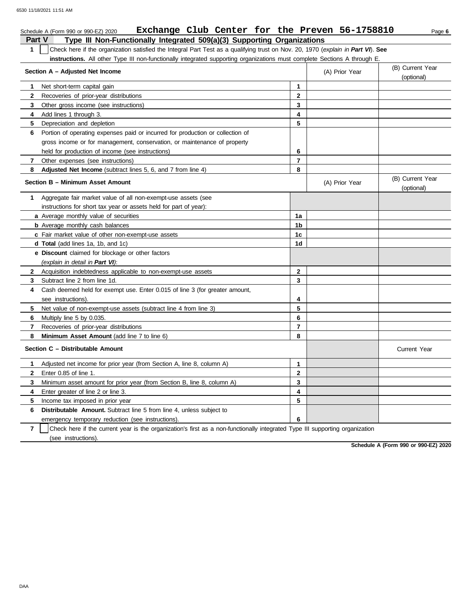|                                                                       | Exchange Club Center for the Preven 56-1758810<br>Schedule A (Form 990 or 990-EZ) 2020                                           |                |  |                | Page 6                         |  |  |  |  |
|-----------------------------------------------------------------------|----------------------------------------------------------------------------------------------------------------------------------|----------------|--|----------------|--------------------------------|--|--|--|--|
| <b>Part V</b>                                                         | Type III Non-Functionally Integrated 509(a)(3) Supporting Organizations                                                          |                |  |                |                                |  |  |  |  |
| $\mathbf{1}$                                                          | Check here if the organization satisfied the Integral Part Test as a qualifying trust on Nov. 20, 1970 (explain in Part VI). See |                |  |                |                                |  |  |  |  |
|                                                                       | instructions. All other Type III non-functionally integrated supporting organizations must complete Sections A through E.        |                |  |                |                                |  |  |  |  |
| (B) Current Year<br>Section A - Adjusted Net Income<br>(A) Prior Year |                                                                                                                                  |                |  |                |                                |  |  |  |  |
| 1                                                                     | Net short-term capital gain                                                                                                      | $\mathbf{1}$   |  |                |                                |  |  |  |  |
| 2                                                                     | Recoveries of prior-year distributions                                                                                           | $\overline{2}$ |  |                |                                |  |  |  |  |
| 3                                                                     | Other gross income (see instructions)                                                                                            | 3              |  |                |                                |  |  |  |  |
| 4                                                                     | Add lines 1 through 3.                                                                                                           | 4              |  |                |                                |  |  |  |  |
| 5                                                                     | Depreciation and depletion                                                                                                       | 5              |  |                |                                |  |  |  |  |
| 6                                                                     | Portion of operating expenses paid or incurred for production or collection of                                                   |                |  |                |                                |  |  |  |  |
|                                                                       | gross income or for management, conservation, or maintenance of property                                                         |                |  |                |                                |  |  |  |  |
|                                                                       | held for production of income (see instructions)                                                                                 | 6              |  |                |                                |  |  |  |  |
| 7                                                                     | Other expenses (see instructions)                                                                                                | 7              |  |                |                                |  |  |  |  |
| 8                                                                     | Adjusted Net Income (subtract lines 5, 6, and 7 from line 4)                                                                     | 8              |  |                |                                |  |  |  |  |
|                                                                       | Section B - Minimum Asset Amount                                                                                                 |                |  | (A) Prior Year | (B) Current Year<br>(optional) |  |  |  |  |
| 1                                                                     | Aggregate fair market value of all non-exempt-use assets (see                                                                    |                |  |                |                                |  |  |  |  |
|                                                                       | instructions for short tax year or assets held for part of year):                                                                |                |  |                |                                |  |  |  |  |
|                                                                       | a Average monthly value of securities                                                                                            | 1a             |  |                |                                |  |  |  |  |
|                                                                       | <b>b</b> Average monthly cash balances                                                                                           | 1b             |  |                |                                |  |  |  |  |
|                                                                       | c Fair market value of other non-exempt-use assets                                                                               | 1c             |  |                |                                |  |  |  |  |
|                                                                       | <b>d Total</b> (add lines 1a, 1b, and 1c)                                                                                        | 1d             |  |                |                                |  |  |  |  |
|                                                                       | e Discount claimed for blockage or other factors                                                                                 |                |  |                |                                |  |  |  |  |
|                                                                       | (explain in detail in Part VI):                                                                                                  |                |  |                |                                |  |  |  |  |
| $\mathbf{2}$                                                          | Acquisition indebtedness applicable to non-exempt-use assets                                                                     | $\overline{2}$ |  |                |                                |  |  |  |  |
| 3                                                                     | Subtract line 2 from line 1d.                                                                                                    | 3              |  |                |                                |  |  |  |  |
| 4                                                                     | Cash deemed held for exempt use. Enter 0.015 of line 3 (for greater amount,                                                      |                |  |                |                                |  |  |  |  |
|                                                                       | see instructions).                                                                                                               | 4              |  |                |                                |  |  |  |  |
| 5                                                                     | Net value of non-exempt-use assets (subtract line 4 from line 3)                                                                 | 5              |  |                |                                |  |  |  |  |
| 6                                                                     | Multiply line 5 by 0.035.                                                                                                        | 6              |  |                |                                |  |  |  |  |
| 7                                                                     | Recoveries of prior-year distributions                                                                                           | $\overline{7}$ |  |                |                                |  |  |  |  |
| 8                                                                     | Minimum Asset Amount (add line 7 to line 6)                                                                                      | 8              |  |                |                                |  |  |  |  |
|                                                                       | Section C - Distributable Amount                                                                                                 |                |  |                | <b>Current Year</b>            |  |  |  |  |
| 1                                                                     | Adjusted net income for prior year (from Section A, line 8, column A)                                                            | $\mathbf{1}$   |  |                |                                |  |  |  |  |
| $\mathbf{2}$                                                          | Enter 0.85 of line 1.                                                                                                            | $\mathbf{2}$   |  |                |                                |  |  |  |  |
| 3                                                                     | Minimum asset amount for prior year (from Section B, line 8, column A)                                                           | 3              |  |                |                                |  |  |  |  |
| 4                                                                     | Enter greater of line 2 or line 3.                                                                                               | 4              |  |                |                                |  |  |  |  |
| 5                                                                     | Income tax imposed in prior year                                                                                                 | 5              |  |                |                                |  |  |  |  |
| 6                                                                     | Distributable Amount. Subtract line 5 from line 4, unless subject to                                                             |                |  |                |                                |  |  |  |  |
|                                                                       | emergency temporary reduction (see instructions).                                                                                | 6              |  |                |                                |  |  |  |  |
|                                                                       |                                                                                                                                  |                |  |                |                                |  |  |  |  |

**7** | Check here if the current year is the organization's first as a non-functionally integrated Type III supporting organization (see instructions).

**Schedule A (Form 990 or 990-EZ) 2020**

DAA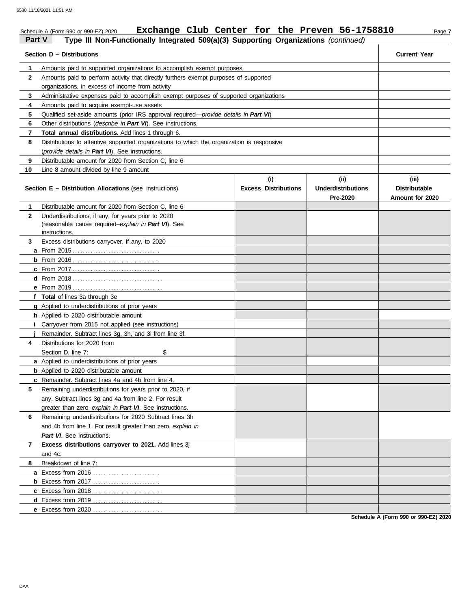### Schedule A (Form 990 or 990-EZ) 2020 Page **7 Exchange Club Center for the Preven 56-1758810**

| Type III Non-Functionally Integrated 509(a)(3) Supporting Organizations (continued)<br>Part V |                                                                                                                                                               |                                    |                                                      |                                                  |  |  |  |
|-----------------------------------------------------------------------------------------------|---------------------------------------------------------------------------------------------------------------------------------------------------------------|------------------------------------|------------------------------------------------------|--------------------------------------------------|--|--|--|
|                                                                                               | Section D - Distributions                                                                                                                                     |                                    |                                                      | <b>Current Year</b>                              |  |  |  |
| 1.                                                                                            |                                                                                                                                                               |                                    |                                                      |                                                  |  |  |  |
| $\mathbf{2}$                                                                                  | Amounts paid to supported organizations to accomplish exempt purposes<br>Amounts paid to perform activity that directly furthers exempt purposes of supported |                                    |                                                      |                                                  |  |  |  |
|                                                                                               | organizations, in excess of income from activity                                                                                                              |                                    |                                                      |                                                  |  |  |  |
| 3                                                                                             | Administrative expenses paid to accomplish exempt purposes of supported organizations                                                                         |                                    |                                                      |                                                  |  |  |  |
| 4                                                                                             | Amounts paid to acquire exempt-use assets                                                                                                                     |                                    |                                                      |                                                  |  |  |  |
| 5                                                                                             | Qualified set-aside amounts (prior IRS approval required—provide details in Part VI)                                                                          |                                    |                                                      |                                                  |  |  |  |
| 6                                                                                             | Other distributions (describe in Part VI). See instructions.                                                                                                  |                                    |                                                      |                                                  |  |  |  |
| 7                                                                                             | Total annual distributions. Add lines 1 through 6.                                                                                                            |                                    |                                                      |                                                  |  |  |  |
| 8                                                                                             | Distributions to attentive supported organizations to which the organization is responsive                                                                    |                                    |                                                      |                                                  |  |  |  |
|                                                                                               | (provide details in Part VI). See instructions.                                                                                                               |                                    |                                                      |                                                  |  |  |  |
| 9                                                                                             | Distributable amount for 2020 from Section C, line 6                                                                                                          |                                    |                                                      |                                                  |  |  |  |
| 10                                                                                            | Line 8 amount divided by line 9 amount                                                                                                                        |                                    |                                                      |                                                  |  |  |  |
|                                                                                               | <b>Section E - Distribution Allocations (see instructions)</b>                                                                                                | (i)<br><b>Excess Distributions</b> | (ii)<br><b>Underdistributions</b><br><b>Pre-2020</b> | (iii)<br><b>Distributable</b><br>Amount for 2020 |  |  |  |
| 1                                                                                             | Distributable amount for 2020 from Section C, line 6                                                                                                          |                                    |                                                      |                                                  |  |  |  |
| 2                                                                                             | Underdistributions, if any, for years prior to 2020                                                                                                           |                                    |                                                      |                                                  |  |  |  |
|                                                                                               | (reasonable cause required-explain in Part VI). See                                                                                                           |                                    |                                                      |                                                  |  |  |  |
|                                                                                               | instructions.                                                                                                                                                 |                                    |                                                      |                                                  |  |  |  |
| 3.                                                                                            | Excess distributions carryover, if any, to 2020                                                                                                               |                                    |                                                      |                                                  |  |  |  |
|                                                                                               |                                                                                                                                                               |                                    |                                                      |                                                  |  |  |  |
|                                                                                               |                                                                                                                                                               |                                    |                                                      |                                                  |  |  |  |
|                                                                                               |                                                                                                                                                               |                                    |                                                      |                                                  |  |  |  |
|                                                                                               |                                                                                                                                                               |                                    |                                                      |                                                  |  |  |  |
|                                                                                               |                                                                                                                                                               |                                    |                                                      |                                                  |  |  |  |
|                                                                                               | f Total of lines 3a through 3e                                                                                                                                |                                    |                                                      |                                                  |  |  |  |
|                                                                                               | g Applied to underdistributions of prior years                                                                                                                |                                    |                                                      |                                                  |  |  |  |
|                                                                                               | h Applied to 2020 distributable amount                                                                                                                        |                                    |                                                      |                                                  |  |  |  |
|                                                                                               | <i>i</i> Carryover from 2015 not applied (see instructions)                                                                                                   |                                    |                                                      |                                                  |  |  |  |
|                                                                                               | Remainder. Subtract lines 3g, 3h, and 3i from line 3f.                                                                                                        |                                    |                                                      |                                                  |  |  |  |
| 4                                                                                             | Distributions for 2020 from                                                                                                                                   |                                    |                                                      |                                                  |  |  |  |
|                                                                                               | \$<br>Section D. line 7:                                                                                                                                      |                                    |                                                      |                                                  |  |  |  |
|                                                                                               | <b>a</b> Applied to underdistributions of prior years                                                                                                         |                                    |                                                      |                                                  |  |  |  |
|                                                                                               | <b>b</b> Applied to 2020 distributable amount                                                                                                                 |                                    |                                                      |                                                  |  |  |  |
|                                                                                               | <b>c</b> Remainder. Subtract lines 4a and 4b from line 4.                                                                                                     |                                    |                                                      |                                                  |  |  |  |
| 5                                                                                             | Remaining underdistributions for years prior to 2020, if                                                                                                      |                                    |                                                      |                                                  |  |  |  |
|                                                                                               | any. Subtract lines 3g and 4a from line 2. For result                                                                                                         |                                    |                                                      |                                                  |  |  |  |
| 6                                                                                             | greater than zero, explain in Part VI. See instructions.<br>Remaining underdistributions for 2020 Subtract lines 3h                                           |                                    |                                                      |                                                  |  |  |  |
|                                                                                               | and 4b from line 1. For result greater than zero, explain in                                                                                                  |                                    |                                                      |                                                  |  |  |  |
|                                                                                               | Part VI. See instructions.                                                                                                                                    |                                    |                                                      |                                                  |  |  |  |
| 7                                                                                             | Excess distributions carryover to 2021. Add lines 3j                                                                                                          |                                    |                                                      |                                                  |  |  |  |
|                                                                                               | and 4c.                                                                                                                                                       |                                    |                                                      |                                                  |  |  |  |
| 8                                                                                             | Breakdown of line 7:                                                                                                                                          |                                    |                                                      |                                                  |  |  |  |
|                                                                                               |                                                                                                                                                               |                                    |                                                      |                                                  |  |  |  |
|                                                                                               |                                                                                                                                                               |                                    |                                                      |                                                  |  |  |  |
|                                                                                               |                                                                                                                                                               |                                    |                                                      |                                                  |  |  |  |
|                                                                                               |                                                                                                                                                               |                                    |                                                      |                                                  |  |  |  |
|                                                                                               |                                                                                                                                                               |                                    |                                                      |                                                  |  |  |  |

**Schedule A (Form 990 or 990-EZ) 2020**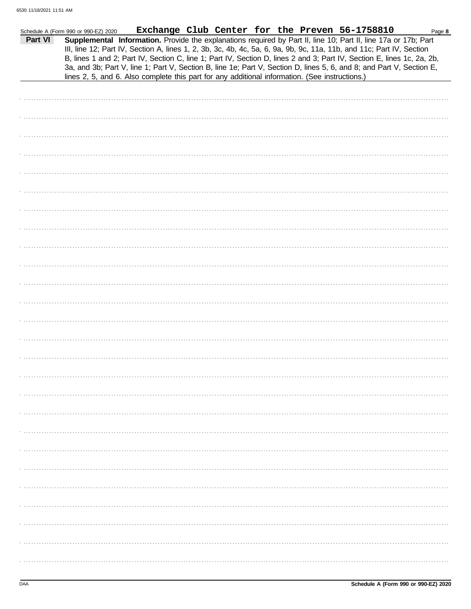| Part VI | Exchange Club Center for the Preven 56-1758810<br>Schedule A (Form 990 or 990-EZ) 2020<br>Supplemental Information. Provide the explanations required by Part II, line 10; Part II, line 17a or 17b; Part                                                                                                                                                                                                                                                                | Page 8 |
|---------|--------------------------------------------------------------------------------------------------------------------------------------------------------------------------------------------------------------------------------------------------------------------------------------------------------------------------------------------------------------------------------------------------------------------------------------------------------------------------|--------|
|         | III, line 12; Part IV, Section A, lines 1, 2, 3b, 3c, 4b, 4c, 5a, 6, 9a, 9b, 9c, 11a, 11b, and 11c; Part IV, Section<br>B, lines 1 and 2; Part IV, Section C, line 1; Part IV, Section D, lines 2 and 3; Part IV, Section E, lines 1c, 2a, 2b,<br>3a, and 3b; Part V, line 1; Part V, Section B, line 1e; Part V, Section D, lines 5, 6, and 8; and Part V, Section E,<br>lines 2, 5, and 6. Also complete this part for any additional information. (See instructions.) |        |
|         |                                                                                                                                                                                                                                                                                                                                                                                                                                                                          |        |
|         |                                                                                                                                                                                                                                                                                                                                                                                                                                                                          |        |
|         |                                                                                                                                                                                                                                                                                                                                                                                                                                                                          |        |
|         |                                                                                                                                                                                                                                                                                                                                                                                                                                                                          |        |
|         |                                                                                                                                                                                                                                                                                                                                                                                                                                                                          |        |
|         |                                                                                                                                                                                                                                                                                                                                                                                                                                                                          |        |
|         |                                                                                                                                                                                                                                                                                                                                                                                                                                                                          |        |
|         |                                                                                                                                                                                                                                                                                                                                                                                                                                                                          |        |
|         |                                                                                                                                                                                                                                                                                                                                                                                                                                                                          |        |
|         |                                                                                                                                                                                                                                                                                                                                                                                                                                                                          |        |
|         |                                                                                                                                                                                                                                                                                                                                                                                                                                                                          |        |
|         |                                                                                                                                                                                                                                                                                                                                                                                                                                                                          |        |
|         |                                                                                                                                                                                                                                                                                                                                                                                                                                                                          |        |
|         |                                                                                                                                                                                                                                                                                                                                                                                                                                                                          |        |
|         |                                                                                                                                                                                                                                                                                                                                                                                                                                                                          |        |
|         |                                                                                                                                                                                                                                                                                                                                                                                                                                                                          |        |
|         |                                                                                                                                                                                                                                                                                                                                                                                                                                                                          |        |
|         |                                                                                                                                                                                                                                                                                                                                                                                                                                                                          |        |
|         |                                                                                                                                                                                                                                                                                                                                                                                                                                                                          |        |
|         |                                                                                                                                                                                                                                                                                                                                                                                                                                                                          |        |
|         |                                                                                                                                                                                                                                                                                                                                                                                                                                                                          |        |
|         |                                                                                                                                                                                                                                                                                                                                                                                                                                                                          |        |
|         |                                                                                                                                                                                                                                                                                                                                                                                                                                                                          |        |
|         |                                                                                                                                                                                                                                                                                                                                                                                                                                                                          |        |
|         |                                                                                                                                                                                                                                                                                                                                                                                                                                                                          |        |
|         |                                                                                                                                                                                                                                                                                                                                                                                                                                                                          |        |
|         |                                                                                                                                                                                                                                                                                                                                                                                                                                                                          |        |
|         |                                                                                                                                                                                                                                                                                                                                                                                                                                                                          |        |
|         |                                                                                                                                                                                                                                                                                                                                                                                                                                                                          |        |
|         |                                                                                                                                                                                                                                                                                                                                                                                                                                                                          |        |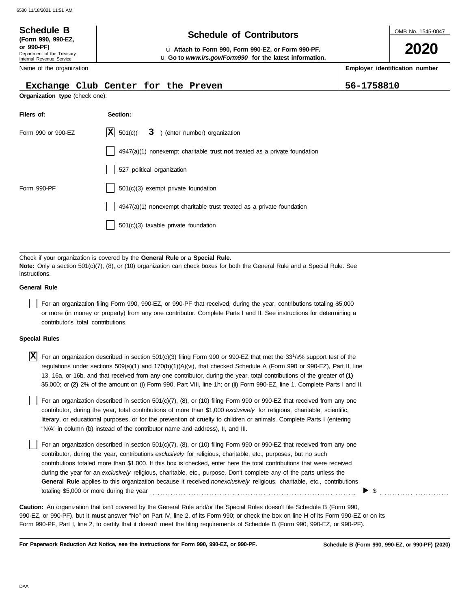### OMB No. 1545-0047 Department of the Treasury Internal Revenue Service Name of the organization **2020 Schedule of Contributors Schedule B (Form 990, 990-EZ, or 990-PF)** u **Attach to Form 990, Form 990-EZ, or Form 990-PF. Employer identification number Organization type** (check one): **Filers of: Section:** Form 990 or 990-EZ  $|\mathbf{X}|$  501(c)( 3) (enter number) organization 4947(a)(1) nonexempt charitable trust **not** treated as a private foundation 527 political organization Form 990-PF 1501(c)(3) exempt private foundation u **Go to** *www.irs.gov/Form990* **for the latest information. Exchange Club Center for the Preven 198810**  $|\mathbf{\overline{X}}|$  501(c)(

4947(a)(1) nonexempt charitable trust treated as a private foundation

501(c)(3) taxable private foundation

Check if your organization is covered by the **General Rule** or a **Special Rule. Note:** Only a section 501(c)(7), (8), or (10) organization can check boxes for both the General Rule and a Special Rule. See instructions.

#### **General Rule**

For an organization filing Form 990, 990-EZ, or 990-PF that received, during the year, contributions totaling \$5,000 or more (in money or property) from any one contributor. Complete Parts I and II. See instructions for determining a contributor's total contributions.

#### **Special Rules**

For an organization described in section 501(c)(3) filing Form 990 or 990-EZ that met the 33<sup>1</sup> /3% support test of the **X** regulations under sections 509(a)(1) and 170(b)(1)(A)(vi), that checked Schedule A (Form 990 or 990-EZ), Part II, line 13, 16a, or 16b, and that received from any one contributor, during the year, total contributions of the greater of **(1)** \$5,000; or **(2)** 2% of the amount on (i) Form 990, Part VIII, line 1h; or (ii) Form 990-EZ, line 1. Complete Parts I and II.

literary, or educational purposes, or for the prevention of cruelty to children or animals. Complete Parts I (entering For an organization described in section 501(c)(7), (8), or (10) filing Form 990 or 990-EZ that received from any one contributor, during the year, total contributions of more than \$1,000 *exclusively* for religious, charitable, scientific, "N/A" in column (b) instead of the contributor name and address), II, and III.

For an organization described in section 501(c)(7), (8), or (10) filing Form 990 or 990-EZ that received from any one contributor, during the year, contributions *exclusively* for religious, charitable, etc., purposes, but no such contributions totaled more than \$1,000. If this box is checked, enter here the total contributions that were received during the year for an *exclusively* religious, charitable, etc., purpose. Don't complete any of the parts unless the **General Rule** applies to this organization because it received *nonexclusively* religious, charitable, etc., contributions totaling \$5,000 or more during the year . . . . . . . . . . . . . . . . . . . . . . . . . . . . . . . . . . . . . . . . . . . . . . . . . . . . . . . . . . . . . . . . . . . . . . . . . . . . . . . .

990-EZ, or 990-PF), but it **must** answer "No" on Part IV, line 2, of its Form 990; or check the box on line H of its Form 990-EZ or on its Form 990-PF, Part I, line 2, to certify that it doesn't meet the filing requirements of Schedule B (Form 990, 990-EZ, or 990-PF). **Caution:** An organization that isn't covered by the General Rule and/or the Special Rules doesn't file Schedule B (Form 990,

**For Paperwork Reduction Act Notice, see the instructions for Form 990, 990-EZ, or 990-PF.**

\$ . . . . . . . . . . . . . . . . . . . . . . . . . . .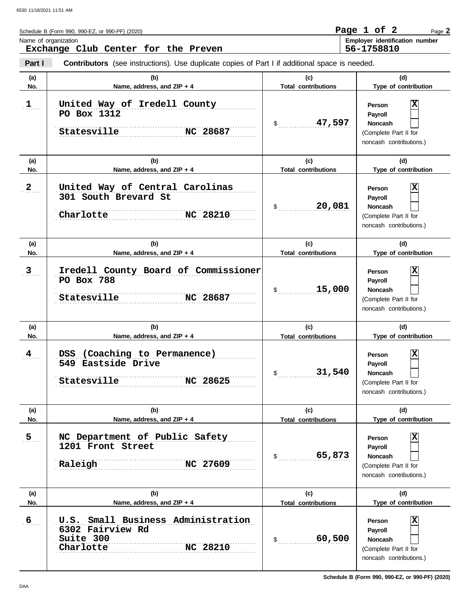|                     | Schedule B (Form 990, 990-EZ, or 990-PF) (2020)                                                                             |                                                                                                                                                                                                                                       | Page 1 of 2<br>Page 2                            |  |  |  |  |  |  |
|---------------------|-----------------------------------------------------------------------------------------------------------------------------|---------------------------------------------------------------------------------------------------------------------------------------------------------------------------------------------------------------------------------------|--------------------------------------------------|--|--|--|--|--|--|
|                     | Employer identification number<br>Name of organization<br>56-1758810<br>Exchange Club Center for the Preven                 |                                                                                                                                                                                                                                       |                                                  |  |  |  |  |  |  |
| Part I              | <b>Contributors</b> (see instructions). Use duplicate copies of Part I if additional space is needed.                       |                                                                                                                                                                                                                                       |                                                  |  |  |  |  |  |  |
| (a)<br>$\mathbf{A}$ | (b)<br>$\mathbf{M}$ and $\mathbf{M}$ are all the set of $\mathbf{M}$ and $\mathbf{M}$ are all $\mathbf{M}$ and $\mathbf{M}$ | (c)<br>The field of the control of the control of the control of the control of the control of the control of the control of the control of the control of the control of the control of the control of the control of the control of | (d)<br>The contract of the contract contract was |  |  |  |  |  |  |

| No.             | Name, address, and $ZIP + 4$                                                                             | <b>Total contributions</b>                                                                                                                                                                                                               | Type of contribution                                                                                          |
|-----------------|----------------------------------------------------------------------------------------------------------|------------------------------------------------------------------------------------------------------------------------------------------------------------------------------------------------------------------------------------------|---------------------------------------------------------------------------------------------------------------|
| $1$ <sub></sub> | United Way of Iredell County<br>PO Box 1312<br>Statesville<br>NC 28687                                   | $$$ 47,597                                                                                                                                                                                                                               | ΙX<br>Person<br>Payroll<br><b>Noncash</b><br>(Complete Part II for<br>noncash contributions.)                 |
| (a)             | (b)                                                                                                      | (c)                                                                                                                                                                                                                                      | (d)                                                                                                           |
| No.             | Name, address, and ZIP + 4                                                                               | <b>Total contributions</b>                                                                                                                                                                                                               | Type of contribution                                                                                          |
| 2               | United Way of Central Carolinas<br>301 South Brevard St<br>Charlotte<br>NC 28210                         | 20,081<br>$\sim$                                                                                                                                                                                                                         | ΙX<br>Person<br>Payroll<br><b>Noncash</b><br>(Complete Part II for<br>noncash contributions.)                 |
| (a)             | (b)                                                                                                      | (c)                                                                                                                                                                                                                                      | (d)                                                                                                           |
| No.             | Name, address, and ZIP + 4                                                                               | <b>Total contributions</b>                                                                                                                                                                                                               | Type of contribution                                                                                          |
| 3               | Iredell County Board of Commissioner<br>PO Box 788<br>Statesville<br>NC 28687                            | 15,000<br>$\sim$                                                                                                                                                                                                                         | x<br>Person<br>Payroll<br><b>Noncash</b><br>(Complete Part II for<br>noncash contributions.)                  |
| (a)             | (b)                                                                                                      | (c)                                                                                                                                                                                                                                      | (d)                                                                                                           |
| No.             | Name, address, and ZIP + 4                                                                               | <b>Total contributions</b>                                                                                                                                                                                                               | Type of contribution                                                                                          |
| 4               | DSS (Coaching to Permanence)<br>549 Eastside Drive<br>Statesville<br>NC 28625                            | 31,540<br>$\sim$                                                                                                                                                                                                                         | X<br>Person<br>Payroll<br>Noncash<br>(Complete Part II for<br>noncash contributions.)                         |
| (a)             | (b)                                                                                                      | (c)                                                                                                                                                                                                                                      | (d)                                                                                                           |
| No.<br>5        | Name, address, and ZIP + 4<br>NC Department of Public Safety<br>1201 Front Street<br>NC 27609<br>Raleigh | <b>Total contributions</b><br>65,873<br>$\frac{1}{2}$                                                                                                                                                                                    | Type of contribution<br>X<br>Person<br>Payroll<br>Noncash<br>(Complete Part II for<br>noncash contributions.) |
| (a)             | (b)                                                                                                      | (c)                                                                                                                                                                                                                                      | (d)                                                                                                           |
| No.             | Name, address, and ZIP + 4                                                                               | <b>Total contributions</b>                                                                                                                                                                                                               | Type of contribution                                                                                          |
| 6 <sub>1</sub>  | Small Business Administration<br>U.S.<br>6302 Fairview Rd<br>Suite 300<br>NC 28210<br>Charlotte          | 60,500<br>S and the set of the set of the set of the set of the set of the set of the set of the set of the set of the set of the set of the set of the set of the set of the set of the set of the set of the set of the set of the set | X<br>Person<br>Payroll<br>Noncash<br>(Complete Part II for<br>noncash contributions.)                         |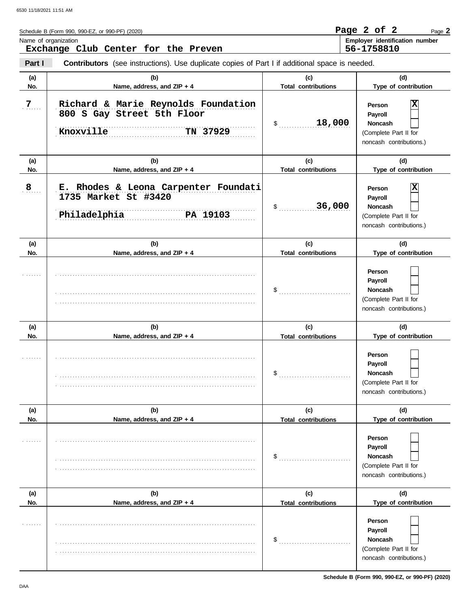|              | Schedule B (Form 990, 990-EZ, or 990-PF) (2020)                                                       |                                   | Page 2 of 2<br>Page 2                                                                          |
|--------------|-------------------------------------------------------------------------------------------------------|-----------------------------------|------------------------------------------------------------------------------------------------|
|              | Name of organization<br>Exchange Club Center for the Preven                                           |                                   | Employer identification number<br>56-1758810                                                   |
| Part I       | <b>Contributors</b> (see instructions). Use duplicate copies of Part I if additional space is needed. |                                   |                                                                                                |
| (a)<br>No.   | (b)<br>Name, address, and ZIP + 4                                                                     | (c)<br><b>Total contributions</b> | (d)<br>Type of contribution                                                                    |
| $7_{\ldots}$ | Richard & Marie Reynolds Foundation<br>800 S Gay Street 5th Floor<br>Knoxville<br>TN 37929            | 18,000<br>$\mathsf{\$}$           | <b>Person</b><br>Payroll<br><b>Noncash</b><br>(Complete Part II for<br>noncash contributions.) |
| (a)<br>No.   | (b)<br>Name, address, and ZIP + 4                                                                     | (c)<br><b>Total contributions</b> | (d)<br>Type of contribution                                                                    |
| 8            | E. Rhodes & Leona Carpenter Foundati<br>1735 Market St #3420<br><b>Philadelphia</b><br>PA 19103       | 36,000<br>$\sim$                  | х<br><b>Person</b><br>Payroll<br>Noncash<br>(Complete Part II for<br>noncash contributions.)   |
| (a)<br>No.   | (b)<br>Name, address, and ZIP + 4                                                                     | (c)<br><b>Total contributions</b> | (d)<br>Type of contribution                                                                    |
|              |                                                                                                       | $\mathsf{\$}$                     | <b>Person</b><br>Payroll<br><b>Noncash</b><br>(Complete Part II for<br>noncash contributions.) |
| (a)<br>No.   | (b)<br>Name, address, and ZIP + 4                                                                     | (c)<br><b>Total contributions</b> | (d)<br>Type of contribution                                                                    |
|              |                                                                                                       | \$                                | <b>Person</b><br>Payroll<br>Noncash<br>(Complete Part II for<br>noncash contributions.)        |
| (a)<br>No.   | (b)<br>Name, address, and ZIP + 4                                                                     | (c)<br><b>Total contributions</b> | (d)<br>Type of contribution                                                                    |
|              |                                                                                                       | \$                                | Person<br>Payroll<br><b>Noncash</b><br>(Complete Part II for<br>noncash contributions.)        |
| (a)<br>No.   | (b)<br>Name, address, and ZIP + 4                                                                     | (c)<br><b>Total contributions</b> | (d)<br>Type of contribution                                                                    |
|              |                                                                                                       | \$                                | Person<br>Payroll<br><b>Noncash</b><br>(Complete Part II for<br>noncash contributions.)        |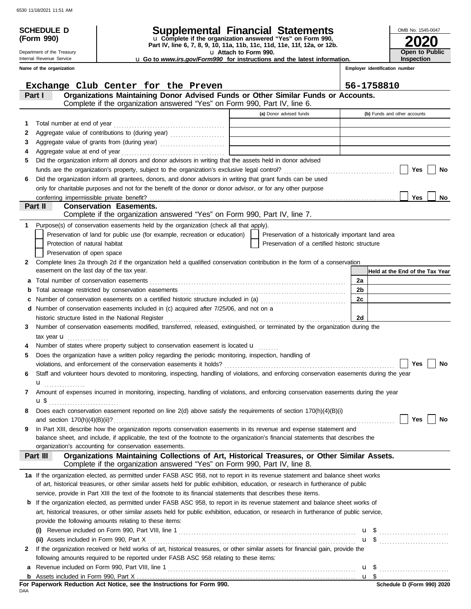|    | <b>SCHEDULE D</b>                                                                                               | <b>Supplemental Financial Statements</b>                                                                                                                                                                                                                                                                                                                      |                       |                                                    |                                | OMB No. 1545-0047               |
|----|-----------------------------------------------------------------------------------------------------------------|---------------------------------------------------------------------------------------------------------------------------------------------------------------------------------------------------------------------------------------------------------------------------------------------------------------------------------------------------------------|-----------------------|----------------------------------------------------|--------------------------------|---------------------------------|
|    | (Form 990)                                                                                                      | u Complete if the organization answered "Yes" on Form 990,                                                                                                                                                                                                                                                                                                    |                       |                                                    |                                |                                 |
|    | Department of the Treasury                                                                                      | Part IV, line 6, 7, 8, 9, 10, 11a, 11b, 11c, 11d, 11e, 11f, 12a, or 12b.                                                                                                                                                                                                                                                                                      | u Attach to Form 990. |                                                    |                                | Open to Public                  |
|    | Internal Revenue Service                                                                                        | u Go to www.irs.gov/Form990 for instructions and the latest information.                                                                                                                                                                                                                                                                                      |                       |                                                    |                                | Inspection                      |
|    | Name of the organization                                                                                        |                                                                                                                                                                                                                                                                                                                                                               |                       |                                                    | Employer identification number |                                 |
|    |                                                                                                                 | Exchange Club Center for the Preven                                                                                                                                                                                                                                                                                                                           |                       |                                                    | 56-1758810                     |                                 |
|    | Part I                                                                                                          | Organizations Maintaining Donor Advised Funds or Other Similar Funds or Accounts.                                                                                                                                                                                                                                                                             |                       |                                                    |                                |                                 |
|    |                                                                                                                 | Complete if the organization answered "Yes" on Form 990, Part IV, line 6.                                                                                                                                                                                                                                                                                     |                       |                                                    |                                |                                 |
|    |                                                                                                                 |                                                                                                                                                                                                                                                                                                                                                               |                       | (a) Donor advised funds                            |                                | (b) Funds and other accounts    |
| 1  | Total number at end of year                                                                                     |                                                                                                                                                                                                                                                                                                                                                               |                       |                                                    |                                |                                 |
| 2  |                                                                                                                 |                                                                                                                                                                                                                                                                                                                                                               |                       |                                                    |                                |                                 |
| 3  |                                                                                                                 |                                                                                                                                                                                                                                                                                                                                                               |                       |                                                    |                                |                                 |
| 4  |                                                                                                                 |                                                                                                                                                                                                                                                                                                                                                               |                       |                                                    |                                |                                 |
|    | Did the organization inform all donors and donor advisors in writing that the assets held in donor advised<br>5 |                                                                                                                                                                                                                                                                                                                                                               |                       |                                                    |                                | Yes<br>No                       |
| 6  |                                                                                                                 | Did the organization inform all grantees, donors, and donor advisors in writing that grant funds can be used                                                                                                                                                                                                                                                  |                       |                                                    |                                |                                 |
|    |                                                                                                                 | only for charitable purposes and not for the benefit of the donor or donor advisor, or for any other purpose                                                                                                                                                                                                                                                  |                       |                                                    |                                |                                 |
|    |                                                                                                                 |                                                                                                                                                                                                                                                                                                                                                               |                       |                                                    |                                | <b>Yes</b><br><b>No</b>         |
|    | Part II                                                                                                         | <b>Conservation Easements.</b>                                                                                                                                                                                                                                                                                                                                |                       |                                                    |                                |                                 |
|    |                                                                                                                 | Complete if the organization answered "Yes" on Form 990, Part IV, line 7.                                                                                                                                                                                                                                                                                     |                       |                                                    |                                |                                 |
| 1. |                                                                                                                 | Purpose(s) of conservation easements held by the organization (check all that apply).                                                                                                                                                                                                                                                                         |                       |                                                    |                                |                                 |
|    |                                                                                                                 | Preservation of land for public use (for example, recreation or education)                                                                                                                                                                                                                                                                                    |                       | Preservation of a historically important land area |                                |                                 |
|    | Protection of natural habitat                                                                                   |                                                                                                                                                                                                                                                                                                                                                               |                       | Preservation of a certified historic structure     |                                |                                 |
|    | Preservation of open space                                                                                      |                                                                                                                                                                                                                                                                                                                                                               |                       |                                                    |                                |                                 |
| 2  |                                                                                                                 | Complete lines 2a through 2d if the organization held a qualified conservation contribution in the form of a conservation                                                                                                                                                                                                                                     |                       |                                                    |                                |                                 |
|    | easement on the last day of the tax year.                                                                       |                                                                                                                                                                                                                                                                                                                                                               |                       |                                                    |                                | Held at the End of the Tax Year |
| а  | Total number of conservation easements                                                                          |                                                                                                                                                                                                                                                                                                                                                               |                       |                                                    | 2a                             |                                 |
|    |                                                                                                                 |                                                                                                                                                                                                                                                                                                                                                               |                       |                                                    | 2 <sub>b</sub>                 |                                 |
|    |                                                                                                                 | Number of conservation easements on a certified historic structure included in (a) [[[[[ [ [ ]]]                                                                                                                                                                                                                                                              |                       |                                                    | 2c                             |                                 |
| d  |                                                                                                                 | Number of conservation easements included in (c) acquired after 7/25/06, and not on a                                                                                                                                                                                                                                                                         |                       |                                                    | <b>2d</b>                      |                                 |
| 3  |                                                                                                                 | historic structure listed in the National Register [11] contained a structure of the National Register [11] contained a structure of the National Register [11] contained a structure of the National Register [11] contained<br>Number of conservation easements modified, transferred, released, extinguished, or terminated by the organization during the |                       |                                                    |                                |                                 |
|    | tax year <b>u</b>                                                                                               |                                                                                                                                                                                                                                                                                                                                                               |                       |                                                    |                                |                                 |
|    |                                                                                                                 | Number of states where property subject to conservation easement is located u                                                                                                                                                                                                                                                                                 |                       |                                                    |                                |                                 |
| 5  |                                                                                                                 | Does the organization have a written policy regarding the periodic monitoring, inspection, handling of                                                                                                                                                                                                                                                        |                       |                                                    |                                |                                 |
|    |                                                                                                                 |                                                                                                                                                                                                                                                                                                                                                               |                       |                                                    |                                | $\Box$ Yes $\Box$ No            |
| 6  |                                                                                                                 | Staff and volunteer hours devoted to monitoring, inspecting, handling of violations, and enforcing conservation easements during the year                                                                                                                                                                                                                     |                       |                                                    |                                |                                 |
|    | <b>u</b>                                                                                                        |                                                                                                                                                                                                                                                                                                                                                               |                       |                                                    |                                |                                 |
| 7  |                                                                                                                 | Amount of expenses incurred in monitoring, inspecting, handling of violations, and enforcing conservation easements during the year                                                                                                                                                                                                                           |                       |                                                    |                                |                                 |
|    | <b>u</b> \$                                                                                                     |                                                                                                                                                                                                                                                                                                                                                               |                       |                                                    |                                |                                 |
| 8  |                                                                                                                 | Does each conservation easement reported on line 2(d) above satisfy the requirements of section 170(h)(4)(B)(i)                                                                                                                                                                                                                                               |                       |                                                    |                                |                                 |
|    |                                                                                                                 |                                                                                                                                                                                                                                                                                                                                                               |                       |                                                    |                                | Yes<br>No                       |
| 9  |                                                                                                                 | In Part XIII, describe how the organization reports conservation easements in its revenue and expense statement and                                                                                                                                                                                                                                           |                       |                                                    |                                |                                 |
|    |                                                                                                                 | balance sheet, and include, if applicable, the text of the footnote to the organization's financial statements that describes the                                                                                                                                                                                                                             |                       |                                                    |                                |                                 |
|    | Part III                                                                                                        | organization's accounting for conservation easements.<br>Organizations Maintaining Collections of Art, Historical Treasures, or Other Similar Assets.                                                                                                                                                                                                         |                       |                                                    |                                |                                 |
|    |                                                                                                                 | Complete if the organization answered "Yes" on Form 990, Part IV, line 8.                                                                                                                                                                                                                                                                                     |                       |                                                    |                                |                                 |
|    |                                                                                                                 | 1a If the organization elected, as permitted under FASB ASC 958, not to report in its revenue statement and balance sheet works                                                                                                                                                                                                                               |                       |                                                    |                                |                                 |
|    |                                                                                                                 | of art, historical treasures, or other similar assets held for public exhibition, education, or research in furtherance of public                                                                                                                                                                                                                             |                       |                                                    |                                |                                 |
|    |                                                                                                                 | service, provide in Part XIII the text of the footnote to its financial statements that describes these items.                                                                                                                                                                                                                                                |                       |                                                    |                                |                                 |
| b  |                                                                                                                 | If the organization elected, as permitted under FASB ASC 958, to report in its revenue statement and balance sheet works of                                                                                                                                                                                                                                   |                       |                                                    |                                |                                 |
|    |                                                                                                                 | art, historical treasures, or other similar assets held for public exhibition, education, or research in furtherance of public service,                                                                                                                                                                                                                       |                       |                                                    |                                |                                 |
|    |                                                                                                                 | provide the following amounts relating to these items:                                                                                                                                                                                                                                                                                                        |                       |                                                    |                                |                                 |
|    |                                                                                                                 |                                                                                                                                                                                                                                                                                                                                                               |                       |                                                    |                                |                                 |
|    | (ii) Assets included in Form 990, Part X                                                                        |                                                                                                                                                                                                                                                                                                                                                               |                       |                                                    |                                |                                 |
| 2  |                                                                                                                 | If the organization received or held works of art, historical treasures, or other similar assets for financial gain, provide the                                                                                                                                                                                                                              |                       |                                                    |                                |                                 |
|    |                                                                                                                 | following amounts required to be reported under FASB ASC 958 relating to these items:                                                                                                                                                                                                                                                                         |                       |                                                    |                                |                                 |
| a  |                                                                                                                 |                                                                                                                                                                                                                                                                                                                                                               |                       |                                                    |                                |                                 |
|    |                                                                                                                 |                                                                                                                                                                                                                                                                                                                                                               |                       |                                                    |                                |                                 |

**For Paperwork Reduction Act Notice, see the Instructions for Form 990.**<br><sub>DAA</sub>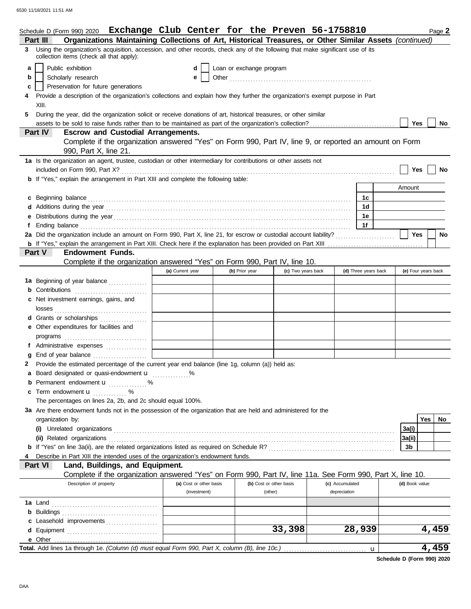|    | Schedule D (Form 990) 2020 Exchange Club Center for the Preven 56-1758810                                                                                                     |                         |                          |                         |                 |                      |                     | Page 2 |
|----|-------------------------------------------------------------------------------------------------------------------------------------------------------------------------------|-------------------------|--------------------------|-------------------------|-----------------|----------------------|---------------------|--------|
|    | Organizations Maintaining Collections of Art, Historical Treasures, or Other Similar Assets (continued)<br>Part III                                                           |                         |                          |                         |                 |                      |                     |        |
|    | 3 Using the organization's acquisition, accession, and other records, check any of the following that make significant use of its<br>collection items (check all that apply): |                         |                          |                         |                 |                      |                     |        |
| a  | Public exhibition                                                                                                                                                             | d                       | Loan or exchange program |                         |                 |                      |                     |        |
| b  | Scholarly research                                                                                                                                                            | е                       |                          |                         |                 |                      |                     |        |
| c  | Preservation for future generations                                                                                                                                           |                         |                          |                         |                 |                      |                     |        |
|    | Provide a description of the organization's collections and explain how they further the organization's exempt purpose in Part                                                |                         |                          |                         |                 |                      |                     |        |
|    | XIII.                                                                                                                                                                         |                         |                          |                         |                 |                      |                     |        |
| 5. | During the year, did the organization solicit or receive donations of art, historical treasures, or other similar                                                             |                         |                          |                         |                 |                      |                     |        |
|    |                                                                                                                                                                               |                         |                          |                         |                 |                      | <b>Yes</b>          | No     |
|    | <b>Escrow and Custodial Arrangements.</b><br>Part IV                                                                                                                          |                         |                          |                         |                 |                      |                     |        |
|    |                                                                                                                                                                               |                         |                          |                         |                 |                      |                     |        |
|    | Complete if the organization answered "Yes" on Form 990, Part IV, line 9, or reported an amount on Form                                                                       |                         |                          |                         |                 |                      |                     |        |
|    | 990, Part X, line 21.                                                                                                                                                         |                         |                          |                         |                 |                      |                     |        |
|    | 1a Is the organization an agent, trustee, custodian or other intermediary for contributions or other assets not                                                               |                         |                          |                         |                 |                      |                     |        |
|    |                                                                                                                                                                               |                         |                          |                         |                 |                      | Yes                 | No     |
|    | <b>b</b> If "Yes," explain the arrangement in Part XIII and complete the following table:                                                                                     |                         |                          |                         |                 |                      |                     |        |
|    |                                                                                                                                                                               |                         |                          |                         |                 |                      | Amount              |        |
| c  | Beginning balance                                                                                                                                                             |                         |                          |                         |                 | 1c                   |                     |        |
|    |                                                                                                                                                                               |                         |                          |                         |                 | 1 <sub>d</sub>       |                     |        |
|    |                                                                                                                                                                               |                         |                          |                         |                 | 1е                   |                     |        |
|    |                                                                                                                                                                               |                         |                          |                         |                 | 1f                   |                     |        |
|    | 2a Did the organization include an amount on Form 990, Part X, line 21, for escrow or custodial account liability?                                                            |                         |                          |                         |                 |                      | Yes                 | No     |
|    |                                                                                                                                                                               |                         |                          |                         |                 |                      |                     |        |
|    | Part V<br><b>Endowment Funds.</b>                                                                                                                                             |                         |                          |                         |                 |                      |                     |        |
|    | Complete if the organization answered "Yes" on Form 990, Part IV, line 10.                                                                                                    |                         |                          |                         |                 |                      |                     |        |
|    |                                                                                                                                                                               | (a) Current year        | (b) Prior year           | (c) Two years back      |                 | (d) Three years back | (e) Four years back |        |
|    | <b>1a</b> Beginning of year balance                                                                                                                                           |                         |                          |                         |                 |                      |                     |        |
|    | Contributions                                                                                                                                                                 |                         |                          |                         |                 |                      |                     |        |
| c  | Net investment earnings, gains, and                                                                                                                                           |                         |                          |                         |                 |                      |                     |        |
|    | losses                                                                                                                                                                        |                         |                          |                         |                 |                      |                     |        |
|    | Grants or scholarships                                                                                                                                                        |                         |                          |                         |                 |                      |                     |        |
|    | Other expenditures for facilities and                                                                                                                                         |                         |                          |                         |                 |                      |                     |        |
|    | programs                                                                                                                                                                      |                         |                          |                         |                 |                      |                     |        |
| f  |                                                                                                                                                                               |                         |                          |                         |                 |                      |                     |        |
|    |                                                                                                                                                                               |                         |                          |                         |                 |                      |                     |        |
|    | End of year balance<br>Provide the estimated percentage of the current year end balance (line 1g, column (a)) held as:                                                        |                         |                          |                         |                 |                      |                     |        |
|    | Board designated or quasi-endowment u                                                                                                                                         |                         |                          |                         |                 |                      |                     |        |
|    |                                                                                                                                                                               |                         |                          |                         |                 |                      |                     |        |
|    | <b>b</b> Permanent endowment <b>u</b> %                                                                                                                                       |                         |                          |                         |                 |                      |                     |        |
|    | Term endowment <b>u</b><br>. %                                                                                                                                                |                         |                          |                         |                 |                      |                     |        |
|    | The percentages on lines 2a, 2b, and 2c should equal 100%.                                                                                                                    |                         |                          |                         |                 |                      |                     |        |
|    | 3a Are there endowment funds not in the possession of the organization that are held and administered for the                                                                 |                         |                          |                         |                 |                      |                     |        |
|    | organization by:                                                                                                                                                              |                         |                          |                         |                 |                      | Yes                 | No.    |
|    |                                                                                                                                                                               |                         |                          |                         |                 |                      | 3a(i)               |        |
|    | (ii) Related organizations                                                                                                                                                    |                         |                          |                         |                 |                      | 3a(ii)              |        |
|    |                                                                                                                                                                               |                         |                          |                         |                 |                      | 3b                  |        |
|    | Describe in Part XIII the intended uses of the organization's endowment funds.                                                                                                |                         |                          |                         |                 |                      |                     |        |
|    | Part VI<br>Land, Buildings, and Equipment.                                                                                                                                    |                         |                          |                         |                 |                      |                     |        |
|    | Complete if the organization answered "Yes" on Form 990, Part IV, line 11a. See Form 990, Part X, line 10.                                                                    |                         |                          |                         |                 |                      |                     |        |
|    | Description of property                                                                                                                                                       | (a) Cost or other basis |                          | (b) Cost or other basis | (c) Accumulated |                      | (d) Book value      |        |
|    |                                                                                                                                                                               | (investment)            |                          | (other)                 | depreciation    |                      |                     |        |
|    |                                                                                                                                                                               |                         |                          |                         |                 |                      |                     |        |
| b  |                                                                                                                                                                               |                         |                          |                         |                 |                      |                     |        |
|    | c Leasehold improvements                                                                                                                                                      |                         |                          |                         |                 |                      |                     |        |
| d  |                                                                                                                                                                               |                         |                          | 33,398                  |                 | 28,939               |                     | 4,459  |
|    |                                                                                                                                                                               |                         |                          |                         |                 |                      |                     |        |
|    | Total. Add lines 1a through 1e. (Column (d) must equal Form 990, Part X, column (B), line 10c.)                                                                               |                         |                          |                         |                 | u                    |                     | 4,459  |
|    |                                                                                                                                                                               |                         |                          |                         |                 |                      |                     |        |

**Schedule D (Form 990) 2020**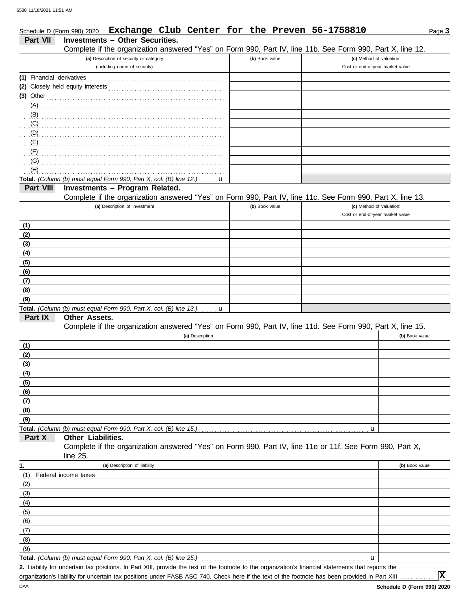|                 | Schedule D (Form 990) 2020 Exchange Club Center for the Preven 56-1758810                                                                            |          |                |                                                              | Page 3         |
|-----------------|------------------------------------------------------------------------------------------------------------------------------------------------------|----------|----------------|--------------------------------------------------------------|----------------|
| <b>Part VII</b> | <b>Investments - Other Securities.</b>                                                                                                               |          |                |                                                              |                |
|                 | Complete if the organization answered "Yes" on Form 990, Part IV, line 11b. See Form 990, Part X, line 12.                                           |          |                |                                                              |                |
|                 | (a) Description of security or category<br>(including name of security)                                                                              |          | (b) Book value | (c) Method of valuation:<br>Cost or end-of-year market value |                |
|                 |                                                                                                                                                      |          |                |                                                              |                |
|                 |                                                                                                                                                      |          |                |                                                              |                |
|                 | (3) Other                                                                                                                                            |          |                |                                                              |                |
| (A)             |                                                                                                                                                      |          |                |                                                              |                |
| (B)             |                                                                                                                                                      |          |                |                                                              |                |
| (C)             |                                                                                                                                                      |          |                |                                                              |                |
| (D)             |                                                                                                                                                      |          |                |                                                              |                |
|                 |                                                                                                                                                      |          |                |                                                              |                |
| (F)             |                                                                                                                                                      |          |                |                                                              |                |
| (G)             |                                                                                                                                                      |          |                |                                                              |                |
| (H)             |                                                                                                                                                      |          |                |                                                              |                |
|                 | Total. (Column (b) must equal Form 990, Part X, col. (B) line 12.)                                                                                   | <b>u</b> |                |                                                              |                |
| Part VIII       | Investments - Program Related.                                                                                                                       |          |                |                                                              |                |
|                 | Complete if the organization answered "Yes" on Form 990, Part IV, line 11c. See Form 990, Part X, line 13.                                           |          |                |                                                              |                |
|                 | (a) Description of investment                                                                                                                        |          | (b) Book value | (c) Method of valuation:<br>Cost or end-of-year market value |                |
|                 |                                                                                                                                                      |          |                |                                                              |                |
| (1)             |                                                                                                                                                      |          |                |                                                              |                |
| (2)             |                                                                                                                                                      |          |                |                                                              |                |
| (3)<br>(4)      |                                                                                                                                                      |          |                |                                                              |                |
| (5)             |                                                                                                                                                      |          |                |                                                              |                |
| (6)             |                                                                                                                                                      |          |                |                                                              |                |
| (7)             |                                                                                                                                                      |          |                |                                                              |                |
| (8)             |                                                                                                                                                      |          |                |                                                              |                |
| (9)             |                                                                                                                                                      |          |                |                                                              |                |
|                 | Total. (Column (b) must equal Form 990, Part X, col. (B) line 13.) $\dots$ $\mathbf u$                                                               |          |                |                                                              |                |
| Part IX         | Other Assets.                                                                                                                                        |          |                |                                                              |                |
|                 | Complete if the organization answered "Yes" on Form 990, Part IV, line 11d. See Form 990, Part X, line 15.                                           |          |                |                                                              |                |
|                 | (a) Description                                                                                                                                      |          |                |                                                              | (b) Book value |
| (1)             |                                                                                                                                                      |          |                |                                                              |                |
| (2)             |                                                                                                                                                      |          |                |                                                              |                |
| (3)             |                                                                                                                                                      |          |                |                                                              |                |
| (4)             |                                                                                                                                                      |          |                |                                                              |                |
| (5)             |                                                                                                                                                      |          |                |                                                              |                |
| (6)             |                                                                                                                                                      |          |                |                                                              |                |
| (7)             |                                                                                                                                                      |          |                |                                                              |                |
| (8)<br>(9)      |                                                                                                                                                      |          |                |                                                              |                |
|                 | Total. (Column (b) must equal Form 990, Part X, col. (B) line 15.)                                                                                   |          |                | u                                                            |                |
| Part X          | Other Liabilities.                                                                                                                                   |          |                |                                                              |                |
|                 | Complete if the organization answered "Yes" on Form 990, Part IV, line 11e or 11f. See Form 990, Part X,                                             |          |                |                                                              |                |
|                 | line $25$ .                                                                                                                                          |          |                |                                                              |                |
| 1.              | (a) Description of liability                                                                                                                         |          |                |                                                              | (b) Book value |
| (1)             | Federal income taxes                                                                                                                                 |          |                |                                                              |                |
| (2)             |                                                                                                                                                      |          |                |                                                              |                |
| (3)             |                                                                                                                                                      |          |                |                                                              |                |
| (4)             |                                                                                                                                                      |          |                |                                                              |                |
| (5)             |                                                                                                                                                      |          |                |                                                              |                |
| (6)             |                                                                                                                                                      |          |                |                                                              |                |
| (7)             |                                                                                                                                                      |          |                |                                                              |                |
| (8)             |                                                                                                                                                      |          |                |                                                              |                |
| (9)             |                                                                                                                                                      |          |                |                                                              |                |
|                 | Total. (Column (b) must equal Form 990, Part X, col. (B) line 25.)                                                                                   |          |                | u                                                            |                |
|                 | 2. Liability for uncertain tax positions. In Part XIII, provide the text of the footnote to the organization's financial statements that reports the |          |                |                                                              |                |
|                 | organization's liability for uncertain tax positions under FASB ASC 740. Check here if the text of the footnote has been provided in Part XIII       |          |                |                                                              | $ \mathbf{x} $ |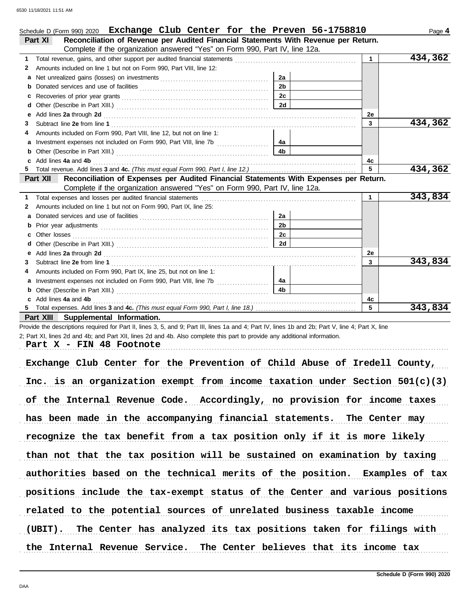|    | Schedule D (Form 990) 2020 Exchange Club Center for the Preven 56-1758810                                                                                                                                                     |                |              | Page 4  |
|----|-------------------------------------------------------------------------------------------------------------------------------------------------------------------------------------------------------------------------------|----------------|--------------|---------|
|    | Reconciliation of Revenue per Audited Financial Statements With Revenue per Return.<br>Part XI                                                                                                                                |                |              |         |
|    | Complete if the organization answered "Yes" on Form 990, Part IV, line 12a.                                                                                                                                                   |                |              |         |
| 1. |                                                                                                                                                                                                                               |                | $\mathbf{1}$ | 434,362 |
| 2  | Amounts included on line 1 but not on Form 990, Part VIII, line 12:                                                                                                                                                           |                |              |         |
| a  |                                                                                                                                                                                                                               | 2a             |              |         |
| b  |                                                                                                                                                                                                                               | 2 <sub>b</sub> |              |         |
| c  |                                                                                                                                                                                                                               | 2c             |              |         |
| d  |                                                                                                                                                                                                                               | 2d             |              |         |
| е  | Add lines 2a through 2d [11] Additional Property and Property and Property and Property and Property and Property and Property and Property and Property and Property and Property and Property and Property and Property and |                | 2е           |         |
| 3  |                                                                                                                                                                                                                               |                | $\mathbf{3}$ | 434,362 |
| 4  | Amounts included on Form 990, Part VIII, line 12, but not on line 1:                                                                                                                                                          |                |              |         |
| a  |                                                                                                                                                                                                                               | 4а             |              |         |
|    |                                                                                                                                                                                                                               | 4 <sub>b</sub> |              |         |
|    | Add lines 4a and 4b                                                                                                                                                                                                           |                | 4c           |         |
|    |                                                                                                                                                                                                                               |                | 5            | 434,362 |
|    | Reconciliation of Expenses per Audited Financial Statements With Expenses per Return.<br>Part XII                                                                                                                             |                |              |         |
|    | Complete if the organization answered "Yes" on Form 990, Part IV, line 12a.                                                                                                                                                   |                |              |         |
| 1  |                                                                                                                                                                                                                               |                | $\mathbf 1$  | 343,834 |
| 2  | Amounts included on line 1 but not on Form 990, Part IX, line 25:                                                                                                                                                             |                |              |         |
|    |                                                                                                                                                                                                                               | 2a             |              |         |
| b  |                                                                                                                                                                                                                               | 2 <sub>b</sub> |              |         |
| c  | Other losses                                                                                                                                                                                                                  | 2с             |              |         |
| d  |                                                                                                                                                                                                                               | 2d             |              |         |
| е  | Add lines 2a through 2d [11] Add [12] Add [12] Add lines 2a through 2d [12] Add lines 2a through 2d [12] Add [12] Add [12] Add [12] Add [12] Add [12] Add [12] Add [12] Add [12] Add [12] Add [12] Add [12] Add [12] Add [12] |                | 2e           |         |
| 3  |                                                                                                                                                                                                                               |                | 3            | 343,834 |
|    | Amounts included on Form 990, Part IX, line 25, but not on line 1:                                                                                                                                                            |                |              |         |
| a  | Investment expenses not included on Form 990, Part VIII, line 7b                                                                                                                                                              | 4a             |              |         |
|    |                                                                                                                                                                                                                               | 4 <sub>b</sub> |              |         |
| c  | Add lines 4a and 4b                                                                                                                                                                                                           |                | 4с           |         |
|    |                                                                                                                                                                                                                               |                | 5            | 343,834 |

**Part XIII Supplemental Information.**

Provide the descriptions required for Part II, lines 3, 5, and 9; Part III, lines 1a and 4; Part IV, lines 1b and 2b; Part V, line 4; Part X, line 2; Part XI, lines 2d and 4b; and Part XII, lines 2d and 4b. Also complete this part to provide any additional information.

Part X - FIN 48 Footnote

Exchange Club Center for the Prevention of Child Abuse of Iredell County, Inc. is an organization exempt from income taxation under Section 501(c)(3) of the Internal Revenue Code. Accordingly, no provision for income taxes has been made in the accompanying financial statements. The Center may recognize the tax benefit from a tax position only if it is more likely than not that the tax position will be sustained on examination by taxing related to the potential sources of unrelated business taxable income authorities based on the technical merits of the position. Examples of tax positions include the tax-exempt status of the Center and various positions (UBIT). The Center has analyzed its tax positions taken for filings with the Internal Revenue Service. The Center believes that its income tax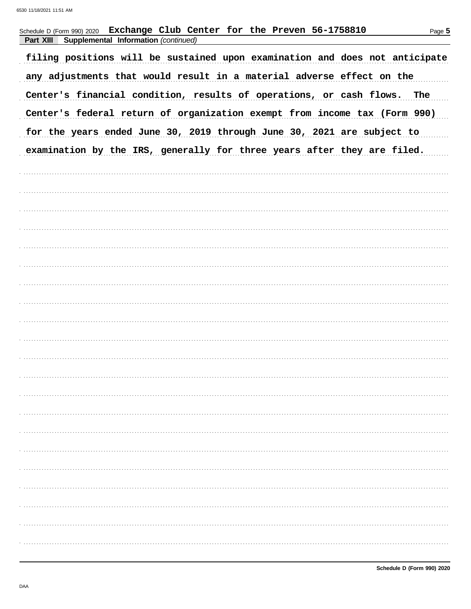| Exchange Club Center for the Preven 56-1758810<br>Schedule D (Form 990) 2020<br>Page 5<br>Supplemental Information (continued)<br>Part XIII |
|---------------------------------------------------------------------------------------------------------------------------------------------|
| filing positions will be sustained upon examination and does not anticipate                                                                 |
| any adjustments that would result in a material adverse effect on the                                                                       |
| Center's financial condition, results of operations, or cash flows.<br>The                                                                  |
| Center's federal return of organization exempt from income tax (Form 990)                                                                   |
| for the years ended June 30, 2019 through June 30, 2021 are subject to                                                                      |
| examination by the IRS, generally for three years after they are filed.                                                                     |
|                                                                                                                                             |
|                                                                                                                                             |
|                                                                                                                                             |
|                                                                                                                                             |
|                                                                                                                                             |
|                                                                                                                                             |
|                                                                                                                                             |
|                                                                                                                                             |
|                                                                                                                                             |
|                                                                                                                                             |
|                                                                                                                                             |
|                                                                                                                                             |
|                                                                                                                                             |
|                                                                                                                                             |
|                                                                                                                                             |
|                                                                                                                                             |
|                                                                                                                                             |
|                                                                                                                                             |
|                                                                                                                                             |
|                                                                                                                                             |
|                                                                                                                                             |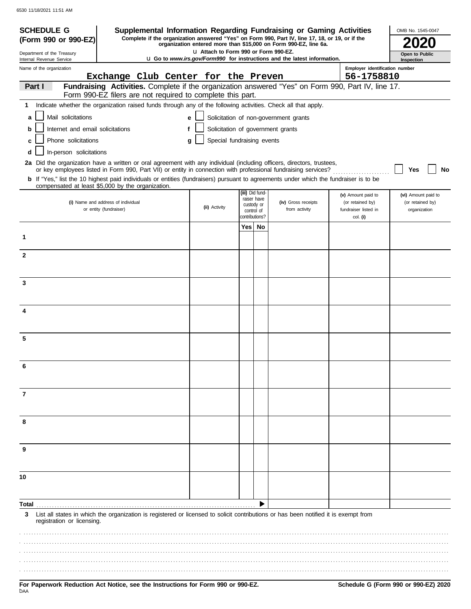6530 11/18/2021 11:51 AM

| <b>SCHEDULE G</b>                                      | Supplemental Information Regarding Fundraising or Gaming Activities<br>Complete if the organization answered "Yes" on Form 990, Part IV, line 17, 18, or 19, or if the                                                                   |                                       |                              |                           |                                                                                 |                                  | OMB No. 1545-0047            |
|--------------------------------------------------------|------------------------------------------------------------------------------------------------------------------------------------------------------------------------------------------------------------------------------------------|---------------------------------------|------------------------------|---------------------------|---------------------------------------------------------------------------------|----------------------------------|------------------------------|
| (Form 990 or 990-EZ)                                   |                                                                                                                                                                                                                                          |                                       |                              |                           | organization entered more than \$15,000 on Form 990-EZ, line 6a.                |                                  |                              |
| Department of the Treasury<br>Internal Revenue Service |                                                                                                                                                                                                                                          | LI Attach to Form 990 or Form 990-EZ. |                              |                           | <b>u</b> Go to www.irs.gov/Form990 for instructions and the latest information. |                                  | Open to Public<br>Inspection |
| Name of the organization                               |                                                                                                                                                                                                                                          |                                       |                              |                           |                                                                                 | Employer identification number   |                              |
| Part I                                                 | Exchange Club Center for the Preven<br>Fundraising Activities. Complete if the organization answered "Yes" on Form 990, Part IV, line 17.                                                                                                |                                       |                              |                           |                                                                                 | 56-1758810                       |                              |
|                                                        | Form 990-EZ filers are not required to complete this part.                                                                                                                                                                               |                                       |                              |                           |                                                                                 |                                  |                              |
| 1                                                      | Indicate whether the organization raised funds through any of the following activities. Check all that apply.                                                                                                                            |                                       |                              |                           |                                                                                 |                                  |                              |
| Mail solicitations<br>a                                |                                                                                                                                                                                                                                          | е                                     |                              |                           | Solicitation of non-government grants                                           |                                  |                              |
| Internet and email solicitations<br>b                  |                                                                                                                                                                                                                                          | f                                     |                              |                           | Solicitation of government grants                                               |                                  |                              |
| Phone solicitations<br>c                               |                                                                                                                                                                                                                                          | Special fundraising events<br>a       |                              |                           |                                                                                 |                                  |                              |
| In-person solicitations<br>d                           |                                                                                                                                                                                                                                          |                                       |                              |                           |                                                                                 |                                  |                              |
|                                                        | 2a Did the organization have a written or oral agreement with any individual (including officers, directors, trustees,<br>or key employees listed in Form 990, Part VII) or entity in connection with professional fundraising services? |                                       |                              |                           |                                                                                 |                                  | Yes<br><b>No</b>             |
|                                                        | b If "Yes," list the 10 highest paid individuals or entities (fundraisers) pursuant to agreements under which the fundraiser is to be                                                                                                    |                                       |                              |                           |                                                                                 |                                  |                              |
|                                                        | compensated at least \$5,000 by the organization.                                                                                                                                                                                        |                                       |                              | (iii) Did fund-           |                                                                                 | (v) Amount paid to               | (vi) Amount paid to          |
|                                                        | (i) Name and address of individual                                                                                                                                                                                                       | (ii) Activity                         |                              | raiser have<br>custody or | (iv) Gross receipts                                                             | (or retained by)                 | (or retained by)             |
|                                                        | or entity (fundraiser)                                                                                                                                                                                                                   |                                       | control of<br>contributions? |                           | from activity                                                                   | fundraiser listed in<br>col. (i) | organization                 |
|                                                        |                                                                                                                                                                                                                                          |                                       | Yes <sub>1</sub>             | No                        |                                                                                 |                                  |                              |
| 1                                                      |                                                                                                                                                                                                                                          |                                       |                              |                           |                                                                                 |                                  |                              |
|                                                        |                                                                                                                                                                                                                                          |                                       |                              |                           |                                                                                 |                                  |                              |
| $\mathbf{2}$                                           |                                                                                                                                                                                                                                          |                                       |                              |                           |                                                                                 |                                  |                              |
|                                                        |                                                                                                                                                                                                                                          |                                       |                              |                           |                                                                                 |                                  |                              |
| 3                                                      |                                                                                                                                                                                                                                          |                                       |                              |                           |                                                                                 |                                  |                              |
|                                                        |                                                                                                                                                                                                                                          |                                       |                              |                           |                                                                                 |                                  |                              |
| 4                                                      |                                                                                                                                                                                                                                          |                                       |                              |                           |                                                                                 |                                  |                              |
|                                                        |                                                                                                                                                                                                                                          |                                       |                              |                           |                                                                                 |                                  |                              |
| 5                                                      |                                                                                                                                                                                                                                          |                                       |                              |                           |                                                                                 |                                  |                              |
|                                                        |                                                                                                                                                                                                                                          |                                       |                              |                           |                                                                                 |                                  |                              |
|                                                        |                                                                                                                                                                                                                                          |                                       |                              |                           |                                                                                 |                                  |                              |
|                                                        |                                                                                                                                                                                                                                          |                                       |                              |                           |                                                                                 |                                  |                              |
|                                                        |                                                                                                                                                                                                                                          |                                       |                              |                           |                                                                                 |                                  |                              |
| 7                                                      |                                                                                                                                                                                                                                          |                                       |                              |                           |                                                                                 |                                  |                              |
|                                                        |                                                                                                                                                                                                                                          |                                       |                              |                           |                                                                                 |                                  |                              |
| 8                                                      |                                                                                                                                                                                                                                          |                                       |                              |                           |                                                                                 |                                  |                              |
|                                                        |                                                                                                                                                                                                                                          |                                       |                              |                           |                                                                                 |                                  |                              |
|                                                        |                                                                                                                                                                                                                                          |                                       |                              |                           |                                                                                 |                                  |                              |
| 9                                                      |                                                                                                                                                                                                                                          |                                       |                              |                           |                                                                                 |                                  |                              |
|                                                        |                                                                                                                                                                                                                                          |                                       |                              |                           |                                                                                 |                                  |                              |
| 10                                                     |                                                                                                                                                                                                                                          |                                       |                              |                           |                                                                                 |                                  |                              |
|                                                        |                                                                                                                                                                                                                                          |                                       |                              |                           |                                                                                 |                                  |                              |
| Total                                                  |                                                                                                                                                                                                                                          |                                       |                              |                           |                                                                                 |                                  |                              |
| 3<br>registration or licensing.                        | List all states in which the organization is registered or licensed to solicit contributions or has been notified it is exempt from                                                                                                      |                                       |                              |                           |                                                                                 |                                  |                              |
|                                                        |                                                                                                                                                                                                                                          |                                       |                              |                           |                                                                                 |                                  |                              |
|                                                        |                                                                                                                                                                                                                                          |                                       |                              |                           |                                                                                 |                                  |                              |
|                                                        |                                                                                                                                                                                                                                          |                                       |                              |                           |                                                                                 |                                  |                              |
|                                                        |                                                                                                                                                                                                                                          |                                       |                              |                           |                                                                                 |                                  |                              |
|                                                        |                                                                                                                                                                                                                                          |                                       |                              |                           |                                                                                 |                                  |                              |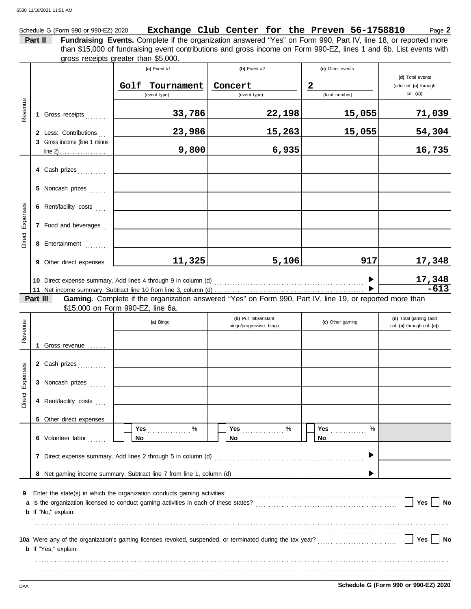Schedule G (Form 990 or 990-EZ) 2020 Page **2 Exchange Club Center for the Preven 56-1758810 Part II Fundraising Events.** Complete if the organization answered "Yes" on Form 990, Part IV, line 18, or reported more receipts greater than \$5,000. than \$15,000 of fundraising event contributions and gross income on Form 990-EZ, lines 1 and 6b. List events with

|                 |          | giuss receipis greater triari po,000. |           |                |                                                                                                          |                         |                       |                                                     |
|-----------------|----------|---------------------------------------|-----------|----------------|----------------------------------------------------------------------------------------------------------|-------------------------|-----------------------|-----------------------------------------------------|
|                 |          |                                       |           | (a) Event $#1$ | (b) Event $#2$                                                                                           |                         | (c) Other events      |                                                     |
|                 |          |                                       | Golf      | Tournament     | Concert                                                                                                  | $\overline{\mathbf{2}}$ |                       | (d) Total events<br>(add col. (a) through           |
|                 |          | (event type)                          |           |                | (event type)                                                                                             |                         | (total number)        | col. (c)                                            |
| Revenue         |          | 1 Gross receipts                      |           | 33,786         | 22,198                                                                                                   |                         | 15,055                | 71,039                                              |
|                 |          | 2 Less: Contributions                 |           | 23,986         | 15,263                                                                                                   |                         | 15,055                | 54,304                                              |
|                 |          | 3 Gross income (line 1 minus          |           |                |                                                                                                          |                         |                       |                                                     |
|                 |          |                                       |           | 9,800          | 6,935                                                                                                    |                         |                       | 16,735                                              |
|                 |          | 4 Cash prizes                         |           |                |                                                                                                          |                         |                       |                                                     |
|                 |          | 5 Noncash prizes                      |           |                |                                                                                                          |                         |                       |                                                     |
| Expenses        |          | 6 Rent/facility costs                 |           |                |                                                                                                          |                         |                       |                                                     |
|                 |          | 7 Food and beverages.                 |           |                |                                                                                                          |                         |                       |                                                     |
| Direct          |          | 8 Entertainment                       |           |                |                                                                                                          |                         |                       |                                                     |
|                 |          | 9 Other direct expenses               |           | 11,325         | 5,106                                                                                                    |                         | 917                   | 17,348                                              |
|                 |          |                                       |           |                |                                                                                                          |                         |                       | 17,348                                              |
|                 |          |                                       |           |                |                                                                                                          |                         |                       | $-613$                                              |
|                 | Part III | \$15,000 on Form 990-EZ, line 6a.     |           |                | Gaming. Complete if the organization answered "Yes" on Form 990, Part IV, line 19, or reported more than |                         |                       |                                                     |
| Revenue         |          |                                       |           | (a) Bingo      | (b) Pull tabs/instant<br>bingo/progressive bingo                                                         |                         | (c) Other gaming      | (d) Total gaming (add<br>col. (a) through col. (c)) |
|                 | 1        | Gross revenue                         |           |                |                                                                                                          |                         |                       |                                                     |
|                 |          | 2 Cash prizes                         |           |                |                                                                                                          |                         |                       |                                                     |
| Direct Expenses |          | 3 Noncash prizes                      |           |                |                                                                                                          |                         |                       |                                                     |
|                 |          | 4 Rent/facility costs                 |           |                |                                                                                                          |                         |                       |                                                     |
|                 |          | 5 Other direct expenses               |           |                |                                                                                                          |                         |                       |                                                     |
|                 |          | 6 Volunteer labor                     | Yes<br>No | $\%$           | Yes<br>$\ldots \ldots$ %<br>No                                                                           |                         | <b>Yes</b><br>%<br>No |                                                     |
|                 |          |                                       |           |                |                                                                                                          |                         |                       |                                                     |
|                 |          |                                       |           |                |                                                                                                          |                         |                       |                                                     |
|                 |          |                                       |           |                |                                                                                                          |                         |                       |                                                     |

| <b>9</b> Enter the state(s) in which the organization conducts gaming activities:                         |                 |    |
|-----------------------------------------------------------------------------------------------------------|-----------------|----|
| a Is the organization licensed to conduct gaming activities in each of these states?                      | <b>Yes</b>      | No |
| <b>b</b> If "No," explain:                                                                                |                 |    |
|                                                                                                           |                 |    |
|                                                                                                           |                 |    |
| 10a Were any of the organization's gaming licenses revoked, suspended, or terminated during the tax year? | $Y_{\text{BS}}$ | No |
| <b>b</b> If "Yes," explain:                                                                               |                 |    |
|                                                                                                           |                 |    |
|                                                                                                           |                 |    |

. . . . . . . . . . . . . . . . . . . . . . . . . . . . . . . . . . . . . . . . . . . . . . . . . . . . . . . . . . . . . . . . . . . . . . . . . . . . . . . . . . . . . . . . . . . . . . . . . . . . . . . . . . . . . . . . . . . . . . . . . . . . . . . . . . . . . . . . . . . . . . . . . . . . . . . . . . . . . . . .

DAA **Schedule G (Form 990 or 990-EZ) 2020**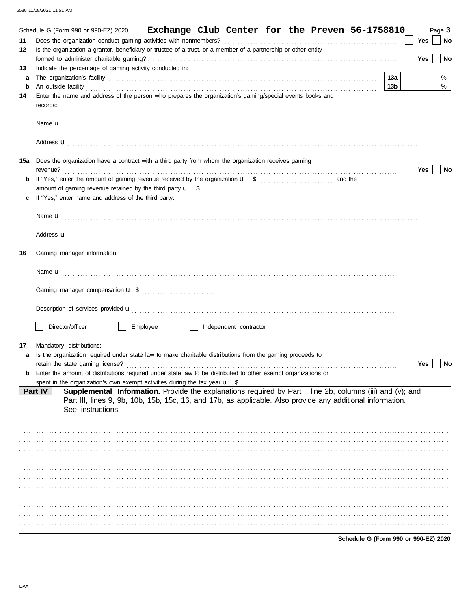|     |          | Schedule G (Form 990 or 990-EZ) 2020                                                                                       |          |  |                        |  | Exchange Club Center for the Preven 56-1758810 |                                      |                 |     | Page 3 |      |
|-----|----------|----------------------------------------------------------------------------------------------------------------------------|----------|--|------------------------|--|------------------------------------------------|--------------------------------------|-----------------|-----|--------|------|
| 11  |          | Does the organization conduct gaming activities with nonmembers?                                                           |          |  |                        |  |                                                |                                      |                 | Yes |        | ∣ No |
| 12  |          | Is the organization a grantor, beneficiary or trustee of a trust, or a member of a partnership or other entity             |          |  |                        |  |                                                |                                      |                 |     |        |      |
|     |          |                                                                                                                            |          |  |                        |  |                                                |                                      |                 | Yes |        | No   |
| 13  |          | Indicate the percentage of gaming activity conducted in:                                                                   |          |  |                        |  |                                                |                                      |                 |     |        |      |
| a   |          |                                                                                                                            |          |  |                        |  |                                                |                                      | 13a             |     |        | %    |
| b   |          | An outside facility <i>contained a contained a contained a contained a contained a contained a contained a contained a</i> |          |  |                        |  |                                                |                                      | 13 <sub>b</sub> |     |        | $\%$ |
| 14  |          | Enter the name and address of the person who prepares the organization's gaming/special events books and                   |          |  |                        |  |                                                |                                      |                 |     |        |      |
|     | records: |                                                                                                                            |          |  |                        |  |                                                |                                      |                 |     |        |      |
|     |          |                                                                                                                            |          |  |                        |  |                                                |                                      |                 |     |        |      |
|     |          |                                                                                                                            |          |  |                        |  |                                                |                                      |                 |     |        |      |
|     |          |                                                                                                                            |          |  |                        |  |                                                |                                      |                 |     |        |      |
|     |          |                                                                                                                            |          |  |                        |  |                                                |                                      |                 |     |        |      |
|     |          | Address <b>u</b>                                                                                                           |          |  |                        |  |                                                |                                      |                 |     |        |      |
|     |          |                                                                                                                            |          |  |                        |  |                                                |                                      |                 |     |        |      |
| 15a |          | Does the organization have a contract with a third party from whom the organization receives gaming                        |          |  |                        |  |                                                |                                      |                 |     |        |      |
|     | revenue? |                                                                                                                            |          |  |                        |  |                                                |                                      |                 | Yes |        | No   |
| b   |          |                                                                                                                            |          |  |                        |  |                                                |                                      |                 |     |        |      |
|     |          |                                                                                                                            |          |  |                        |  |                                                |                                      |                 |     |        |      |
| c   |          | If "Yes," enter name and address of the third party:                                                                       |          |  |                        |  |                                                |                                      |                 |     |        |      |
|     |          |                                                                                                                            |          |  |                        |  |                                                |                                      |                 |     |        |      |
|     |          |                                                                                                                            |          |  |                        |  |                                                |                                      |                 |     |        |      |
|     |          |                                                                                                                            |          |  |                        |  |                                                |                                      |                 |     |        |      |
|     |          | Address <b>u</b>                                                                                                           |          |  |                        |  |                                                |                                      |                 |     |        |      |
|     |          |                                                                                                                            |          |  |                        |  |                                                |                                      |                 |     |        |      |
| 16  |          | Gaming manager information:                                                                                                |          |  |                        |  |                                                |                                      |                 |     |        |      |
|     |          |                                                                                                                            |          |  |                        |  |                                                |                                      |                 |     |        |      |
|     |          |                                                                                                                            |          |  |                        |  |                                                |                                      |                 |     |        |      |
|     |          |                                                                                                                            |          |  |                        |  |                                                |                                      |                 |     |        |      |
|     |          |                                                                                                                            |          |  |                        |  |                                                |                                      |                 |     |        |      |
|     |          |                                                                                                                            |          |  |                        |  |                                                |                                      |                 |     |        |      |
|     |          |                                                                                                                            |          |  |                        |  |                                                |                                      |                 |     |        |      |
|     |          |                                                                                                                            |          |  |                        |  |                                                |                                      |                 |     |        |      |
|     |          |                                                                                                                            |          |  |                        |  |                                                |                                      |                 |     |        |      |
|     |          | Director/officer                                                                                                           | Employee |  | Independent contractor |  |                                                |                                      |                 |     |        |      |
|     |          |                                                                                                                            |          |  |                        |  |                                                |                                      |                 |     |        |      |
| 17  |          | Mandatory distributions:                                                                                                   |          |  |                        |  |                                                |                                      |                 |     |        |      |
| a   |          | Is the organization required under state law to make charitable distributions from the gaming proceeds to                  |          |  |                        |  |                                                |                                      |                 |     |        |      |
|     |          |                                                                                                                            |          |  |                        |  |                                                |                                      |                 | Yes |        | ∣ No |
|     |          | Enter the amount of distributions required under state law to be distributed to other exempt organizations or              |          |  |                        |  |                                                |                                      |                 |     |        |      |
|     |          | spent in the organization's own exempt activities during the tax year $\mathbf{u}$ \$                                      |          |  |                        |  |                                                |                                      |                 |     |        |      |
|     | Part IV  | Supplemental Information. Provide the explanations required by Part I, line 2b, columns (iii) and (v); and                 |          |  |                        |  |                                                |                                      |                 |     |        |      |
|     |          | Part III, lines 9, 9b, 10b, 15b, 15c, 16, and 17b, as applicable. Also provide any additional information.                 |          |  |                        |  |                                                |                                      |                 |     |        |      |
|     |          | See instructions.                                                                                                          |          |  |                        |  |                                                |                                      |                 |     |        |      |
|     |          |                                                                                                                            |          |  |                        |  |                                                |                                      |                 |     |        |      |
|     |          |                                                                                                                            |          |  |                        |  |                                                |                                      |                 |     |        |      |
|     |          |                                                                                                                            |          |  |                        |  |                                                |                                      |                 |     |        |      |
|     |          |                                                                                                                            |          |  |                        |  |                                                |                                      |                 |     |        |      |
|     |          |                                                                                                                            |          |  |                        |  |                                                |                                      |                 |     |        |      |
|     |          |                                                                                                                            |          |  |                        |  |                                                |                                      |                 |     |        |      |
|     |          |                                                                                                                            |          |  |                        |  |                                                |                                      |                 |     |        |      |
|     |          |                                                                                                                            |          |  |                        |  |                                                |                                      |                 |     |        |      |
|     |          |                                                                                                                            |          |  |                        |  |                                                |                                      |                 |     |        |      |
|     |          |                                                                                                                            |          |  |                        |  |                                                |                                      |                 |     |        |      |
|     |          |                                                                                                                            |          |  |                        |  |                                                |                                      |                 |     |        |      |
|     |          |                                                                                                                            |          |  |                        |  |                                                |                                      |                 |     |        |      |
|     |          |                                                                                                                            |          |  |                        |  |                                                |                                      |                 |     |        |      |
|     |          |                                                                                                                            |          |  |                        |  |                                                |                                      |                 |     |        |      |
|     |          |                                                                                                                            |          |  |                        |  |                                                | Schedule G (Form 990 or 990-EZ) 2020 |                 |     |        |      |

DAA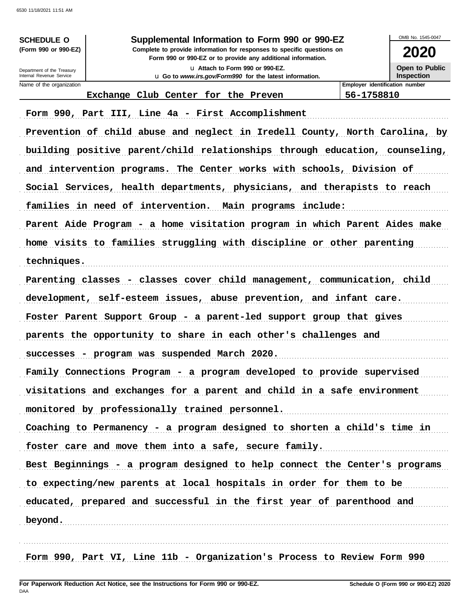**SCHEDULE O** (Form 990 or 990-EZ)

Department of the Treasury Internal Revenue Service

#### Supplemental Information to Form 990 or 990-EZ

Complete to provide information for responses to specific questions on Form 990 or 990-EZ or to provide any additional information. u Attach to Form 990 or 990-EZ.

u Go to www.irs.gov/Form990 for the latest information.

2020 **Open to Public** Inspection

Name of the organization

| <b>Employer identification number</b> |  |
|---------------------------------------|--|
| 56-1758810                            |  |

Exchange Club Center for the Preven

Form 990, Part III, Line 4a - First Accomplishment

Prevention of child abuse and neglect in Iredell County, North Carolina, by building positive parent/child relationships through education, counseling, and intervention programs. The Center works with schools, Division of Social Services, health departments, physicians, and therapists to reach families in need of intervention. Main programs include: Parent Aide Program - a home visitation program in which Parent Aides make home visits to families struggling with discipline or other parenting techniques. Parenting classes - classes cover child management, communication, child development, self-esteem issues, abuse prevention, and infant care. Foster Parent Support Group - a parent-led support group that gives parents the opportunity to share in each other's challenges and successes - program was suspended March 2020. Family Connections Program - a program developed to provide supervised visitations and exchanges for a parent and child in a safe environment monitored by professionally trained personnel. Coaching to Permanency - a program designed to shorten a child's time in foster care and move them into a safe, secure family. Best Beginnings - a program designed to help connect the Center's programs to expecting/new parents at local hospitals in order for them to be educated, prepared and successful in the first year of parenthood and beyond.

Form 990, Part VI, Line 11b - Organization's Process to Review Form 990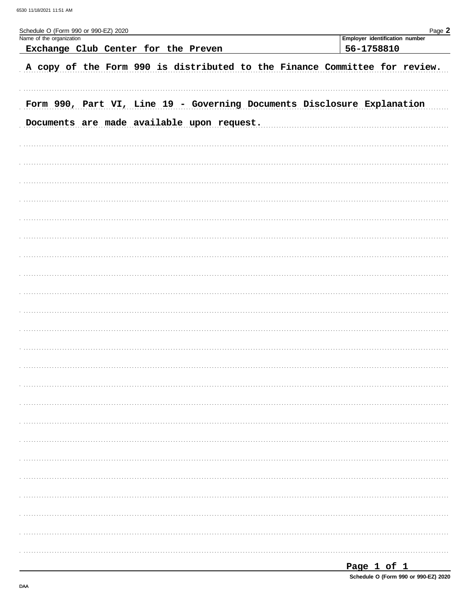| Schedule O (Form 990 or 990-EZ) 2020<br>Name of the organization           | Page 2<br>Employer identification number |
|----------------------------------------------------------------------------|------------------------------------------|
| Exchange Club Center for the Preven                                        | 56-1758810                               |
| A copy of the Form 990 is distributed to the Finance Committee for review. |                                          |
| Form 990, Part VI, Line 19 - Governing Documents Disclosure Explanation    |                                          |
| Documents are made available upon request.                                 |                                          |
|                                                                            |                                          |
|                                                                            |                                          |
|                                                                            |                                          |
|                                                                            |                                          |
|                                                                            |                                          |
|                                                                            |                                          |
|                                                                            |                                          |
|                                                                            |                                          |
|                                                                            |                                          |
|                                                                            |                                          |
|                                                                            |                                          |
|                                                                            |                                          |
|                                                                            |                                          |
|                                                                            |                                          |
|                                                                            |                                          |
|                                                                            |                                          |
|                                                                            |                                          |
|                                                                            |                                          |
|                                                                            |                                          |
|                                                                            |                                          |
|                                                                            |                                          |

| ∽age |  |  |  |
|------|--|--|--|
|------|--|--|--|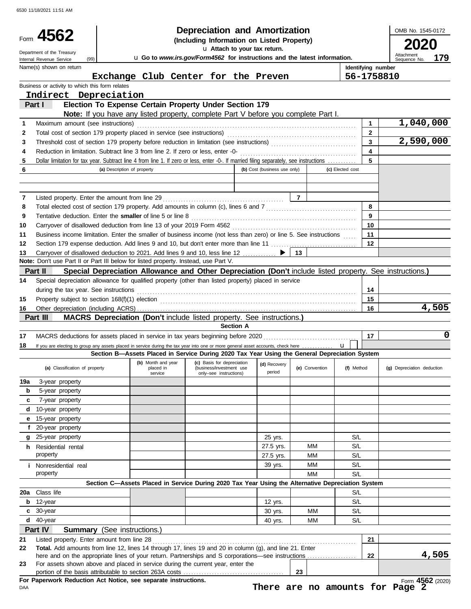6530 11/18/2021 11:51 AM

|             |                                                                                                                                         |                                    |                      | <b>Depreciation and Amortization</b>                                                                                                         |                  |                              |                                 |                    |              | OMB No. 1545-0172          |       |
|-------------|-----------------------------------------------------------------------------------------------------------------------------------------|------------------------------------|----------------------|----------------------------------------------------------------------------------------------------------------------------------------------|------------------|------------------------------|---------------------------------|--------------------|--------------|----------------------------|-------|
|             | Form 4562                                                                                                                               |                                    |                      | (Including Information on Listed Property)                                                                                                   |                  | u Attach to your tax return. |                                 |                    |              |                            |       |
|             | Department of the Treasury<br>(99)<br>Internal Revenue Service                                                                          |                                    |                      | u Go to www.irs.gov/Form4562 for instructions and the latest information.                                                                    |                  |                              |                                 |                    |              | Attachment<br>Sequence No. | 179   |
|             | Name(s) shown on return                                                                                                                 |                                    |                      |                                                                                                                                              |                  |                              |                                 | Identifying number |              |                            |       |
|             |                                                                                                                                         |                                    |                      | Exchange Club Center for the Preven                                                                                                          |                  |                              |                                 | 56-1758810         |              |                            |       |
|             | Business or activity to which this form relates                                                                                         |                                    |                      |                                                                                                                                              |                  |                              |                                 |                    |              |                            |       |
|             | Indirect Depreciation<br>Part I                                                                                                         |                                    |                      |                                                                                                                                              |                  |                              |                                 |                    |              |                            |       |
|             |                                                                                                                                         |                                    |                      | Election To Expense Certain Property Under Section 179<br>Note: If you have any listed property, complete Part V before you complete Part I. |                  |                              |                                 |                    |              |                            |       |
| $\mathbf 1$ | Maximum amount (see instructions)                                                                                                       |                                    |                      |                                                                                                                                              |                  |                              |                                 |                    | 1            | 1,040,000                  |       |
| 2           |                                                                                                                                         |                                    |                      |                                                                                                                                              |                  |                              |                                 |                    | $\mathbf{2}$ |                            |       |
| 3           |                                                                                                                                         |                                    |                      |                                                                                                                                              |                  |                              |                                 |                    | 3            | 2,590,000                  |       |
| 4           |                                                                                                                                         |                                    |                      |                                                                                                                                              |                  |                              |                                 |                    | 4            |                            |       |
| 5           | Dollar limitation for tax year. Subtract line 4 from line 1. If zero or less, enter -0-. If married filing separately, see instructions |                                    |                      |                                                                                                                                              |                  |                              |                                 |                    | 5            |                            |       |
| 6           |                                                                                                                                         | (a) Description of property        |                      |                                                                                                                                              |                  | (b) Cost (business use only) |                                 | (c) Elected cost   |              |                            |       |
|             |                                                                                                                                         |                                    |                      |                                                                                                                                              |                  |                              |                                 |                    |              |                            |       |
|             |                                                                                                                                         |                                    |                      |                                                                                                                                              |                  |                              |                                 |                    |              |                            |       |
| 7           |                                                                                                                                         |                                    |                      |                                                                                                                                              |                  |                              | $\overline{7}$                  |                    |              |                            |       |
| 8           | Total elected cost of section 179 property. Add amounts in column (c), lines 6 and 7 [[[[[[[[[[[[[[[[[[[[[[[[                           |                                    |                      |                                                                                                                                              |                  |                              |                                 |                    | 8            |                            |       |
| 9           | Tentative deduction. Enter the smaller of line 5 or line 8                                                                              |                                    |                      |                                                                                                                                              |                  |                              |                                 |                    | 9            |                            |       |
| 10          | Business income limitation. Enter the smaller of business income (not less than zero) or line 5. See instructions                       |                                    |                      |                                                                                                                                              |                  |                              |                                 |                    | 10<br>11     |                            |       |
| 11<br>12    |                                                                                                                                         |                                    |                      |                                                                                                                                              |                  |                              |                                 |                    | 12           |                            |       |
| 13          | Carryover of disallowed deduction to 2021. Add lines 9 and 10, less line 12 ▶                                                           |                                    |                      |                                                                                                                                              |                  |                              | 13                              |                    |              |                            |       |
|             | Note: Don't use Part II or Part III below for listed property. Instead, use Part V.                                                     |                                    |                      |                                                                                                                                              |                  |                              |                                 |                    |              |                            |       |
|             | Part II                                                                                                                                 |                                    |                      | Special Depreciation Allowance and Other Depreciation (Don't include listed property. See instructions.)                                     |                  |                              |                                 |                    |              |                            |       |
| 14          | Special depreciation allowance for qualified property (other than listed property) placed in service                                    |                                    |                      |                                                                                                                                              |                  |                              |                                 |                    |              |                            |       |
|             | during the tax year. See instructions                                                                                                   |                                    |                      |                                                                                                                                              |                  |                              |                                 |                    | 14           |                            |       |
| 15          | Property subject to section 168(f)(1) election <i>contained a contained a contained a contained a contained a contained a</i>           |                                    |                      |                                                                                                                                              |                  |                              |                                 |                    | 15           |                            |       |
| 16          |                                                                                                                                         |                                    |                      |                                                                                                                                              |                  |                              |                                 |                    | 16           |                            | 4,505 |
|             | Part III                                                                                                                                |                                    |                      | <b>MACRS Depreciation (Don't include listed property. See instructions.)</b>                                                                 |                  |                              |                                 |                    |              |                            |       |
|             |                                                                                                                                         |                                    |                      |                                                                                                                                              | <b>Section A</b> |                              |                                 |                    |              |                            |       |
| 17          |                                                                                                                                         |                                    |                      |                                                                                                                                              |                  |                              |                                 |                    | 17           |                            | 0     |
| 18          | If you are electing to group any assets placed in service during the tax year into one or more general asset accounts, check here       |                                    |                      |                                                                                                                                              |                  |                              |                                 | $\mathbf{u}$       |              |                            |       |
|             |                                                                                                                                         |                                    |                      | Section B-Assets Placed in Service During 2020 Tax Year Using the General Depreciation System                                                |                  |                              |                                 |                    |              |                            |       |
|             | (a) Classification of property                                                                                                          |                                    | placed in<br>service | (b) Month and year   (c) Basis for depreciation<br>(business/investment use<br>only-see instructions)                                        |                  | (d) Recovery<br>period       | (e) Convention                  | (f) Method         |              | (g) Depreciation deduction |       |
| 19a         | 3-year property                                                                                                                         |                                    |                      |                                                                                                                                              |                  |                              |                                 |                    |              |                            |       |
| b           | 5-year property                                                                                                                         |                                    |                      |                                                                                                                                              |                  |                              |                                 |                    |              |                            |       |
| c           | 7-year property                                                                                                                         |                                    |                      |                                                                                                                                              |                  |                              |                                 |                    |              |                            |       |
| d           | 10-year property                                                                                                                        |                                    |                      |                                                                                                                                              |                  |                              |                                 |                    |              |                            |       |
| e           | 15-year property                                                                                                                        |                                    |                      |                                                                                                                                              |                  |                              |                                 |                    |              |                            |       |
| f           | 20-year property                                                                                                                        |                                    |                      |                                                                                                                                              |                  |                              |                                 |                    |              |                            |       |
| g           | 25-year property                                                                                                                        |                                    |                      |                                                                                                                                              |                  | 25 yrs.                      |                                 | S/L                |              |                            |       |
|             | <b>h</b> Residential rental<br>property                                                                                                 |                                    |                      |                                                                                                                                              |                  | 27.5 yrs.<br>27.5 yrs.       | MM<br>МM                        | S/L<br>S/L         |              |                            |       |
|             | <i>i</i> Nonresidential real                                                                                                            |                                    |                      |                                                                                                                                              |                  | 39 yrs.                      | МM                              | S/L                |              |                            |       |
|             | property                                                                                                                                |                                    |                      |                                                                                                                                              |                  |                              | MМ                              | S/L                |              |                            |       |
|             |                                                                                                                                         |                                    |                      | Section C-Assets Placed in Service During 2020 Tax Year Using the Alternative Depreciation System                                            |                  |                              |                                 |                    |              |                            |       |
|             | 20a Class life                                                                                                                          |                                    |                      |                                                                                                                                              |                  |                              |                                 | S/L                |              |                            |       |
| b           | 12-year                                                                                                                                 |                                    |                      |                                                                                                                                              |                  | 12 yrs.                      |                                 | S/L                |              |                            |       |
|             | c 30-year                                                                                                                               |                                    |                      |                                                                                                                                              |                  | 30 yrs.                      | MМ                              | S/L                |              |                            |       |
| d           | 40-year                                                                                                                                 |                                    |                      |                                                                                                                                              |                  | 40 yrs.                      | MМ                              | S/L                |              |                            |       |
|             | Part IV                                                                                                                                 | <b>Summary</b> (See instructions.) |                      |                                                                                                                                              |                  |                              |                                 |                    |              |                            |       |
| 21          | Listed property. Enter amount from line 28                                                                                              |                                    |                      |                                                                                                                                              |                  |                              |                                 |                    | 21           |                            |       |
| 22          | Total. Add amounts from line 12, lines 14 through 17, lines 19 and 20 in column (g), and line 21. Enter                                 |                                    |                      |                                                                                                                                              |                  |                              |                                 |                    |              |                            |       |
|             | here and on the appropriate lines of your return. Partnerships and S corporations—see instructions                                      |                                    |                      |                                                                                                                                              |                  |                              |                                 |                    | 22           |                            | 4,505 |
| 23          | For assets shown above and placed in service during the current year, enter the                                                         |                                    |                      |                                                                                                                                              |                  |                              | 23                              |                    |              |                            |       |
|             | For Paperwork Reduction Act Notice, see separate instructions.                                                                          |                                    |                      |                                                                                                                                              |                  |                              |                                 |                    |              | Form 4562 (2020)           |       |
| DAA         |                                                                                                                                         |                                    |                      |                                                                                                                                              |                  |                              | There are no amounts for Page 2 |                    |              |                            |       |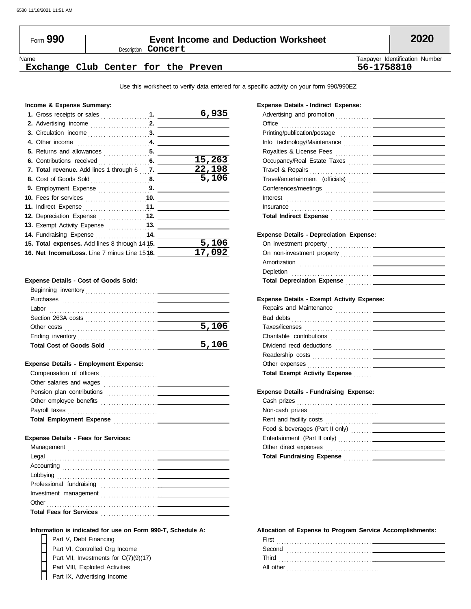### Form **990 Event Income and Deduction Worksheet 2020**

Description **Concert**

#### Name Taxpayer Identification Number **Exchange Club Center for the Preven 198810 56-1758810**

Use this worksheet to verify data entered for a specific activity on your form 990/990EZ

#### **Income & Expense Summary:**

|                                               | 6,935  |
|-----------------------------------------------|--------|
|                                               |        |
|                                               |        |
|                                               |        |
|                                               |        |
|                                               | 15,263 |
| 7. Total revenue. Add lines 1 through 6 7.    | 22,198 |
|                                               | 5,106  |
| 9. Employment Expense 9.                      |        |
|                                               |        |
| 11. Indirect Expense <b>11.</b> 11.           |        |
|                                               |        |
|                                               |        |
| 14. Fundraising Expense 14.                   |        |
| 15. Total expenses. Add lines 8 through 1415. | 5,106  |
| 16. Net Income/Loss. Line 7 minus Line 1516.  | 17,092 |

#### **Expense Details - Cost of Goods Sold:**

| Beginning inventory                                                  |       |
|----------------------------------------------------------------------|-------|
| Purchases                                                            |       |
| Labor                                                                |       |
| Section 263A costs                                                   |       |
| Other costs                                                          | 5,106 |
|                                                                      |       |
| <b>Total Cost of Goods Sold</b><br>the control of the control of the | 5,106 |
|                                                                      |       |

#### **Expense Details - Employment Expense:**

| Compensation of officers                                                                                      |
|---------------------------------------------------------------------------------------------------------------|
| Other salaries and wages                                                                                      |
| Pension plan contributions<br>the contract of the contract of the contract of the contract of the contract of |
| Other employee benefits<br>the contract of the contract of the contract of the                                |
| Payroll taxes                                                                                                 |
| <b>Total Employment Expense</b>                                                                               |
|                                                                                                               |

#### **Expense Details - Fees for Services:**

| Other                          |  |
|--------------------------------|--|
| <b>Total Fees for Services</b> |  |
|                                |  |

#### **Information is indicated for use on Form 990-T, Schedule A:**

Part V, Debt Financing Part IX, Advertising Income Part VIII, Exploited Activities Part VI, Controlled Org Income Part VII, Investments for C(7)(9)(17)

#### **Expense Details - Indirect Expense:**

| $\frac{1}{2}$                                                                                                                                                                                                                        |  |
|--------------------------------------------------------------------------------------------------------------------------------------------------------------------------------------------------------------------------------------|--|
|                                                                                                                                                                                                                                      |  |
|                                                                                                                                                                                                                                      |  |
|                                                                                                                                                                                                                                      |  |
|                                                                                                                                                                                                                                      |  |
|                                                                                                                                                                                                                                      |  |
|                                                                                                                                                                                                                                      |  |
|                                                                                                                                                                                                                                      |  |
| Travel/entertainment (officials)                                                                                                                                                                                                     |  |
|                                                                                                                                                                                                                                      |  |
| Interest <b>contract and the contract of the contract of the contract of the contract of the contract of the contract of the contract of the contract of the contract of the contract of the contract of the contract of the con</b> |  |
|                                                                                                                                                                                                                                      |  |
| Total Indirect Expense <b>Constantine Constantine Constantine Constantine Constantine Constantine Constantine Constantine Constantine Constantine Constantine Constantine Constantine Constantine Constantine Constantine Consta</b> |  |
|                                                                                                                                                                                                                                      |  |
| <b>Expense Details - Depreciation Expense:</b>                                                                                                                                                                                       |  |
|                                                                                                                                                                                                                                      |  |
|                                                                                                                                                                                                                                      |  |
|                                                                                                                                                                                                                                      |  |
| Depletion                                                                                                                                                                                                                            |  |
| Total Depreciation Expense Manual Accords and Accords and Accords and Accords and                                                                                                                                                    |  |
|                                                                                                                                                                                                                                      |  |
| Expense Details - Exempt Activity Expense:                                                                                                                                                                                           |  |
|                                                                                                                                                                                                                                      |  |
|                                                                                                                                                                                                                                      |  |
|                                                                                                                                                                                                                                      |  |
|                                                                                                                                                                                                                                      |  |
|                                                                                                                                                                                                                                      |  |
|                                                                                                                                                                                                                                      |  |
|                                                                                                                                                                                                                                      |  |
|                                                                                                                                                                                                                                      |  |
|                                                                                                                                                                                                                                      |  |
| <b>Expense Details - Fundraising Expense:</b>                                                                                                                                                                                        |  |
|                                                                                                                                                                                                                                      |  |
|                                                                                                                                                                                                                                      |  |
|                                                                                                                                                                                                                                      |  |
|                                                                                                                                                                                                                                      |  |
|                                                                                                                                                                                                                                      |  |
|                                                                                                                                                                                                                                      |  |
| Total Fundraising Expense                                                                                                                                                                                                            |  |

| First     |  |
|-----------|--|
| Second    |  |
| Third     |  |
| All other |  |
|           |  |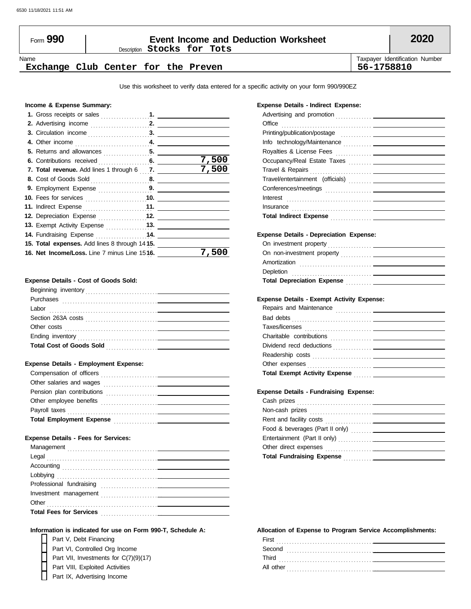### Description **Stocks for Tots** Form **990 Event Income and Deduction Worksheet 2020**

Name Taxpayer Identification Number

### **Exchange Club Center for the Preven 198810 56-1758810**

Use this worksheet to verify data entered for a specific activity on your form 990/990EZ

#### **Income & Expense Summary:**

|                                               | 7,500 |
|-----------------------------------------------|-------|
| 7. Total revenue. Add lines 1 through 6 7.    | 7,500 |
|                                               |       |
|                                               |       |
|                                               |       |
|                                               |       |
| 12. Depreciation Expense 12.                  |       |
| 13. Exempt Activity Expense 13.               |       |
| 14. Fundraising Expense  14.                  |       |
| 15. Total expenses. Add lines 8 through 1415. |       |
| 16. Net Income/Loss. Line 7 minus Line 1516.  | 7.5   |
|                                               |       |

#### **Expense Details - Cost of Goods Sold:**

| Beginning inventory             |
|---------------------------------|
| Purchases                       |
| Labor                           |
| Section 263A costs              |
| Other costs                     |
|                                 |
| <b>Total Cost of Goods Sold</b> |
|                                 |

#### **Expense Details - Employment Expense:**

| Compensation of officers                                                                                    |  |
|-------------------------------------------------------------------------------------------------------------|--|
| Other salaries and wages<br>the contract of the contract of the contract of the contract of the contract of |  |
| Pension plan contributions                                                                                  |  |
| Other employee benefits                                                                                     |  |
| Payroll taxes                                                                                               |  |
| <b>Total Employment Expense</b>                                                                             |  |

#### **Expense Details - Fees for Services:**

| <b>Total Fees for Services</b> |  |
|--------------------------------|--|
|                                |  |

#### **Information is indicated for use on Form 990-T, Schedule A:**

Part V, Debt Financing Part IX, Advertising Income Part VIII, Exploited Activities Part VI, Controlled Org Income Part VII, Investments for C(7)(9)(17)

#### **Expense Details - Indirect Expense:**

| Travel/entertainment (officials)                                                                     |  |
|------------------------------------------------------------------------------------------------------|--|
|                                                                                                      |  |
|                                                                                                      |  |
|                                                                                                      |  |
| Total Indirect Expense <b>contained</b> and the <b>container and the container and the container</b> |  |
|                                                                                                      |  |
| <b>Expense Details - Depreciation Expense:</b>                                                       |  |
|                                                                                                      |  |
|                                                                                                      |  |
|                                                                                                      |  |
|                                                                                                      |  |
|                                                                                                      |  |
|                                                                                                      |  |
| <b>Expense Details - Exempt Activity Expense:</b>                                                    |  |
|                                                                                                      |  |
|                                                                                                      |  |
|                                                                                                      |  |
|                                                                                                      |  |
|                                                                                                      |  |
|                                                                                                      |  |
|                                                                                                      |  |
|                                                                                                      |  |
|                                                                                                      |  |
| <b>Expense Details - Fundraising Expense:</b>                                                        |  |
|                                                                                                      |  |
|                                                                                                      |  |
|                                                                                                      |  |
|                                                                                                      |  |
|                                                                                                      |  |
|                                                                                                      |  |
| Total Fundraising Expense                                                                            |  |
|                                                                                                      |  |

| First      |
|------------|
| Second     |
| Third<br>. |
| All other  |
| .          |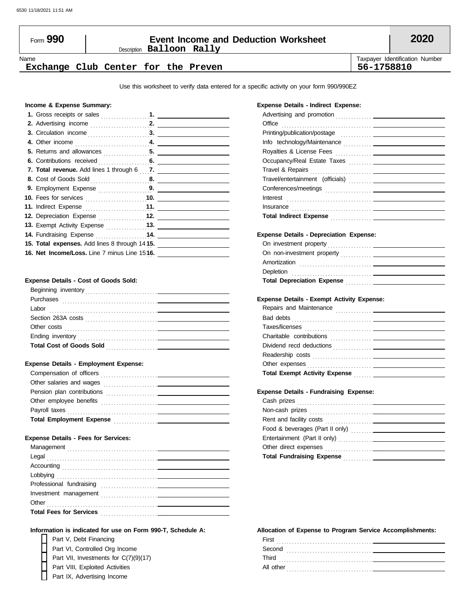# Form **990 Event Income and Deduction Worksheet 2020**

Description **Balloon Rally**

Name Taxpayer Identification Number

### **Exchange Club Center for the Preven 198810 56-1758810**

Use this worksheet to verify data entered for a specific activity on your form 990/990EZ

#### **Income & Expense Summary:**

| 15. Total expenses. Add lines 8 through 1415. |  |
|-----------------------------------------------|--|
| 16. Net Income/Loss. Line 7 minus Line 1516.  |  |
|                                               |  |

#### **Expense Details - Cost of Goods Sold:**

| Beginning inventory             |  |  |
|---------------------------------|--|--|
| Purchases                       |  |  |
| Labor                           |  |  |
| Section 263A costs              |  |  |
| Other costs                     |  |  |
|                                 |  |  |
| <b>Total Cost of Goods Sold</b> |  |  |
|                                 |  |  |

#### **Expense Details - Employment Expense:**

| Compensation of officers<br>the contract of the contract of the contract of   |  |
|-------------------------------------------------------------------------------|--|
| Other salaries and wages                                                      |  |
| Pension plan contributions<br>the contract of the contract of the contract of |  |
| Other employee benefits                                                       |  |
| Payroll taxes                                                                 |  |
| <b>Total Employment Expense</b>                                               |  |

#### **Expense Details - Fees for Services:**

#### **Information is indicated for use on Form 990-T, Schedule A:**

Part V, Debt Financing Part IX, Advertising Income Part VIII, Exploited Activities Part VI, Controlled Org Income Part VII, Investments for C(7)(9)(17)

#### **Expense Details - Indirect Expense:**

| Printing/publication/postage contains and the contact of the contact of the contact of the contact of the conta                                                                                                                     |
|-------------------------------------------------------------------------------------------------------------------------------------------------------------------------------------------------------------------------------------|
|                                                                                                                                                                                                                                     |
|                                                                                                                                                                                                                                     |
|                                                                                                                                                                                                                                     |
|                                                                                                                                                                                                                                     |
|                                                                                                                                                                                                                                     |
|                                                                                                                                                                                                                                     |
|                                                                                                                                                                                                                                     |
|                                                                                                                                                                                                                                     |
| Total Indirect Expense <b>Construction Construction Construction Construction</b>                                                                                                                                                   |
|                                                                                                                                                                                                                                     |
| <b>Expense Details - Depreciation Expense:</b>                                                                                                                                                                                      |
|                                                                                                                                                                                                                                     |
|                                                                                                                                                                                                                                     |
|                                                                                                                                                                                                                                     |
|                                                                                                                                                                                                                                     |
|                                                                                                                                                                                                                                     |
|                                                                                                                                                                                                                                     |
| <b>Expense Details - Exempt Activity Expense:</b>                                                                                                                                                                                   |
|                                                                                                                                                                                                                                     |
|                                                                                                                                                                                                                                     |
|                                                                                                                                                                                                                                     |
|                                                                                                                                                                                                                                     |
|                                                                                                                                                                                                                                     |
|                                                                                                                                                                                                                                     |
|                                                                                                                                                                                                                                     |
| Total Exempt Activity Expense <b>Construction</b> Construction of the Construction of the Construction of the Construction of the Construction of the Construction of the Construction of the Construction of the Construction of t |
|                                                                                                                                                                                                                                     |

#### **Expense Details - Fundraising Expense:**

| Cash prizes                                                                 |
|-----------------------------------------------------------------------------|
| Non-cash prizes                                                             |
| Rent and facility costs                                                     |
| Food & beverages (Part II only)<br><u> 1989 - Jan Alexandria (h. 1989).</u> |
|                                                                             |
| Other direct expenses                                                       |
| <b>Total Fundraising Expense</b>                                            |
|                                                                             |

| First          |
|----------------|
| Second         |
| Third          |
| All other<br>. |
|                |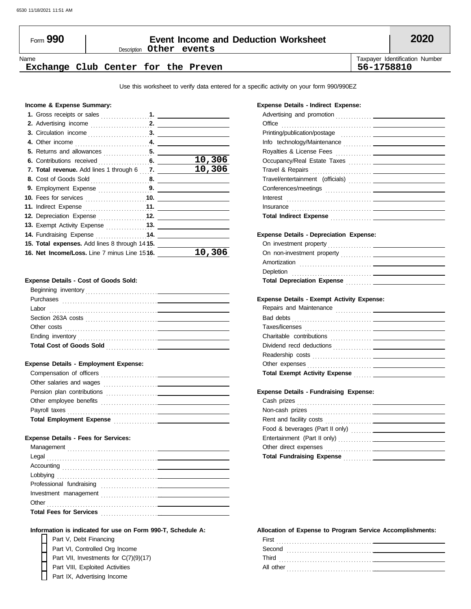### Description **Other events** Form **990 Event Income and Deduction Worksheet 2020**

Name Taxpayer Identification Number

### **Exchange Club Center for the Preven 198810 56-1758810**

Use this worksheet to verify data entered for a specific activity on your form 990/990EZ

#### **Income & Expense Summary:**

|                                               | 10,306 |
|-----------------------------------------------|--------|
| 7. Total revenue. Add lines 1 through 6 7.    | 10,306 |
|                                               |        |
| 9. Employment Expense 9.                      |        |
|                                               |        |
|                                               |        |
| 12. Depreciation Expense 12.                  |        |
| 13. Exempt Activity Expense 13.               |        |
| 14. Fundraising Expense 14.                   |        |
| 15. Total expenses. Add lines 8 through 1415. |        |
| 16. Net Income/Loss. Line 7 minus Line 1516.  | 10,306 |
|                                               |        |

#### **Expense Details - Cost of Goods Sold:**

| Beginning inventory             |  |  |
|---------------------------------|--|--|
| Purchases                       |  |  |
| Labor                           |  |  |
| Section 263A costs              |  |  |
| Other costs                     |  |  |
|                                 |  |  |
| <b>Total Cost of Goods Sold</b> |  |  |
|                                 |  |  |

#### **Expense Details - Employment Expense:**

| Compensation of officers<br>the contract of the contract of the contract of   |  |
|-------------------------------------------------------------------------------|--|
| Other salaries and wages                                                      |  |
| Pension plan contributions<br>the contract of the contract of the contract of |  |
| Other employee benefits                                                       |  |
| Payroll taxes                                                                 |  |
| <b>Total Employment Expense</b>                                               |  |

#### **Expense Details - Fees for Services:**

| <b>Total Fees for Services</b> |  |
|--------------------------------|--|
|                                |  |

#### **Information is indicated for use on Form 990-T, Schedule A:**

Part V, Debt Financing Part IX, Advertising Income Part VIII, Exploited Activities Part VI, Controlled Org Income Part VII, Investments for C(7)(9)(17)

#### **Expense Details - Indirect Expense:**

| Advertising and promotion <b>container and the container and container</b>                                    |  |
|---------------------------------------------------------------------------------------------------------------|--|
|                                                                                                               |  |
| Printing/publication/postage contains and all the contact of the contact of the contact of the contact of the |  |
|                                                                                                               |  |
|                                                                                                               |  |
|                                                                                                               |  |
|                                                                                                               |  |
|                                                                                                               |  |
|                                                                                                               |  |
|                                                                                                               |  |
|                                                                                                               |  |
| Total Indirect Expense <b>Community</b> and the <b>Community of the Community of Table 2016</b>               |  |
|                                                                                                               |  |
| <b>Expense Details - Depreciation Expense:</b>                                                                |  |
|                                                                                                               |  |
|                                                                                                               |  |
|                                                                                                               |  |
|                                                                                                               |  |
|                                                                                                               |  |
|                                                                                                               |  |
| <b>Expense Details - Exempt Activity Expense:</b>                                                             |  |
|                                                                                                               |  |
|                                                                                                               |  |
|                                                                                                               |  |
|                                                                                                               |  |
|                                                                                                               |  |
|                                                                                                               |  |
|                                                                                                               |  |
| Total Exempt Activity Expense <b>Fig. 1.1 Comparison</b>                                                      |  |
|                                                                                                               |  |
| <b>Expense Details - Fundraising Expense:</b>                                                                 |  |
|                                                                                                               |  |
|                                                                                                               |  |
|                                                                                                               |  |
|                                                                                                               |  |
|                                                                                                               |  |
|                                                                                                               |  |
| <b>Total Fundraising Expense</b>                                                                              |  |

| First      |
|------------|
| Second     |
| Third<br>. |
| All other  |
|            |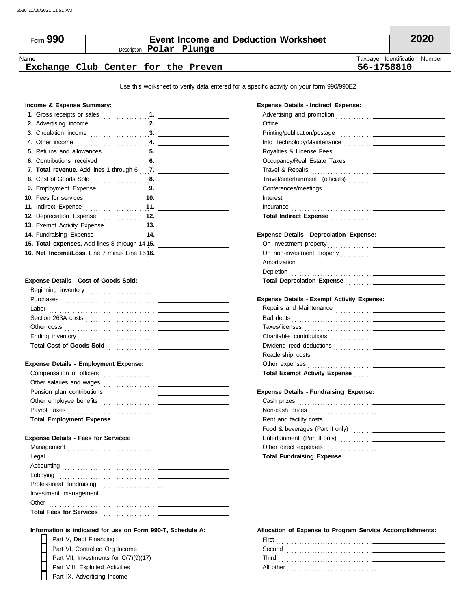### Description **Polar Plunge** Form **990 Event Income and Deduction Worksheet 2020**

### **Exchange Club Center for the Preven 198810 56-1758810**

Name Taxpayer Identification Number

Use this worksheet to verify data entered for a specific activity on your form 990/990EZ

#### **Income & Expense Summary:**

| 15. Total expenses. Add lines 8 through 1415. |  |
|-----------------------------------------------|--|
| 16. Net Income/Loss. Line 7 minus Line 1516.  |  |

#### **Expense Details - Cost of Goods Sold:**

| Beginning inventory             |
|---------------------------------|
| Purchases                       |
| Labor                           |
| Section 263A costs              |
| Other costs                     |
|                                 |
| <b>Total Cost of Goods Sold</b> |
|                                 |

#### **Expense Details - Employment Expense:**

| Compensation of officers        |
|---------------------------------|
| Other salaries and wages        |
| Pension plan contributions      |
| Other employee benefits         |
| Payroll taxes                   |
| <b>Total Employment Expense</b> |
|                                 |

#### **Expense Details - Fees for Services:**

| <b>Total Fees for Services</b> |  |
|--------------------------------|--|
|                                |  |

#### **Information is indicated for use on Form 990-T, Schedule A:**

Part V, Debt Financing Part IX, Advertising Income Part VIII, Exploited Activities Part VI, Controlled Org Income Part VII, Investments for C(7)(9)(17)

#### **Expense Details - Indirect Expense:**

| Printing/publication/postage exercise contract to the contract of the contract of the contract of the contract of the contract of the contract of the contract of the contract of the contract of the contract of the contract      |  |
|-------------------------------------------------------------------------------------------------------------------------------------------------------------------------------------------------------------------------------------|--|
|                                                                                                                                                                                                                                     |  |
|                                                                                                                                                                                                                                     |  |
|                                                                                                                                                                                                                                     |  |
|                                                                                                                                                                                                                                     |  |
|                                                                                                                                                                                                                                     |  |
|                                                                                                                                                                                                                                     |  |
|                                                                                                                                                                                                                                     |  |
|                                                                                                                                                                                                                                     |  |
| Total Indirect Expense <b>contained</b> and the contact of the contact of the contact of the contact of the contact of the contact of the contact of the contact of the contact of the contact of the contact of the contact of the |  |
|                                                                                                                                                                                                                                     |  |
| <b>Expense Details - Depreciation Expense:</b>                                                                                                                                                                                      |  |
|                                                                                                                                                                                                                                     |  |
|                                                                                                                                                                                                                                     |  |
|                                                                                                                                                                                                                                     |  |
|                                                                                                                                                                                                                                     |  |
| Total Depreciation Expense <b>contained CONSUMERS</b>                                                                                                                                                                               |  |
|                                                                                                                                                                                                                                     |  |
| <b>Expense Details - Exempt Activity Expense:</b>                                                                                                                                                                                   |  |
|                                                                                                                                                                                                                                     |  |
|                                                                                                                                                                                                                                     |  |
|                                                                                                                                                                                                                                     |  |
|                                                                                                                                                                                                                                     |  |
|                                                                                                                                                                                                                                     |  |
|                                                                                                                                                                                                                                     |  |
|                                                                                                                                                                                                                                     |  |
| <b>Total Exempt Activity Expense</b>                                                                                                                                                                                                |  |

#### **Expense Details - Fundraising Expense:**

| Total Fundraising Expense Manuscript Contains and Total Punch Contains a Total Punch Contains a Total Punch Co |
|----------------------------------------------------------------------------------------------------------------|
|                                                                                                                |

| First      |
|------------|
| Second     |
| Third<br>. |
| All other  |
| .          |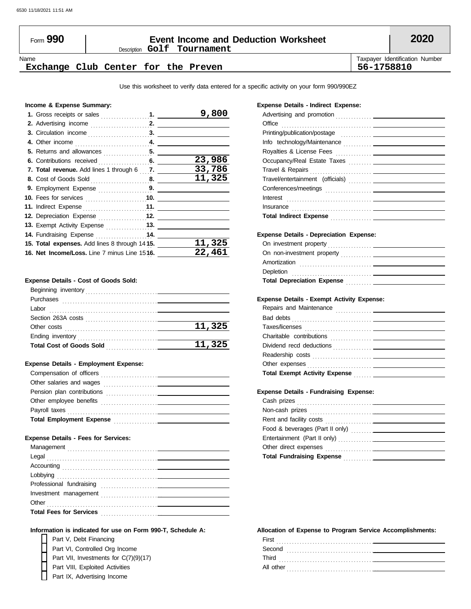### Description **Golf Tournament** Form **990 Event Income and Deduction Worksheet 2020**

Name Taxpayer Identification Number

### **Exchange Club Center for the Preven 198810 56-1758810**

Use this worksheet to verify data entered for a specific activity on your form 990/990EZ

#### **Income & Expense Summary:**

|                                                   | 9,800  |
|---------------------------------------------------|--------|
|                                                   |        |
|                                                   |        |
|                                                   |        |
|                                                   |        |
|                                                   | 23,986 |
| 7. Total revenue. Add lines 1 through 6 7.        | 33,786 |
|                                                   | 11,325 |
|                                                   |        |
| <b>10.</b> Fees for services <b>constants</b> 10. |        |
| 11. Indirect Expense <b>11.</b> 11.               |        |
| 12. Depreciation Expense 12.                      |        |
|                                                   |        |
| 14. Fundraising Expense 14.                       |        |
| 15. Total expenses. Add lines 8 through 1415.     | 11,325 |
| 16. Net Income/Loss. Line 7 minus Line 1516.      | 22,461 |

#### **Expense Details - Cost of Goods Sold:**

| Purchases                       |        |
|---------------------------------|--------|
| Labor                           |        |
| Section 263A costs              |        |
| Other costs                     | 11,325 |
|                                 |        |
| <b>Total Cost of Goods Sold</b> | 11,325 |
|                                 |        |

#### **Expense Details - Employment Expense:**

| Compensation of officers                                                                                    |  |
|-------------------------------------------------------------------------------------------------------------|--|
| Other salaries and wages<br>the contract of the contract of the contract of the contract of the contract of |  |
| Pension plan contributions                                                                                  |  |
| Other employee benefits                                                                                     |  |
| Payroll taxes                                                                                               |  |
| <b>Total Employment Expense</b>                                                                             |  |

#### **Expense Details - Fees for Services:**

| <b>Total Fees for Services</b> |  |
|--------------------------------|--|
|                                |  |

#### **Information is indicated for use on Form 990-T, Schedule A:**

Part V, Debt Financing Part IX, Advertising Income Part VIII, Exploited Activities Part VI, Controlled Org Income Part VII, Investments for C(7)(9)(17)

#### **Expense Details - Indirect Expense:**

| Office                                                                                                                                                                                                                               |  |
|--------------------------------------------------------------------------------------------------------------------------------------------------------------------------------------------------------------------------------------|--|
|                                                                                                                                                                                                                                      |  |
|                                                                                                                                                                                                                                      |  |
|                                                                                                                                                                                                                                      |  |
|                                                                                                                                                                                                                                      |  |
|                                                                                                                                                                                                                                      |  |
| Travel/entertainment (officials)                                                                                                                                                                                                     |  |
|                                                                                                                                                                                                                                      |  |
|                                                                                                                                                                                                                                      |  |
|                                                                                                                                                                                                                                      |  |
| Total Indirect Expense <b>Constantine Constantine Constantine Constantine Constantine Constantine Constantine Constantine Constantine Constantine Constantine Constantine Constantine Constantine Constantine Constantine Consta</b> |  |
|                                                                                                                                                                                                                                      |  |
| <b>Expense Details - Depreciation Expense:</b>                                                                                                                                                                                       |  |
|                                                                                                                                                                                                                                      |  |
|                                                                                                                                                                                                                                      |  |
|                                                                                                                                                                                                                                      |  |
|                                                                                                                                                                                                                                      |  |
|                                                                                                                                                                                                                                      |  |
|                                                                                                                                                                                                                                      |  |
| <b>Expense Details - Exempt Activity Expense:</b>                                                                                                                                                                                    |  |
|                                                                                                                                                                                                                                      |  |
|                                                                                                                                                                                                                                      |  |
|                                                                                                                                                                                                                                      |  |
|                                                                                                                                                                                                                                      |  |
|                                                                                                                                                                                                                                      |  |
|                                                                                                                                                                                                                                      |  |
|                                                                                                                                                                                                                                      |  |
|                                                                                                                                                                                                                                      |  |
| <b>Expense Details - Fundraising Expense:</b>                                                                                                                                                                                        |  |
|                                                                                                                                                                                                                                      |  |
|                                                                                                                                                                                                                                      |  |
|                                                                                                                                                                                                                                      |  |
|                                                                                                                                                                                                                                      |  |
|                                                                                                                                                                                                                                      |  |
|                                                                                                                                                                                                                                      |  |
| Total Fundraising Expense Manuel Allen Manuel Manuel Manuel Manuel Manuel Manuel Manuel Manuel Manuel Manuel M                                                                                                                       |  |
|                                                                                                                                                                                                                                      |  |

| First          |
|----------------|
| Second         |
| Third          |
| All other<br>. |
|                |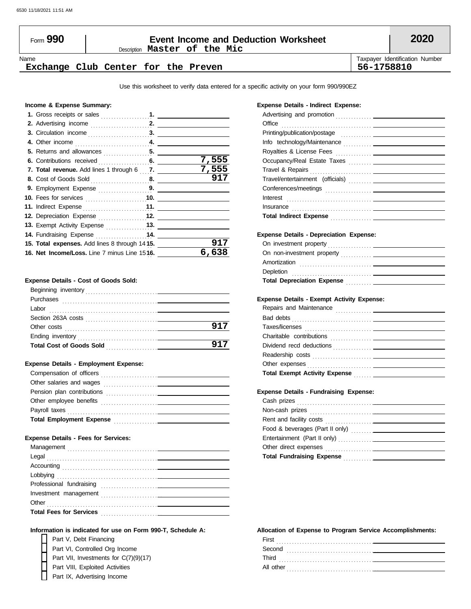### Description **Master of the Mic** Form **990 Event Income and Deduction Worksheet 2020**

**Exchange Club Center for the Preven 198810 56-1758810** 

Name Taxpayer Identification Number

Use this worksheet to verify data entered for a specific activity on your form 990/990EZ

#### **Income & Expense Summary:**

|                                               | 7,555 |
|-----------------------------------------------|-------|
| 7. Total revenue. Add lines 1 through 6 7.    | 7,555 |
|                                               | 917   |
| 9. Employment Expense 9.                      |       |
|                                               |       |
|                                               |       |
| 12. Depreciation Expense 12.                  |       |
| 13. Exempt Activity Expense 13.               |       |
| 14. Fundraising Expense 14.                   |       |
| 15. Total expenses. Add lines 8 through 1415. | 917   |
| 16. Net Income/Loss. Line 7 minus Line 1516.  | 6,638 |

#### **Expense Details - Cost of Goods Sold:**

| Beginning inventory                           |     |
|-----------------------------------------------|-----|
| Purchases                                     |     |
| Labor                                         |     |
| Section 263A costs                            |     |
| Other costs                                   | 917 |
|                                               |     |
| <b>Total Cost of Goods Sold</b><br>. <u>.</u> | 917 |
|                                               |     |

#### **Expense Details - Employment Expense:**

| Compensation of officers        |  |
|---------------------------------|--|
| Other salaries and wages        |  |
| Pension plan contributions      |  |
| Other employee benefits         |  |
| Payroll taxes                   |  |
| <b>Total Employment Expense</b> |  |

#### **Expense Details - Fees for Services:**

| <b>Total Fees for Services</b> |
|--------------------------------|
|                                |

#### **Information is indicated for use on Form 990-T, Schedule A:**

Part V, Debt Financing Part IX, Advertising Income Part VIII, Exploited Activities Part VI, Controlled Org Income Part VII, Investments for C(7)(9)(17)

#### **Expense Details - Indirect Expense:**

| Total Indirect Expense <b>Construction Construction Construction Construction</b>                                                                                                                                              |  |
|--------------------------------------------------------------------------------------------------------------------------------------------------------------------------------------------------------------------------------|--|
|                                                                                                                                                                                                                                |  |
| <b>Expense Details - Depreciation Expense:</b>                                                                                                                                                                                 |  |
|                                                                                                                                                                                                                                |  |
|                                                                                                                                                                                                                                |  |
|                                                                                                                                                                                                                                |  |
| Depletion entertainment and the control of the control of the control of the control of the control of the control of the control of the control of the control of the control of the control of the control of the control of |  |
| Total Depreciation Expense <b>Manual Accept Contract Contract Contract Contract Contract Contract Contract Contract</b>                                                                                                        |  |
|                                                                                                                                                                                                                                |  |
| <b>Expense Details - Exempt Activity Expense:</b>                                                                                                                                                                              |  |
|                                                                                                                                                                                                                                |  |
|                                                                                                                                                                                                                                |  |
|                                                                                                                                                                                                                                |  |
|                                                                                                                                                                                                                                |  |
|                                                                                                                                                                                                                                |  |
|                                                                                                                                                                                                                                |  |
|                                                                                                                                                                                                                                |  |
| Total Exempt Activity Expense <b>Fig. 1.1.1.1.</b> [ <i>Collection Collection 2014</i>                                                                                                                                         |  |
|                                                                                                                                                                                                                                |  |
| <b>Expense Details - Fundraising Expense:</b>                                                                                                                                                                                  |  |
|                                                                                                                                                                                                                                |  |
|                                                                                                                                                                                                                                |  |
|                                                                                                                                                                                                                                |  |
|                                                                                                                                                                                                                                |  |
|                                                                                                                                                                                                                                |  |
|                                                                                                                                                                                                                                |  |
| Total Fundraising Expense <b>Manual Accord Property</b>                                                                                                                                                                        |  |

| First      |
|------------|
| Second     |
| Third<br>. |
| All other  |
|            |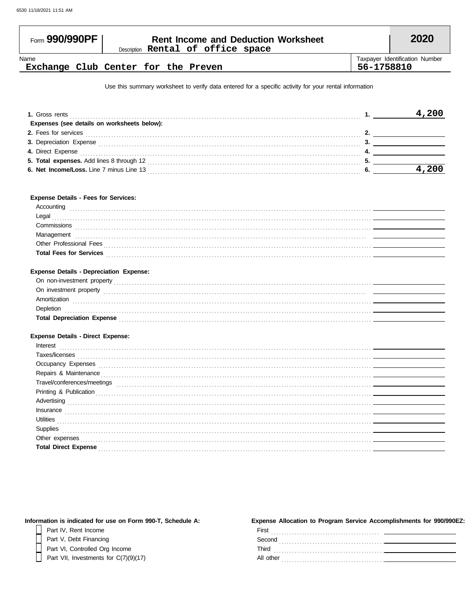| Form 990/990PF | <b>Rent Income and Deduction Worksheet</b><br>Description Rental of office space | 2020                                         |
|----------------|----------------------------------------------------------------------------------|----------------------------------------------|
| Name           | Exchange Club Center for the Preven                                              | Taxpayer Identification Number<br>56-1758810 |

Use this summary worksheet to verify data entered for a specific activity for your rental information

| 1. Gross rents                              |  |
|---------------------------------------------|--|
| Expenses (see details on worksheets below): |  |
| 2. Fees for services                        |  |
| <b>3. Depreciation Expense</b>              |  |
| 4. Direct Expense                           |  |
| 5. Total expenses. Add lines 8 through 12   |  |
| 6. Net Income/Loss. Line 7 minus Line 13    |  |

#### **Expense Details - Fees for Services:**

| Legal                               |  |
|-------------------------------------|--|
| mmissions<br>.                      |  |
| aement                              |  |
| <b>Other Professional Fees</b><br>. |  |
| <b>Total Fees for Services</b>      |  |
|                                     |  |

### **Expense Details - Depreciation Expense:**

| On non-investment property        |  |
|-----------------------------------|--|
| On investment property            |  |
| Amortizatior                      |  |
| <b>Depletion</b>                  |  |
| <b>Total Depreciation Expense</b> |  |
|                                   |  |

### **Expense Details - Direct Expense:**

| Interest                    |  |
|-----------------------------|--|
| Taxes/licenses              |  |
| Occupancy Expenses          |  |
| Repairs & Maintenance       |  |
| Travel/conferences/meetings |  |
| Printing & Publication      |  |
| Advertising                 |  |
| Insurance                   |  |
| <b>Itilities</b>            |  |
|                             |  |
| Other expenses              |  |
| <b>Total Direct Expense</b> |  |

| Information is indicated for use on Form 990-T, Schedule A: | Expense Allocation to Program Service Accomplishments for 990/990EZ: |
|-------------------------------------------------------------|----------------------------------------------------------------------|
| Part IV, Rent Income                                        | First                                                                |
| Part V, Debt Financing                                      | Second                                                               |
| Part VI, Controlled Org Income                              | Third                                                                |
| Part VII, Investments for C(7)(9)(17)                       | All other                                                            |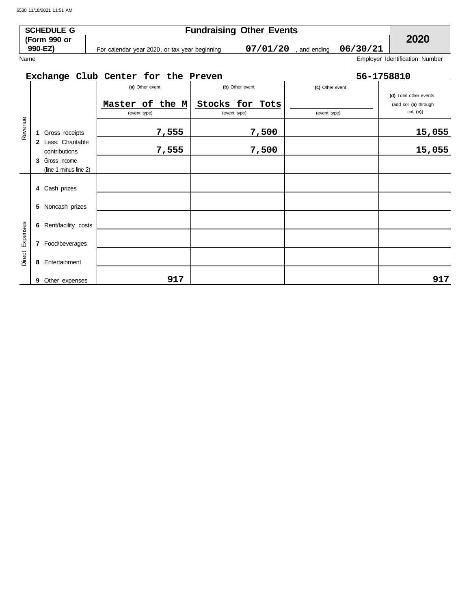6530 11/18/2021 11:51 AM

|          | <b>SCHEDULE G</b><br>(Form 990 or       |                                               | <b>Fundraising Other Events</b> |                          | 2020                                            |
|----------|-----------------------------------------|-----------------------------------------------|---------------------------------|--------------------------|-------------------------------------------------|
|          | 990-EZ)                                 | For calendar year 2020, or tax year beginning | 07/01/20                        | 06/30/21<br>, and ending |                                                 |
| Name     |                                         |                                               |                                 |                          | Employer Identification Number                  |
|          |                                         | Exchange Club Center for the Preven           |                                 |                          | 56-1758810                                      |
|          |                                         | (a) Other event                               | (b) Other event                 | (c) Other event          |                                                 |
|          |                                         | Master of the M                               | Stocks for Tots                 |                          | (d) Total other events<br>(add col. (a) through |
|          |                                         | (event type)                                  | (event type)                    | (event type)             | col. (c)                                        |
| Revenue  | Gross receipts<br>1                     | 7,555                                         | 7,500                           |                          | 15,055                                          |
|          | 2 Less: Charitable<br>contributions     | 7,555                                         | 7,500                           |                          | 15,055                                          |
|          | 3 Gross income<br>(line 1 minus line 2) |                                               |                                 |                          |                                                 |
|          | 4 Cash prizes                           |                                               |                                 |                          |                                                 |
|          | 5 Noncash prizes                        |                                               |                                 |                          |                                                 |
|          | Rent/facility costs<br>6                |                                               |                                 |                          |                                                 |
| Expenses | 7 Food/beverages                        |                                               |                                 |                          |                                                 |
| Direct   | 8 Entertainment                         |                                               |                                 |                          |                                                 |
|          | 9 Other expenses                        | 917                                           |                                 |                          | 917                                             |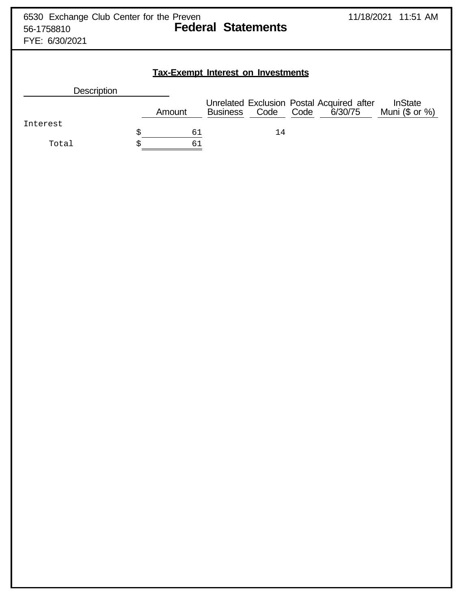| 6530 Exchange Club Center for the Preven<br>56-1758810<br>FYE: 6/30/2021 |          | <b>Federal Statements</b> |                                                              | 11/18/2021 11:51 AM                |
|--------------------------------------------------------------------------|----------|---------------------------|--------------------------------------------------------------|------------------------------------|
| <b>Tax-Exempt Interest on Investments</b>                                |          |                           |                                                              |                                    |
| <b>Description</b>                                                       |          |                           |                                                              |                                    |
|                                                                          | Amount   | Code<br><b>Business</b>   | Unrelated Exclusion Postal Acquired after<br>Code<br>6/30/75 | <b>InState</b><br>Muni $($ or  %)$ |
| Interest                                                                 | \$<br>61 | 14                        |                                                              |                                    |
| Total                                                                    | \$<br>61 |                           |                                                              |                                    |
|                                                                          |          |                           |                                                              |                                    |
|                                                                          |          |                           |                                                              |                                    |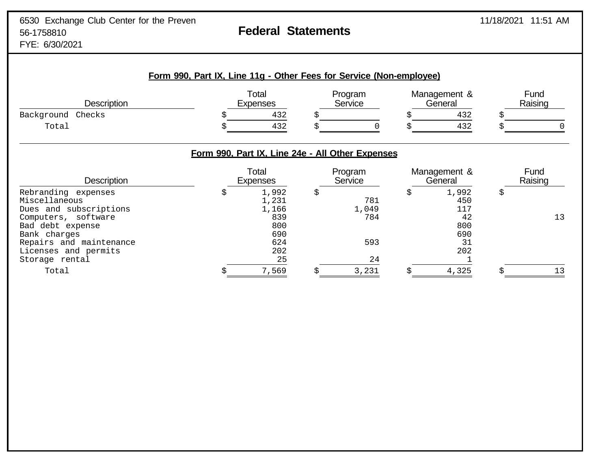**Form 990, Part IX, Line 11g - Other Fees for Service (Non-employee)** Total Program Management & Fund<br>Expenses Service General Raising Description Expenses Service General Raising Background Checks  $\zeta$  \$ 432  $\zeta$  \$ 432  $\zeta$  Total \$ 432 \$ 0 \$ 432 \$ 0 **Form 990, Part IX, Line 24e - All Other Expenses** Total Program Management & Fund<br>Expenses Service General Raising Description Expenses Service General Raising Rebranding expenses \$ 1,992 \$ \$ 1,992 \$ Miscellaneous 1,231 781 781 450 Dues and subscriptions  $1,166$   $1,049$   $1049$   $117$ <br>Computers, software  $839$   $784$   $42$ computers, software 13<br>
Bad debt expense 13<br>
Bad debt expense 13 Bad debt expense 800 800 Bank charges 690 690 Repairs and maintenance 624 593 31 Licenses and permits and  $202$ <br>
202 21 24 21 202 Storage rental

Total \$ 7,569 \$ 3,231 \$ 4,325 \$ 13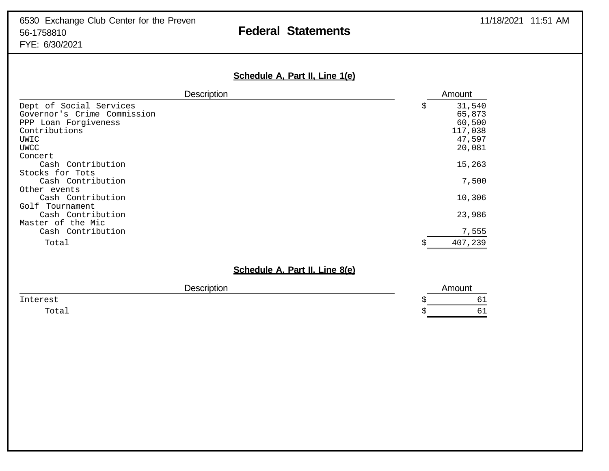## **Schedule A, Part II, Line 1(e)**

| <b>Description</b>          |   | Amount  |
|-----------------------------|---|---------|
| Dept of Social Services     | Ş | 31,540  |
| Governor's Crime Commission |   | 65,873  |
| PPP Loan Forgiveness        |   | 60,500  |
| Contributions               |   | 117,038 |
| UWIC                        |   | 47,597  |
| <b>UWCC</b>                 |   | 20,081  |
| Concert                     |   |         |
| Cash Contribution           |   | 15,263  |
| Stocks for Tots             |   |         |
| Cash Contribution           |   | 7,500   |
| Other events                |   |         |
| Cash Contribution           |   | 10,306  |
| Golf Tournament             |   |         |
| Cash Contribution           |   | 23,986  |
| Master of the Mic           |   |         |
| Cash Contribution           |   | 7,555   |
| Total                       |   | 407,239 |

## **Schedule A, Part II, Line 8(e)**

| <b>Description</b> | Amount     |
|--------------------|------------|
| Interest           | $-1$<br>ັັ |
| Total              | - -<br>ັ   |